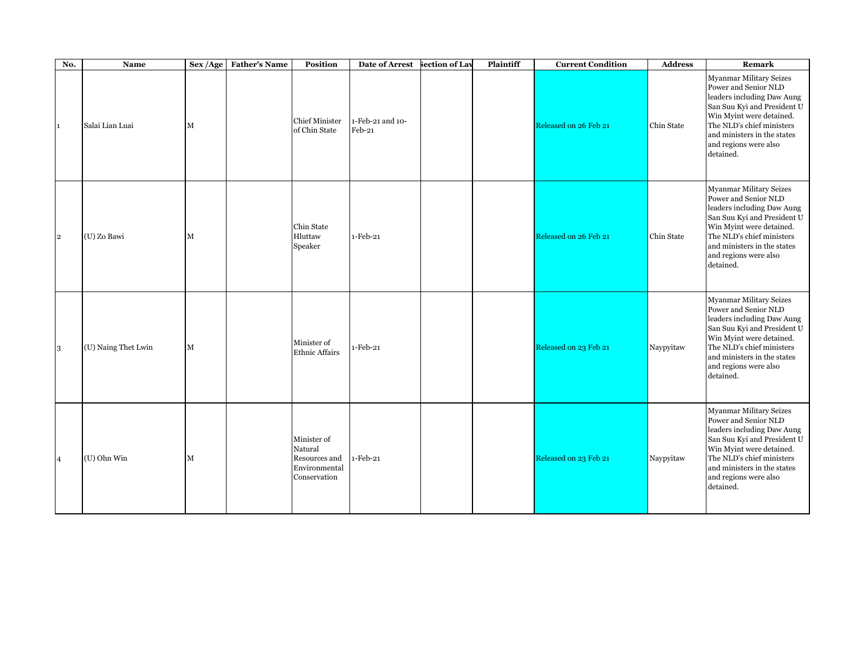| No.            | Name                |             | Sex /Age   Father's Name | Position                                                                 | Date of Arrest Section of Lav | Plaintiff | <b>Current Condition</b> | <b>Address</b> | Remark                                                                                                                                                                                                                                            |
|----------------|---------------------|-------------|--------------------------|--------------------------------------------------------------------------|-------------------------------|-----------|--------------------------|----------------|---------------------------------------------------------------------------------------------------------------------------------------------------------------------------------------------------------------------------------------------------|
| 1              | Salai Lian Luai     | M           |                          | <b>Chief Minister</b><br>of Chin State                                   | 1-Feb-21 and 10-<br>Feb-21    |           | Released on 26 Feb 21    | Chin State     | <b>Myanmar Military Seizes</b><br>Power and Senior NLD<br>leaders including Daw Aung<br>San Suu Kyi and President U<br>Win Myint were detained.<br>The NLD's chief ministers<br>and ministers in the states<br>and regions were also<br>detained. |
| $\overline{2}$ | (U) Zo Bawi         | M           |                          | Chin State<br>Hluttaw<br>Speaker                                         | $1-Feb-21$                    |           | Released on 26 Feb 21    | Chin State     | Myanmar Military Seizes<br>Power and Senior NLD<br>leaders including Daw Aung<br>San Suu Kyi and President U<br>Win Myint were detained.<br>The NLD's chief ministers<br>and ministers in the states<br>and regions were also<br>detained.        |
| 3              | (U) Naing Thet Lwin | M           |                          | Minister of<br><b>Ethnic Affairs</b>                                     | 1-Feb-21                      |           | Released on 23 Feb 21    | Naypyitaw      | Myanmar Military Seizes<br>Power and Senior NLD<br>leaders including Daw Aung<br>San Suu Kyi and President U<br>Win Myint were detained.<br>The NLD's chief ministers<br>and ministers in the states<br>and regions were also<br>detained.        |
| $\overline{4}$ | (U) Ohn Win         | $\mathbf M$ |                          | Minister of<br>Natural<br>Resources and<br>Environmental<br>Conservation | $1-Feb-21$                    |           | Released on 23 Feb 21    | Naypyitaw      | Myanmar Military Seizes<br>Power and Senior NLD<br>leaders including Daw Aung<br>San Suu Kyi and President U<br>Win Myint were detained.<br>The NLD's chief ministers<br>and ministers in the states<br>and regions were also<br>detained.        |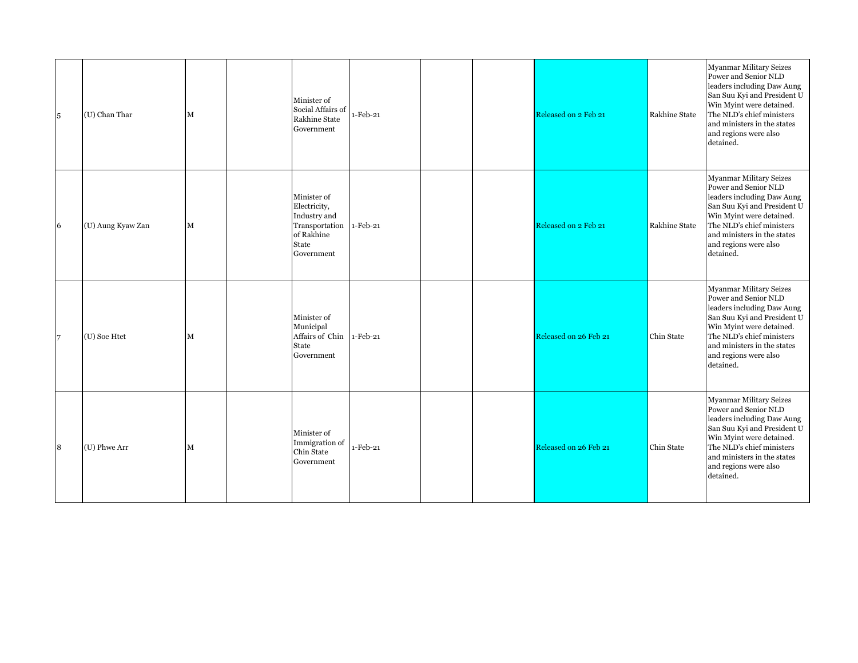| 5              | (U) Chan Thar     | $\mathbf{M}$ | Minister of<br>Social Affairs of<br><b>Rakhine State</b><br>Government                                    | $1-Feb-21$  |  | Released on 2 Feb 21  | <b>Rakhine State</b> | Myanmar Military Seizes<br>Power and Senior NLD<br>leaders including Daw Aung<br>San Suu Kyi and President U<br>Win Myint were detained.<br>The NLD's chief ministers<br>and ministers in the states<br>and regions were also<br>detained. |
|----------------|-------------------|--------------|-----------------------------------------------------------------------------------------------------------|-------------|--|-----------------------|----------------------|--------------------------------------------------------------------------------------------------------------------------------------------------------------------------------------------------------------------------------------------|
| 6              | (U) Aung Kyaw Zan | $\mathbf{M}$ | Minister of<br>Electricity,<br>Industry and<br>Transportation<br>of Rakhine<br><b>State</b><br>Government | 1-Feb-21    |  | Released on 2 Feb 21  | <b>Rakhine State</b> | Myanmar Military Seizes<br>Power and Senior NLD<br>leaders including Daw Aung<br>San Suu Kyi and President U<br>Win Myint were detained.<br>The NLD's chief ministers<br>and ministers in the states<br>and regions were also<br>detained. |
| $\overline{7}$ | (U) Soe Htet      | M            | Minister of<br>Municipal<br>Affairs of Chin<br>State<br>Government                                        | $1-Feb-21$  |  | Released on 26 Feb 21 | Chin State           | Myanmar Military Seizes<br>Power and Senior NLD<br>leaders including Daw Aung<br>San Suu Kyi and President U<br>Win Myint were detained.<br>The NLD's chief ministers<br>and ministers in the states<br>and regions were also<br>detained. |
| 8              | (U) Phwe Arr      | $\mathbf{M}$ | Minister of<br>Immigration of<br>Chin State<br>Government                                                 | $1$ -Feb-21 |  | Released on 26 Feb 21 | Chin State           | Myanmar Military Seizes<br>Power and Senior NLD<br>leaders including Daw Aung<br>San Suu Kyi and President U<br>Win Myint were detained.<br>The NLD's chief ministers<br>and ministers in the states<br>and regions were also<br>detained. |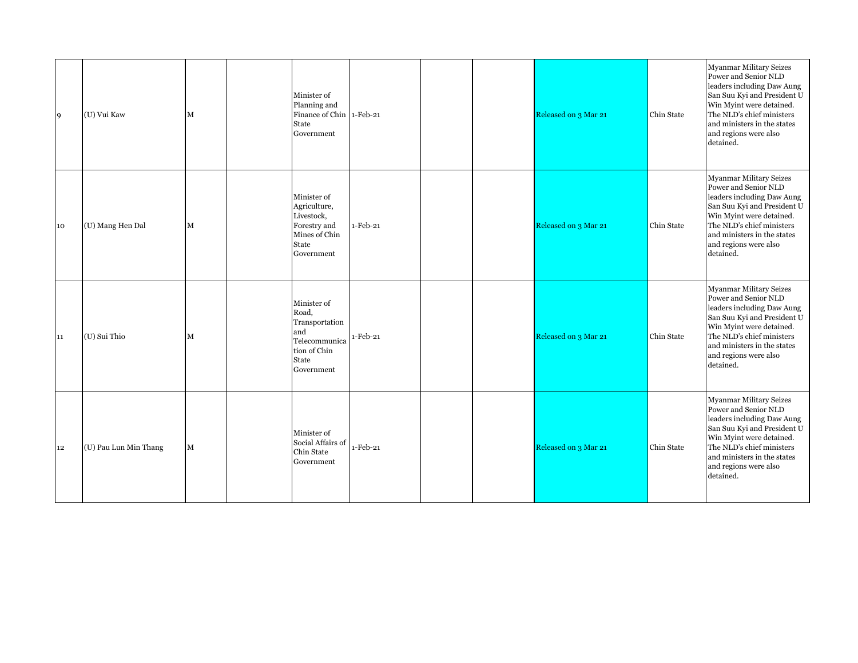| 19 | (U) Vui Kaw           | M           | Minister of<br>Planning and<br>Finance of Chin 1-Feb-21<br><b>State</b><br>Government                        |            |  | Released on 3 Mar 21 | Chin State | Myanmar Military Seizes<br>Power and Senior NLD<br>leaders including Daw Aung<br>San Suu Kyi and President U<br>Win Myint were detained.<br>The NLD's chief ministers<br>and ministers in the states<br>and regions were also<br>detained. |
|----|-----------------------|-------------|--------------------------------------------------------------------------------------------------------------|------------|--|----------------------|------------|--------------------------------------------------------------------------------------------------------------------------------------------------------------------------------------------------------------------------------------------|
| 10 | (U) Mang Hen Dal      | M           | Minister of<br>Agriculture,<br>Livestock,<br>Forestry and<br>Mines of Chin<br><b>State</b><br>Government     | $1-Feb-21$ |  | Released on 3 Mar 21 | Chin State | Myanmar Military Seizes<br>Power and Senior NLD<br>leaders including Daw Aung<br>San Suu Kyi and President U<br>Win Myint were detained.<br>The NLD's chief ministers<br>and ministers in the states<br>and regions were also<br>detained. |
| 11 | (U) Sui Thio          | $\mathbf M$ | Minister of<br>Road,<br>Transportation<br>and<br>Telecommunica<br>tion of Chin<br><b>State</b><br>Government | 1-Feb-21   |  | Released on 3 Mar 21 | Chin State | Myanmar Military Seizes<br>Power and Senior NLD<br>leaders including Daw Aung<br>San Suu Kyi and President U<br>Win Myint were detained.<br>The NLD's chief ministers<br>and ministers in the states<br>and regions were also<br>detained. |
| 12 | (U) Pau Lun Min Thang | $\mathbf M$ | Minister of<br>Social Affairs of<br>Chin State<br>Government                                                 | $1-Feb-21$ |  | Released on 3 Mar 21 | Chin State | Myanmar Military Seizes<br>Power and Senior NLD<br>leaders including Daw Aung<br>San Suu Kyi and President U<br>Win Myint were detained.<br>The NLD's chief ministers<br>and ministers in the states<br>and regions were also<br>detained. |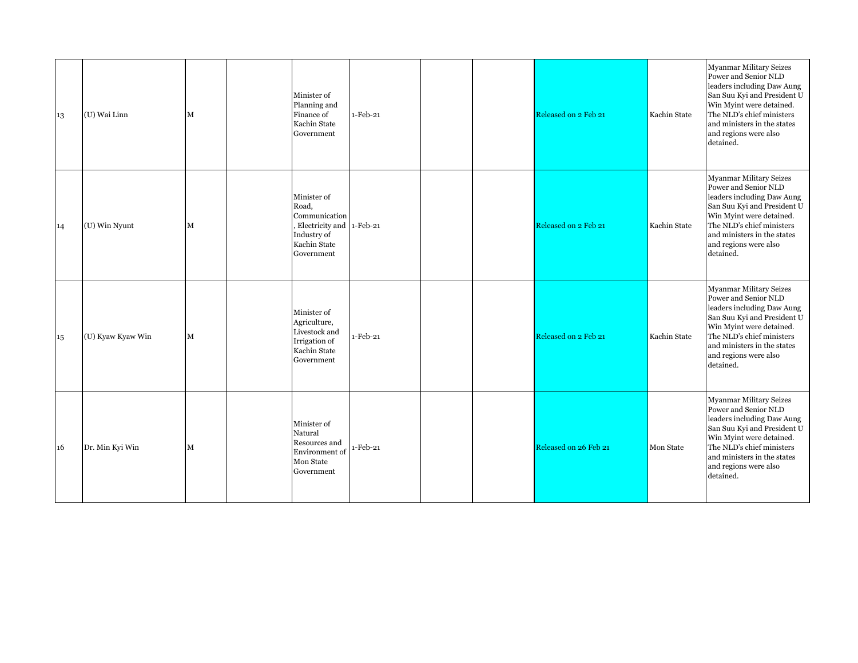| 13 | (U) Wai Linn      | $\mathbf M$ | Minister of<br>Planning and<br>Finance of<br>Kachin State<br>Government                                          | $1$ -Feb-21 |  | Released on 2 Feb 21  | Kachin State | Myanmar Military Seizes<br>Power and Senior NLD<br>leaders including Daw Aung<br>San Suu Kyi and President U<br>Win Myint were detained.<br>The NLD's chief ministers<br>and ministers in the states<br>and regions were also<br>detained.        |
|----|-------------------|-------------|------------------------------------------------------------------------------------------------------------------|-------------|--|-----------------------|--------------|---------------------------------------------------------------------------------------------------------------------------------------------------------------------------------------------------------------------------------------------------|
| 14 | (U) Win Nyunt     | $\mathbf M$ | Minister of<br>Road.<br>Communication<br>, Electricity and 1-Feb-21<br>Industry of<br>Kachin State<br>Government |             |  | Released on 2 Feb 21  | Kachin State | Myanmar Military Seizes<br>Power and Senior NLD<br>leaders including Daw Aung<br>San Suu Kyi and President U<br>Win Myint were detained.<br>The NLD's chief ministers<br>and ministers in the states<br>and regions were also<br>detained.        |
| 15 | (U) Kyaw Kyaw Win | $\mathbf M$ | Minister of<br>Agriculture,<br>Livestock and<br>Irrigation of<br>Kachin State<br>Government                      | 1-Feb-21    |  | Released on 2 Feb 21  | Kachin State | Myanmar Military Seizes<br>Power and Senior NLD<br>leaders including Daw Aung<br>San Suu Kyi and President U<br>Win Myint were detained.<br>The NLD's chief ministers<br>and ministers in the states<br>and regions were also<br>detained.        |
| 16 | Dr. Min Kyi Win   | $\mathbf M$ | Minister of<br>Natural<br>Resources and<br>Environment of<br>Mon State<br>Government                             | 1-Feb-21    |  | Released on 26 Feb 21 | Mon State    | <b>Myanmar Military Seizes</b><br>Power and Senior NLD<br>leaders including Daw Aung<br>San Suu Kyi and President U<br>Win Myint were detained.<br>The NLD's chief ministers<br>and ministers in the states<br>and regions were also<br>detained. |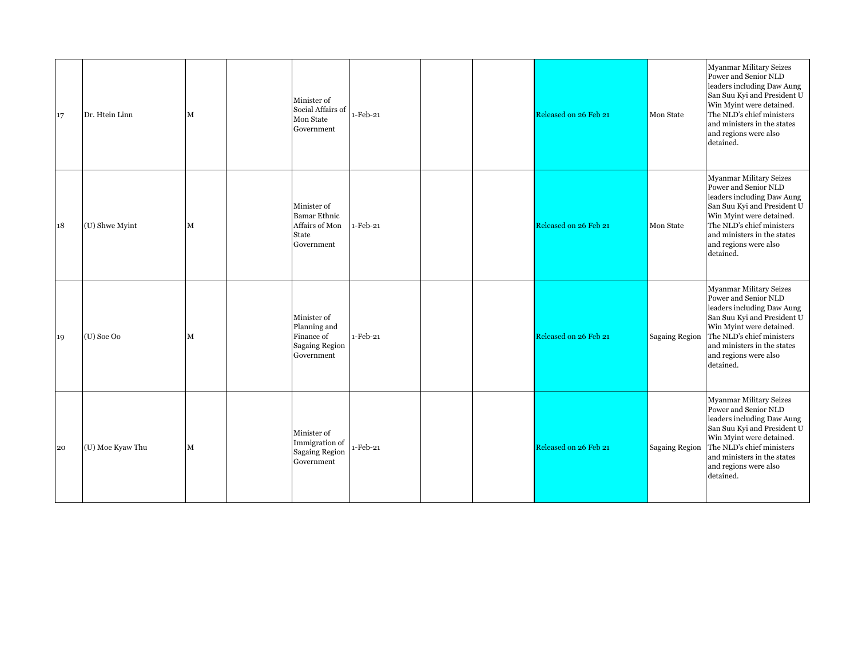| 17 | Dr. Htein Linn   | $\mathbf{M}$ | Minister of<br>Social Affairs of<br>Mon State<br>Government                      | $1-Feb-21$ |  | Released on 26 Feb 21 | Mon State             | Myanmar Military Seizes<br>Power and Senior NLD<br>leaders including Daw Aung<br>San Suu Kyi and President U<br>Win Myint were detained.<br>The NLD's chief ministers<br>and ministers in the states<br>and regions were also<br>detained.        |
|----|------------------|--------------|----------------------------------------------------------------------------------|------------|--|-----------------------|-----------------------|---------------------------------------------------------------------------------------------------------------------------------------------------------------------------------------------------------------------------------------------------|
| 18 | (U) Shwe Myint   | M            | Minister of<br><b>Bamar</b> Ethnic<br>Affairs of Mon<br>State<br>Government      | 1-Feb-21   |  | Released on 26 Feb 21 | Mon State             | <b>Myanmar Military Seizes</b><br>Power and Senior NLD<br>leaders including Daw Aung<br>San Suu Kyi and President U<br>Win Myint were detained.<br>The NLD's chief ministers<br>and ministers in the states<br>and regions were also<br>detained. |
| 19 | (U) Soe Oo       | $\mathbf M$  | Minister of<br>Planning and<br>Finance of<br><b>Sagaing Region</b><br>Government | $1-Feb-21$ |  | Released on 26 Feb 21 | <b>Sagaing Region</b> | <b>Myanmar Military Seizes</b><br>Power and Senior NLD<br>leaders including Daw Aung<br>San Suu Kyi and President U<br>Win Myint were detained.<br>The NLD's chief ministers<br>and ministers in the states<br>and regions were also<br>detained. |
| 20 | (U) Moe Kyaw Thu | $\mathbf M$  | Minister of<br>Immigration of<br><b>Sagaing Region</b><br>Government             | $1-Feb-21$ |  | Released on 26 Feb 21 | <b>Sagaing Region</b> | Myanmar Military Seizes<br>Power and Senior NLD<br>leaders including Daw Aung<br>San Suu Kyi and President U<br>Win Myint were detained.<br>The NLD's chief ministers<br>and ministers in the states<br>and regions were also<br>detained.        |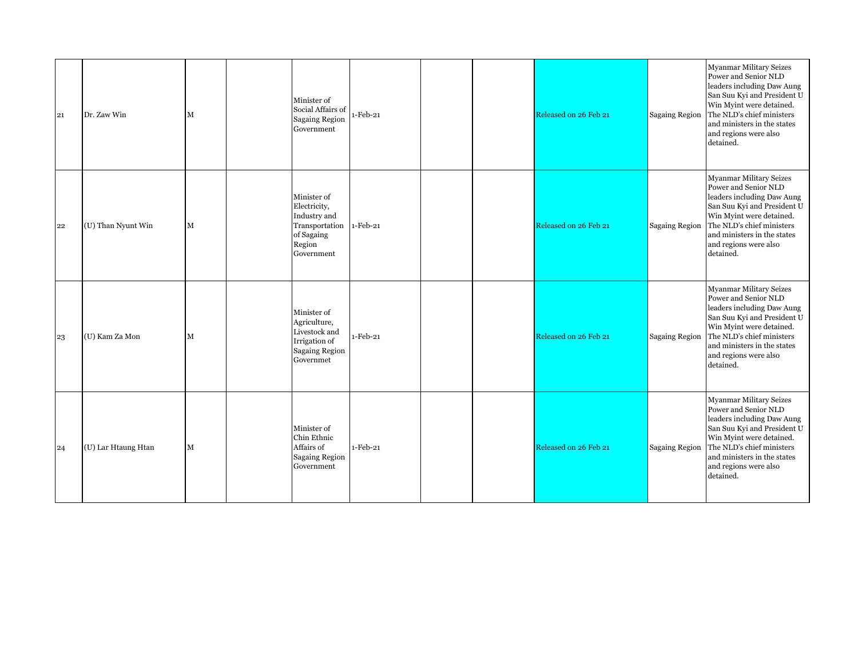| 21 | Dr. Zaw Win         | M            | Minister of<br>Social Affairs of<br><b>Sagaing Region</b><br>Government                             | $1-Feb-21$       |  | Released on 26 Feb 21 | <b>Sagaing Region</b> | Myanmar Military Seizes<br>Power and Senior NLD<br>leaders including Daw Aung<br>San Suu Kyi and President U<br>Win Myint were detained.<br>The NLD's chief ministers<br>and ministers in the states<br>and regions were also<br>detained.        |
|----|---------------------|--------------|-----------------------------------------------------------------------------------------------------|------------------|--|-----------------------|-----------------------|---------------------------------------------------------------------------------------------------------------------------------------------------------------------------------------------------------------------------------------------------|
| 22 | (U) Than Nyunt Win  | M            | Minister of<br>Electricity,<br>Industry and<br>Transportation<br>of Sagaing<br>Region<br>Government | $1$ -Feb-21 $\,$ |  | Released on 26 Feb 21 | <b>Sagaing Region</b> | <b>Myanmar Military Seizes</b><br>Power and Senior NLD<br>leaders including Daw Aung<br>San Suu Kyi and President U<br>Win Myint were detained.<br>The NLD's chief ministers<br>and ministers in the states<br>and regions were also<br>detained. |
| 23 | (U) Kam Za Mon      | $\mathbf{M}$ | Minister of<br>Agriculture,<br>Livestock and<br>Irrigation of<br><b>Sagaing Region</b><br>Governmet | 1-Feb-21         |  | Released on 26 Feb 21 | <b>Sagaing Region</b> | <b>Myanmar Military Seizes</b><br>Power and Senior NLD<br>leaders including Daw Aung<br>San Suu Kyi and President U<br>Win Myint were detained.<br>The NLD's chief ministers<br>and ministers in the states<br>and regions were also<br>detained. |
| 24 | (U) Lar Htaung Htan | M            | Minister of<br>Chin Ethnic<br>Affairs of<br><b>Sagaing Region</b><br>Government                     | 1-Feb-21         |  | Released on 26 Feb 21 | <b>Sagaing Region</b> | Myanmar Military Seizes<br>Power and Senior NLD<br>leaders including Daw Aung<br>San Suu Kyi and President U<br>Win Myint were detained.<br>The NLD's chief ministers<br>and ministers in the states<br>and regions were also<br>detained.        |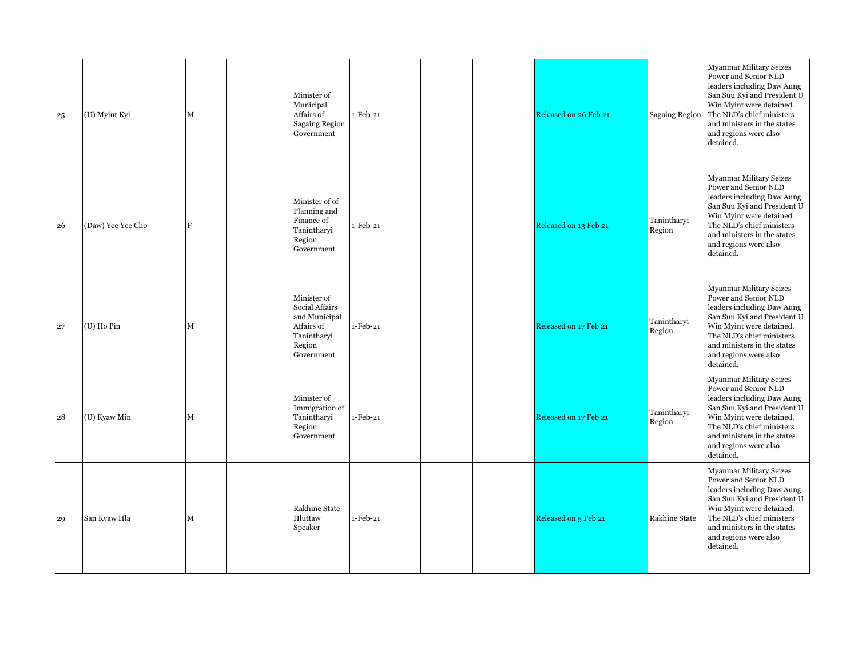| 25 | (U) Myint Kyi     | M           | Minister of<br>Municipal<br>Affairs of<br><b>Sagaing Region</b><br>Government                       | $1-Feb-21$ |  | Released on 26 Feb 21 | <b>Sagaing Region</b> | Myanmar Military Seizes<br>Power and Senior NLD<br>leaders including Daw Aung<br>San Suu Kyi and President U<br>Win Myint were detained.<br>The NLD's chief ministers<br>and ministers in the states<br>and regions were also<br>detained. |
|----|-------------------|-------------|-----------------------------------------------------------------------------------------------------|------------|--|-----------------------|-----------------------|--------------------------------------------------------------------------------------------------------------------------------------------------------------------------------------------------------------------------------------------|
| 26 | (Daw) Yee Yee Cho | $\mathbf F$ | Minister of of<br>Planning and<br>Finance of<br>Tanintharyi<br>Region<br>Government                 | 1-Feb-21   |  | Released on 13 Feb 21 | Tanintharyi<br>Region | Myanmar Military Seizes<br>Power and Senior NLD<br>leaders including Daw Aung<br>San Suu Kyi and President U<br>Win Myint were detained.<br>The NLD's chief ministers<br>and ministers in the states<br>and regions were also<br>detained. |
| 27 | (U) Ho Pin        | M           | Minister of<br>Social Affairs<br>and Municipal<br>Affairs of<br>Tanintharyi<br>Region<br>Government | 1-Feb-21   |  | Released on 17 Feb 21 | Tanintharyi<br>Region | Myanmar Military Seizes<br>Power and Senior NLD<br>leaders including Daw Aung<br>San Suu Kyi and President U<br>Win Myint were detained.<br>The NLD's chief ministers<br>and ministers in the states<br>and regions were also<br>detained. |
| 28 | (U) Kyaw Min      | M           | Minister of<br>Immigration of<br>Tanintharyi<br>Region<br>Government                                | 1-Feb-21   |  | Released on 17 Feb 21 | Tanintharyi<br>Region | Myanmar Military Seizes<br>Power and Senior NLD<br>leaders including Daw Aung<br>San Suu Kyi and President U<br>Win Myint were detained.<br>The NLD's chief ministers<br>and ministers in the states<br>and regions were also<br>detained. |
| 29 | San Kyaw Hla      | M           | <b>Rakhine State</b><br>Hluttaw<br>Speaker                                                          | 1-Feb-21   |  | Released on 5 Feb 21  | Rakhine State         | Myanmar Military Seizes<br>Power and Senior NLD<br>leaders including Daw Aung<br>San Suu Kyi and President U<br>Win Myint were detained.<br>The NLD's chief ministers<br>and ministers in the states<br>and regions were also<br>detained. |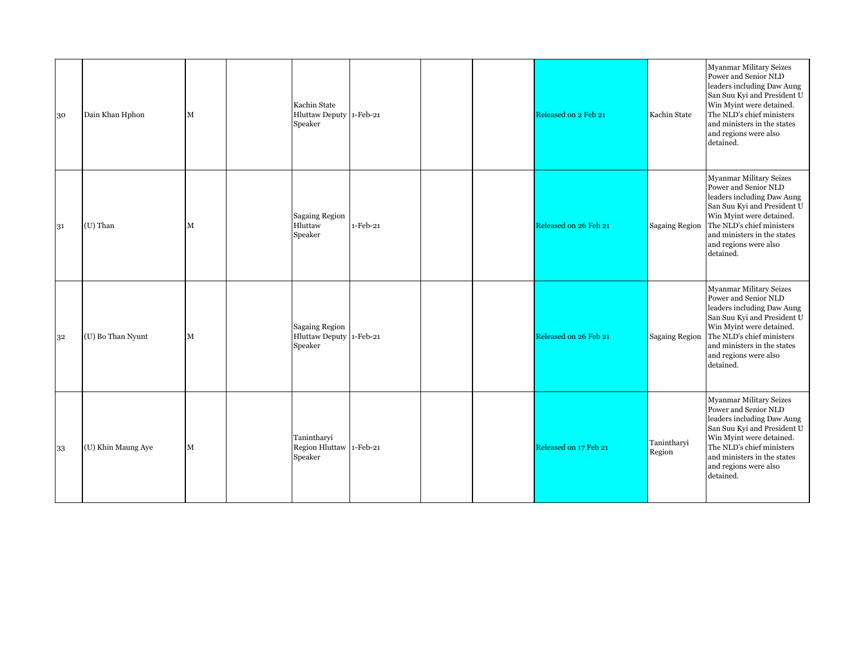| 30 | Dain Khan Hphon    | M           | Kachin State<br>Hluttaw Deputy 1-Feb-21<br>Speaker          |            |  | Released on 2 Feb 21  | <b>Kachin State</b>   | Myanmar Military Seizes<br>Power and Senior NLD<br>leaders including Daw Aung<br>San Suu Kyi and President U<br>Win Myint were detained.<br>The NLD's chief ministers<br>and ministers in the states<br>and regions were also<br>detained. |
|----|--------------------|-------------|-------------------------------------------------------------|------------|--|-----------------------|-----------------------|--------------------------------------------------------------------------------------------------------------------------------------------------------------------------------------------------------------------------------------------|
| 31 | (U) Than           | M           | <b>Sagaing Region</b><br>Hluttaw<br>Speaker                 | $1-Feb-21$ |  | Released on 26 Feb 21 | <b>Sagaing Region</b> | Myanmar Military Seizes<br>Power and Senior NLD<br>leaders including Daw Aung<br>San Suu Kyi and President U<br>Win Myint were detained.<br>The NLD's chief ministers<br>and ministers in the states<br>and regions were also<br>detained. |
| 32 | (U) Bo Than Nyunt  | $\mathbf M$ | <b>Sagaing Region</b><br>Hluttaw Deputy 1-Feb-21<br>Speaker |            |  | Released on 26 Feb 21 | <b>Sagaing Region</b> | Myanmar Military Seizes<br>Power and Senior NLD<br>leaders including Daw Aung<br>San Suu Kyi and President U<br>Win Myint were detained.<br>The NLD's chief ministers<br>and ministers in the states<br>and regions were also<br>detained. |
| 33 | (U) Khin Maung Aye | $\mathbf M$ | Tanintharyi<br>Region Hluttaw 1-Feb-21<br>Speaker           |            |  | Released on 17 Feb 21 | Tanintharyi<br>Region | Myanmar Military Seizes<br>Power and Senior NLD<br>leaders including Daw Aung<br>San Suu Kyi and President U<br>Win Myint were detained.<br>The NLD's chief ministers<br>and ministers in the states<br>and regions were also<br>detained. |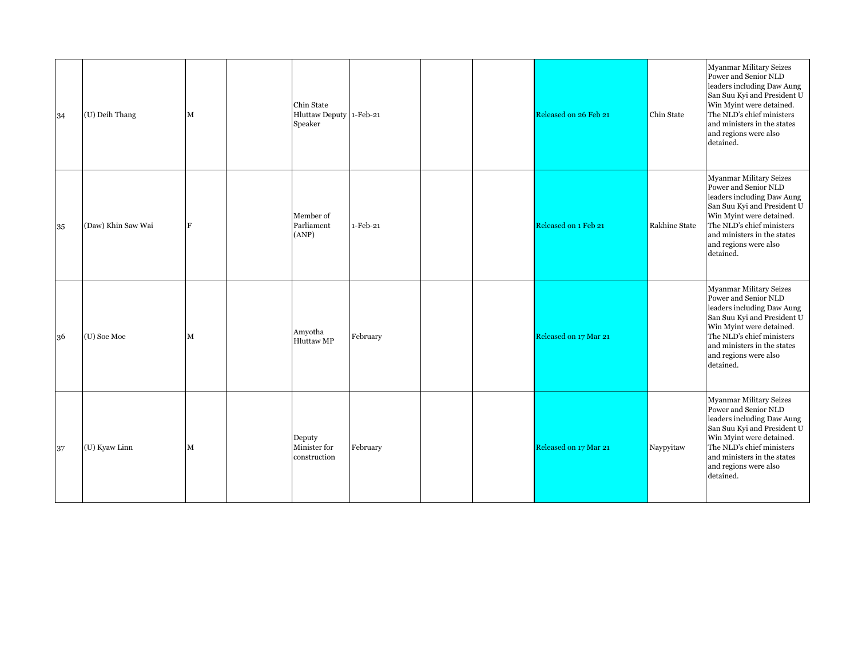| 34 | (U) Deih Thang     | $\mathbf M$ | Chin State<br>Hluttaw Deputy 1-Feb-21<br>Speaker |          |  | Released on 26 Feb 21 | Chin State           | Myanmar Military Seizes<br>Power and Senior NLD<br>leaders including Daw Aung<br>San Suu Kyi and President U<br>Win Myint were detained.<br>The NLD's chief ministers<br>and ministers in the states<br>and regions were also<br>detained.        |
|----|--------------------|-------------|--------------------------------------------------|----------|--|-----------------------|----------------------|---------------------------------------------------------------------------------------------------------------------------------------------------------------------------------------------------------------------------------------------------|
| 35 | (Daw) Khin Saw Wai | F           | Member of<br>Parliament<br>(ANP)                 | 1-Feb-21 |  | Released on 1 Feb 21  | <b>Rakhine State</b> | Myanmar Military Seizes<br>Power and Senior NLD<br>leaders including Daw Aung<br>San Suu Kyi and President U<br>Win Myint were detained.<br>The NLD's chief ministers<br>and ministers in the states<br>and regions were also<br>detained.        |
| 36 | (U) Soe Moe        | $\mathbf M$ | Amyotha<br><b>Hluttaw MP</b>                     | February |  | Released on 17 Mar 21 |                      | Myanmar Military Seizes<br>Power and Senior NLD<br>leaders including Daw Aung<br>San Suu Kyi and President U<br>Win Myint were detained.<br>The NLD's chief ministers<br>and ministers in the states<br>and regions were also<br>detained.        |
| 37 | (U) Kyaw Linn      | M           | Deputy<br>Minister for<br>construction           | February |  | Released on 17 Mar 21 | Naypyitaw            | <b>Myanmar Military Seizes</b><br>Power and Senior NLD<br>leaders including Daw Aung<br>San Suu Kyi and President U<br>Win Myint were detained.<br>The NLD's chief ministers<br>and ministers in the states<br>and regions were also<br>detained. |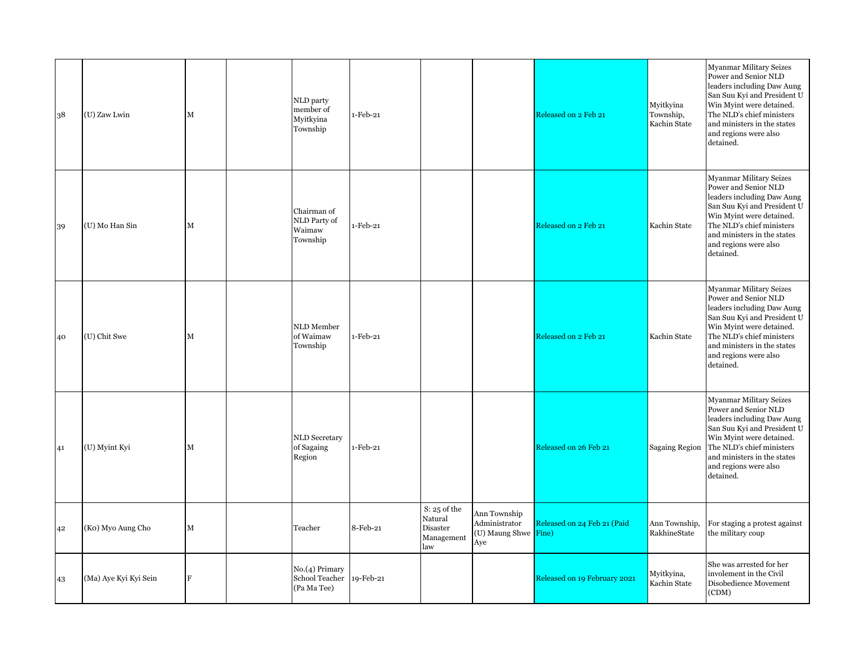| 38 | (U) Zaw Lwin          | $\mathbf M$  | NLD party<br>member of<br>Myitkyina<br>Township   | 1-Feb-21                            |                                                            |                                                              | Released on 2 Feb 21         | Myitkyina<br>Township,<br>Kachin State | Myanmar Military Seizes<br>Power and Senior NLD<br>leaders including Daw Aung<br>San Suu Kyi and President U<br>Win Myint were detained.<br>The NLD's chief ministers<br>and ministers in the states<br>and regions were also<br>detained.        |
|----|-----------------------|--------------|---------------------------------------------------|-------------------------------------|------------------------------------------------------------|--------------------------------------------------------------|------------------------------|----------------------------------------|---------------------------------------------------------------------------------------------------------------------------------------------------------------------------------------------------------------------------------------------------|
| 39 | (U) Mo Han Sin        | $\mathbf M$  | Chairman of<br>NLD Party of<br>Waimaw<br>Township | 1-Feb-21                            |                                                            |                                                              | Released on 2 Feb 21         | Kachin State                           | Myanmar Military Seizes<br>Power and Senior NLD<br>leaders including Daw Aung<br>San Suu Kyi and President U<br>Win Myint were detained.<br>The NLD's chief ministers<br>and ministers in the states<br>and regions were also<br>detained.        |
| 40 | (U) Chit Swe          | $\mathbf{M}$ | NLD Member<br>of Waimaw<br>Township               | 1-Feb-21                            |                                                            |                                                              | Released on 2 Feb 21         | Kachin State                           | <b>Myanmar Military Seizes</b><br>Power and Senior NLD<br>leaders including Daw Aung<br>San Suu Kyi and President U<br>Win Myint were detained.<br>The NLD's chief ministers<br>and ministers in the states<br>and regions were also<br>detained. |
| 41 | (U) Myint Kyi         | $\mathbf{M}$ | <b>NLD Secretary</b><br>of Sagaing<br>Region      | $1\mbox{-} \mathrm{Feb}\mbox{-} 21$ |                                                            |                                                              | Released on 26 Feb 21        | <b>Sagaing Region</b>                  | Myanmar Military Seizes<br>Power and Senior NLD<br>leaders including Daw Aung<br>San Suu Kyi and President U<br>Win Myint were detained.<br>The NLD's chief ministers<br>and ministers in the states<br>and regions were also<br>detained.        |
| 42 | (Ko) Myo Aung Cho     | $\mathbf M$  | Teacher                                           | 8-Feb-21                            | $S: 25$ of the<br>Natural<br>Disaster<br>Management<br>law | Ann Township<br>Administrator<br>(U) Maung Shwe Fine)<br>Aye | Released on 24 Feb 21 (Paid  | Ann Township,<br>RakhineState          | For staging a protest against<br>the military coup                                                                                                                                                                                                |
| 43 | (Ma) Aye Kyi Kyi Sein | F            | $No.(4)$ Primary<br>School Teacher<br>(Pa Ma Tee) | 19-Feb-21                           |                                                            |                                                              | Released on 19 February 2021 | Myitkyina,<br>Kachin State             | She was arrested for her<br>involement in the Civil<br>Disobedience Movement<br>(CDM)                                                                                                                                                             |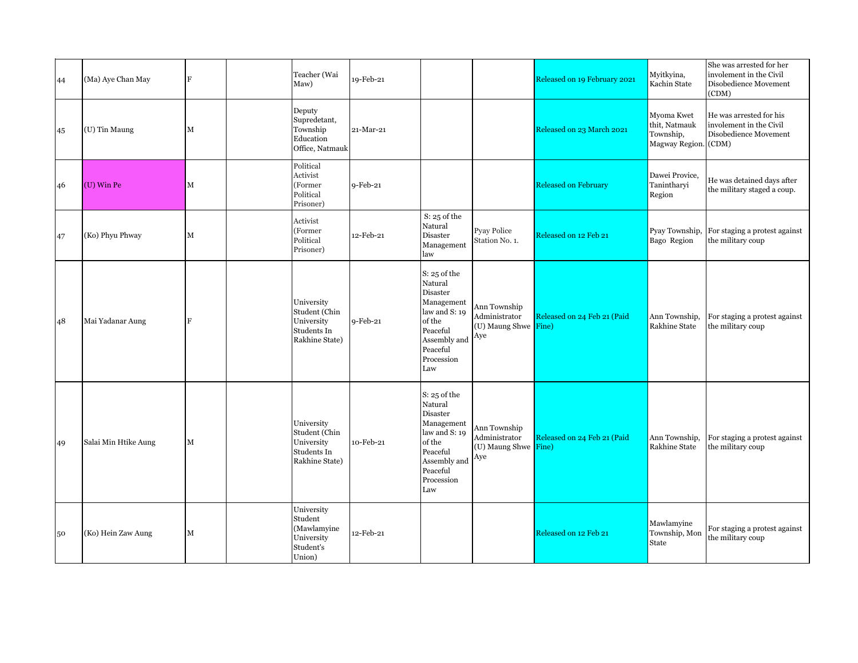| 44 | (Ma) Aye Chan May    | $\mathbf F$ | Teacher (Wai<br>Maw)                                                       | 19-Feb-21  |                                                                                                                                             |                                                              | Released on 19 February 2021 | Myitkyina,<br>Kachin State                                       | She was arrested for her<br>involement in the Civil<br>Disobedience Movement<br>(CDM) |
|----|----------------------|-------------|----------------------------------------------------------------------------|------------|---------------------------------------------------------------------------------------------------------------------------------------------|--------------------------------------------------------------|------------------------------|------------------------------------------------------------------|---------------------------------------------------------------------------------------|
| 45 | (U) Tin Maung        | $\mathbf M$ | Deputy<br>Supredetant,<br>Township<br>Education<br>Office, Natmauk         | 21-Mar-21  |                                                                                                                                             |                                                              | Released on 23 March 2021    | Myoma Kwet<br>thit, Natmauk<br>Township,<br>Magway Region. (CDM) | He was arrested for his<br>involement in the Civil<br>Disobedience Movement           |
| 46 | $(U)$ Win Pe         | $\mathbf M$ | Political<br>Activist<br>(Former<br>Political<br>Prisoner)                 | $9-Feb-21$ |                                                                                                                                             |                                                              | <b>Released on February</b>  | Dawei Provice,<br>Tanintharyi<br>Region                          | He was detained days after<br>the military staged a coup.                             |
| 47 | (Ko) Phyu Phway      | M           | Activist<br>(Former<br>Political<br>Prisoner)                              | 12-Feb-21  | $S: 25$ of the<br>Natural<br>Disaster<br>Management<br>law                                                                                  | Pyay Police<br>Station No. 1.                                | Released on 12 Feb 21        | Pyay Township,<br>Bago Region                                    | For staging a protest against<br>the military coup                                    |
| 48 | Mai Yadanar Aung     | F           | University<br>Student (Chin<br>University<br>Students In<br>Rakhine State) | 9-Feb-21   | $S: 25$ of the<br>Natural<br>Disaster<br>Management<br>law and S: 19<br>of the<br>Peaceful<br>Assembly and<br>Peaceful<br>Procession<br>Law | Ann Township<br>Administrator<br>(U) Maung Shwe Fine)<br>Aye | Released on 24 Feb 21 (Paid  | Ann Township,<br><b>Rakhine State</b>                            | For staging a protest against<br>the military coup                                    |
| 49 | Salai Min Htike Aung | $\mathbf M$ | University<br>Student (Chin<br>University<br>Students In<br>Rakhine State) | 10-Feb-21  | $S: 25$ of the<br>Natural<br>Disaster<br>Management<br>law and S: 19<br>of the<br>Peaceful<br>Assembly and<br>Peaceful<br>Procession<br>Law | Ann Township<br>Administrator<br>(U) Maung Shwe Fine)<br>Aye | Released on 24 Feb 21 (Paid  | Ann Township,<br>Rakhine State                                   | For staging a protest against<br>the military coup                                    |
| 50 | (Ko) Hein Zaw Aung   | M           | University<br>Student<br>(Mawlamyine<br>University<br>Student's<br>Union)  | 12-Feb-21  |                                                                                                                                             |                                                              | Released on 12 Feb 21        | Mawlamyine<br>Township, Mon<br>State                             | For staging a protest against<br>the military coup                                    |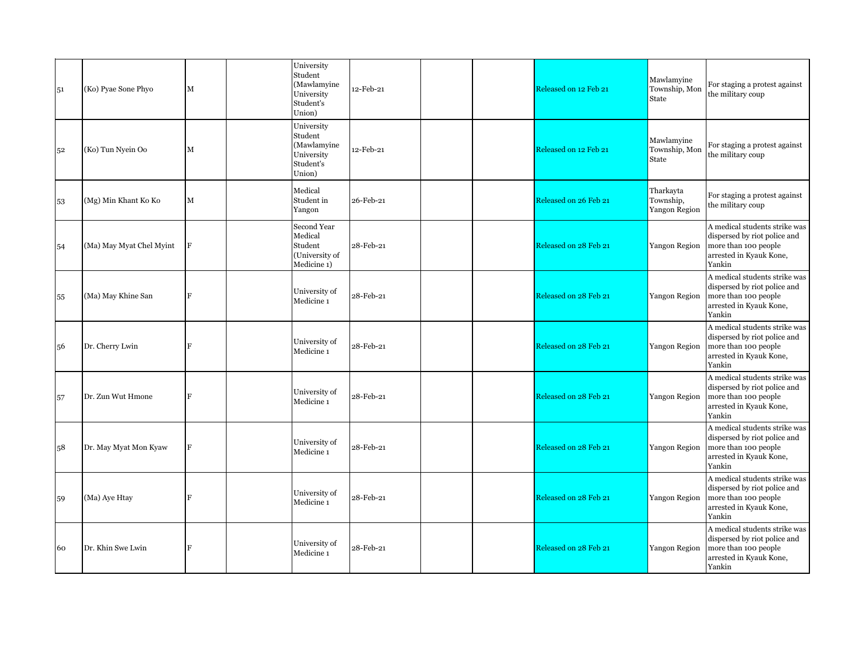| 51 | (Ko) Pyae Sone Phyo      | M           | University<br>Student<br>(Mawlamyine<br>University<br>Student's<br>Union) | 12-Feb-21 | Released on 12 Feb 21 | Mawlamyine<br>Township, Mon<br>State           | For staging a protest against<br>the military coup                                                                         |
|----|--------------------------|-------------|---------------------------------------------------------------------------|-----------|-----------------------|------------------------------------------------|----------------------------------------------------------------------------------------------------------------------------|
| 52 | (Ko) Tun Nyein Oo        | M           | University<br>Student<br>(Mawlamyine<br>University<br>Student's<br>Union) | 12-Feb-21 | Released on 12 Feb 21 | Mawlamyine<br>Township, Mon<br><b>State</b>    | For staging a protest against<br>the military coup                                                                         |
| 53 | (Mg) Min Khant Ko Ko     | M           | Medical<br>Student in<br>Yangon                                           | 26-Feb-21 | Released on 26 Feb 21 | Tharkayta<br>Township,<br><b>Yangon Region</b> | For staging a protest against<br>the military coup                                                                         |
| 54 | (Ma) May Myat Chel Myint | $\mathbf F$ | Second Year<br>Medical<br>Student<br>(University of<br>Medicine 1)        | 28-Feb-21 | Released on 28 Feb 21 | Yangon Region                                  | A medical students strike was<br>dispersed by riot police and<br>more than 100 people<br>arrested in Kyauk Kone,<br>Yankin |
| 55 | (Ma) May Khine San       | F           | University of<br>Medicine 1                                               | 28-Feb-21 | Released on 28 Feb 21 | Yangon Region                                  | A medical students strike was<br>dispersed by riot police and<br>more than 100 people<br>arrested in Kyauk Kone,<br>Yankin |
| 56 | Dr. Cherry Lwin          | F           | University of<br>Medicine 1                                               | 28-Feb-21 | Released on 28 Feb 21 | <b>Yangon Region</b>                           | A medical students strike was<br>dispersed by riot police and<br>more than 100 people<br>arrested in Kyauk Kone,<br>Yankin |
| 57 | Dr. Zun Wut Hmone        | F           | University of<br>Medicine 1                                               | 28-Feb-21 | Released on 28 Feb 21 | Yangon Region                                  | A medical students strike was<br>dispersed by riot police and<br>more than 100 people<br>arrested in Kyauk Kone,<br>Yankin |
| 58 | Dr. May Myat Mon Kyaw    | F           | University of<br>Medicine 1                                               | 28-Feb-21 | Released on 28 Feb 21 | Yangon Region                                  | A medical students strike was<br>dispersed by riot police and<br>more than 100 people<br>arrested in Kyauk Kone,<br>Yankin |
| 59 | (Ma) Aye Htay            | F           | University of<br>Medicine 1                                               | 28-Feb-21 | Released on 28 Feb 21 | <b>Yangon Region</b>                           | A medical students strike was<br>dispersed by riot police and<br>more than 100 people<br>arrested in Kyauk Kone,<br>Yankin |
| 60 | Dr. Khin Swe Lwin        | F           | University of<br>Medicine 1                                               | 28-Feb-21 | Released on 28 Feb 21 | <b>Yangon Region</b>                           | A medical students strike was<br>dispersed by riot police and<br>more than 100 people<br>arrested in Kyauk Kone,<br>Yankin |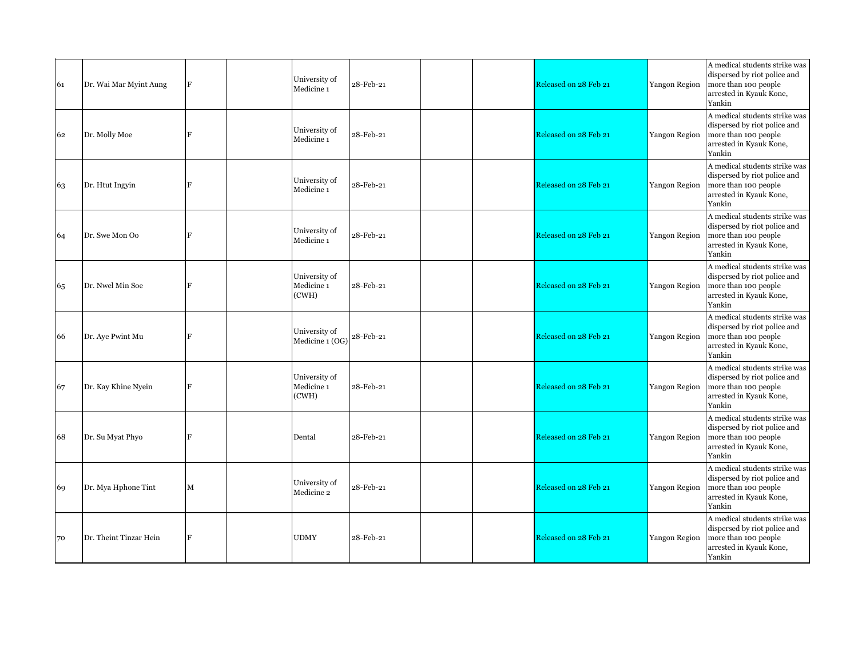| 61 | Dr. Wai Mar Myint Aung | F           | University of<br>Medicine 1          | 28-Feb-21 |  | Released on 28 Feb 21 | <b>Yangon Region</b> | A medical students strike was<br>dispersed by riot police and<br>more than 100 people<br>arrested in Kyauk Kone,<br>Yankin |
|----|------------------------|-------------|--------------------------------------|-----------|--|-----------------------|----------------------|----------------------------------------------------------------------------------------------------------------------------|
| 62 | Dr. Molly Moe          | $_{\rm F}$  | University of<br>Medicine 1          | 28-Feb-21 |  | Released on 28 Feb 21 | <b>Yangon Region</b> | A medical students strike was<br>dispersed by riot police and<br>more than 100 people<br>arrested in Kyauk Kone,<br>Yankin |
| 63 | Dr. Htut Ingyin        | $_{\rm F}$  | University of<br>Medicine 1          | 28-Feb-21 |  | Released on 28 Feb 21 | <b>Yangon Region</b> | A medical students strike was<br>dispersed by riot police and<br>more than 100 people<br>arrested in Kyauk Kone,<br>Yankin |
| 64 | Dr. Swe Mon Oo         | F           | University of<br>Medicine 1          | 28-Feb-21 |  | Released on 28 Feb 21 | Yangon Region        | A medical students strike was<br>dispersed by riot police and<br>more than 100 people<br>arrested in Kyauk Kone,<br>Yankin |
| 65 | Dr. Nwel Min Soe       | $\mathbf F$ | University of<br>Medicine 1<br>(CWH) | 28-Feb-21 |  | Released on 28 Feb 21 | Yangon Region        | A medical students strike was<br>dispersed by riot police and<br>more than 100 people<br>arrested in Kyauk Kone,<br>Yankin |
| 66 | Dr. Aye Pwint Mu       | $\mathbf F$ | University of<br>Medicine 1 (OG)     | 28-Feb-21 |  | Released on 28 Feb 21 | Yangon Region        | A medical students strike was<br>dispersed by riot police and<br>more than 100 people<br>arrested in Kyauk Kone,<br>Yankin |
| 67 | Dr. Kay Khine Nyein    | $\mathbf F$ | University of<br>Medicine 1<br>(CWH) | 28-Feb-21 |  | Released on 28 Feb 21 | <b>Yangon Region</b> | A medical students strike was<br>dispersed by riot police and<br>more than 100 people<br>arrested in Kyauk Kone,<br>Yankin |
| 68 | Dr. Su Myat Phyo       | F           | Dental                               | 28-Feb-21 |  | Released on 28 Feb 21 | <b>Yangon Region</b> | A medical students strike was<br>dispersed by riot police and<br>more than 100 people<br>arrested in Kyauk Kone,<br>Yankin |
| 69 | Dr. Mya Hphone Tint    | M           | University of<br>Medicine 2          | 28-Feb-21 |  | Released on 28 Feb 21 | <b>Yangon Region</b> | A medical students strike was<br>dispersed by riot police and<br>more than 100 people<br>arrested in Kyauk Kone,<br>Yankin |
| 70 | Dr. Theint Tinzar Hein | F           | <b>UDMY</b>                          | 28-Feb-21 |  | Released on 28 Feb 21 | Yangon Region        | A medical students strike was<br>dispersed by riot police and<br>more than 100 people<br>arrested in Kyauk Kone,<br>Yankin |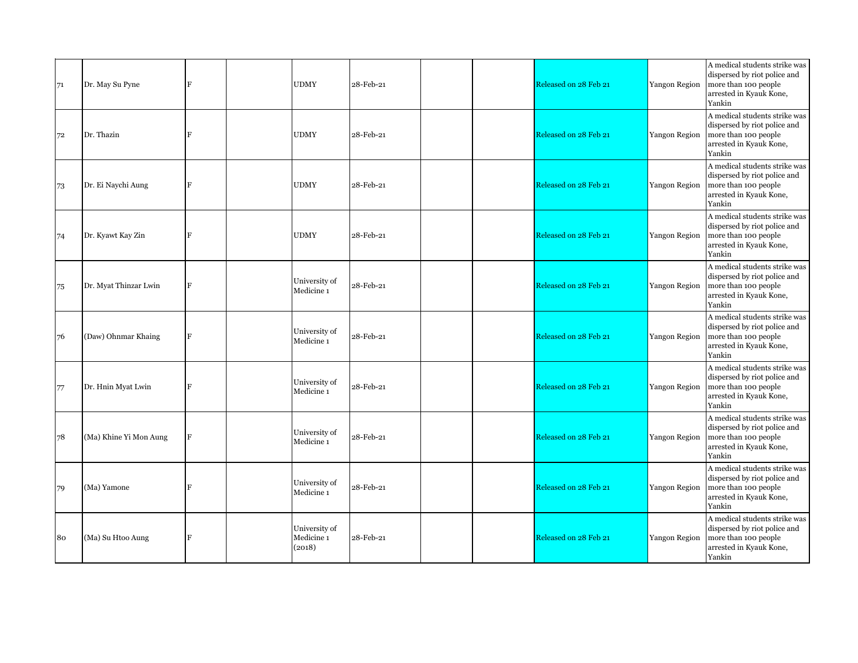| 71 | Dr. May Su Pyne        | F            | <b>UDMY</b>                           | 28-Feb-21 |  | Released on 28 Feb 21 | Yangon Region        | A medical students strike was<br>dispersed by riot police and<br>more than 100 people<br>arrested in Kyauk Kone,<br>Yankin |
|----|------------------------|--------------|---------------------------------------|-----------|--|-----------------------|----------------------|----------------------------------------------------------------------------------------------------------------------------|
| 72 | Dr. Thazin             | F            | <b>UDMY</b>                           | 28-Feb-21 |  | Released on 28 Feb 21 | Yangon Region        | A medical students strike was<br>dispersed by riot police and<br>more than 100 people<br>arrested in Kyauk Kone,<br>Yankin |
| 73 | Dr. Ei Naychi Aung     | F            | <b>UDMY</b>                           | 28-Feb-21 |  | Released on 28 Feb 21 | Yangon Region        | A medical students strike was<br>dispersed by riot police and<br>more than 100 people<br>arrested in Kyauk Kone,<br>Yankin |
| 74 | Dr. Kyawt Kay Zin      | $\mathbf F$  | <b>UDMY</b>                           | 28-Feb-21 |  | Released on 28 Feb 21 | Yangon Region        | A medical students strike was<br>dispersed by riot police and<br>more than 100 people<br>arrested in Kyauk Kone,<br>Yankin |
| 75 | Dr. Myat Thinzar Lwin  | F            | University of<br>Medicine 1           | 28-Feb-21 |  | Released on 28 Feb 21 | Yangon Region        | A medical students strike was<br>dispersed by riot police and<br>more than 100 people<br>arrested in Kyauk Kone,<br>Yankin |
| 76 | (Daw) Ohnmar Khaing    | $\mathbf{F}$ | University of<br>Medicine 1           | 28-Feb-21 |  | Released on 28 Feb 21 | Yangon Region        | A medical students strike was<br>dispersed by riot police and<br>more than 100 people<br>arrested in Kyauk Kone,<br>Yankin |
| 77 | Dr. Hnin Myat Lwin     | $\mathbf F$  | University of<br>Medicine 1           | 28-Feb-21 |  | Released on 28 Feb 21 | <b>Yangon Region</b> | A medical students strike was<br>dispersed by riot police and<br>more than 100 people<br>arrested in Kyauk Kone,<br>Yankin |
| 78 | (Ma) Khine Yi Mon Aung | $\mathbf F$  | University of<br>Medicine 1           | 28-Feb-21 |  | Released on 28 Feb 21 | <b>Yangon Region</b> | A medical students strike was<br>dispersed by riot police and<br>more than 100 people<br>arrested in Kyauk Kone,<br>Yankin |
| 79 | (Ma) Yamone            | F            | University of<br>Medicine 1           | 28-Feb-21 |  | Released on 28 Feb 21 | <b>Yangon Region</b> | A medical students strike was<br>dispersed by riot police and<br>more than 100 people<br>arrested in Kyauk Kone,<br>Yankin |
| 80 | (Ma) Su Htoo Aung      | $_{\rm F}$   | University of<br>Medicine 1<br>(2018) | 28-Feb-21 |  | Released on 28 Feb 21 | Yangon Region        | A medical students strike was<br>dispersed by riot police and<br>more than 100 people<br>arrested in Kyauk Kone,<br>Yankin |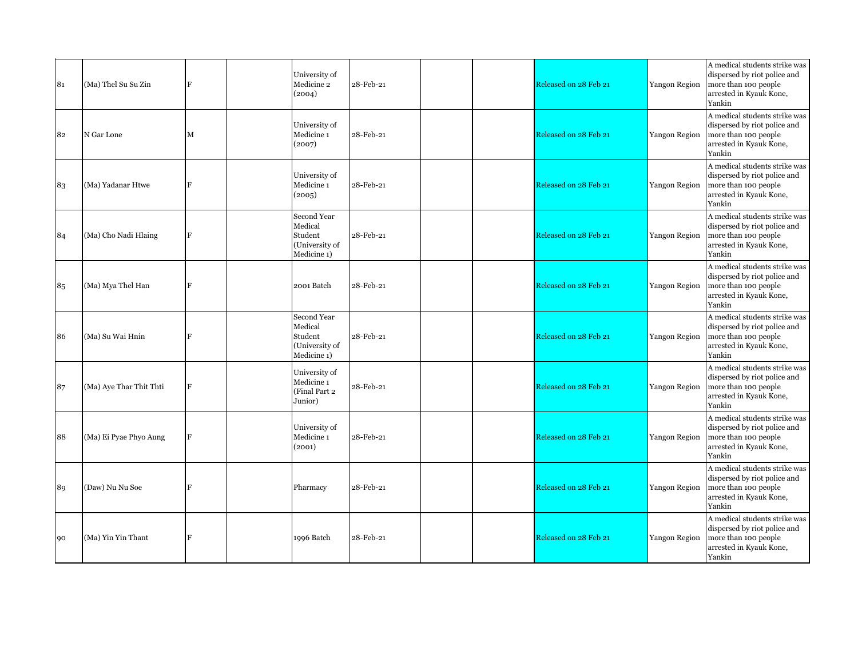| 81 | (Ma) Thel Su Su Zin     | $\mathbf{F}$ | University of<br>Medicine 2<br>(2004)                              | 28-Feb-21 |  | Released on 28 Feb 21 | Yangon Region        | A medical students strike was<br>dispersed by riot police and<br>more than 100 people<br>arrested in Kyauk Kone,<br>Yankin |
|----|-------------------------|--------------|--------------------------------------------------------------------|-----------|--|-----------------------|----------------------|----------------------------------------------------------------------------------------------------------------------------|
| 82 | N Gar Lone              | М            | University of<br>Medicine 1<br>(2007)                              | 28-Feb-21 |  | Released on 28 Feb 21 | <b>Yangon Region</b> | A medical students strike was<br>dispersed by riot police and<br>more than 100 people<br>arrested in Kyauk Kone,<br>Yankin |
| 83 | (Ma) Yadanar Htwe       | $\mathbf F$  | University of<br>Medicine 1<br>(2005)                              | 28-Feb-21 |  | Released on 28 Feb 21 | Yangon Region        | A medical students strike was<br>dispersed by riot police and<br>more than 100 people<br>arrested in Kyauk Kone,<br>Yankin |
| 84 | (Ma) Cho Nadi Hlaing    | $\rm F$      | Second Year<br>Medical<br>Student<br>(University of<br>Medicine 1) | 28-Feb-21 |  | Released on 28 Feb 21 | Yangon Region        | A medical students strike was<br>dispersed by riot police and<br>more than 100 people<br>arrested in Kyauk Kone,<br>Yankin |
| 85 | (Ma) Mya Thel Han       | F            | 2001 Batch                                                         | 28-Feb-21 |  | Released on 28 Feb 21 | <b>Yangon Region</b> | A medical students strike was<br>dispersed by riot police and<br>more than 100 people<br>arrested in Kyauk Kone,<br>Yankin |
| 86 | (Ma) Su Wai Hnin        | F            | Second Year<br>Medical<br>Student<br>(University of<br>Medicine 1) | 28-Feb-21 |  | Released on 28 Feb 21 | <b>Yangon Region</b> | A medical students strike was<br>dispersed by riot police and<br>more than 100 people<br>arrested in Kyauk Kone,<br>Yankin |
| 87 | (Ma) Aye Thar Thit Thti | $\mathbf F$  | University of<br>Medicine 1<br>(Final Part 2)<br>Junior)           | 28-Feb-21 |  | Released on 28 Feb 21 | Yangon Region        | A medical students strike was<br>dispersed by riot police and<br>more than 100 people<br>arrested in Kyauk Kone,<br>Yankin |
| 88 | (Ma) Ei Pyae Phyo Aung  | $\mathbf F$  | University of<br>Medicine 1<br>(2001)                              | 28-Feb-21 |  | Released on 28 Feb 21 | Yangon Region        | A medical students strike was<br>dispersed by riot police and<br>more than 100 people<br>arrested in Kyauk Kone,<br>Yankin |
| 89 | (Daw) Nu Nu Soe         | $_{\rm F}$   | Pharmacy                                                           | 28-Feb-21 |  | Released on 28 Feb 21 | Yangon Region        | A medical students strike was<br>dispersed by riot police and<br>more than 100 people<br>arrested in Kyauk Kone,<br>Yankin |
| 90 | (Ma) Yin Yin Thant      | $_{\rm F}$   | 1996 Batch                                                         | 28-Feb-21 |  | Released on 28 Feb 21 | Yangon Region        | A medical students strike was<br>dispersed by riot police and<br>more than 100 people<br>arrested in Kyauk Kone,<br>Yankin |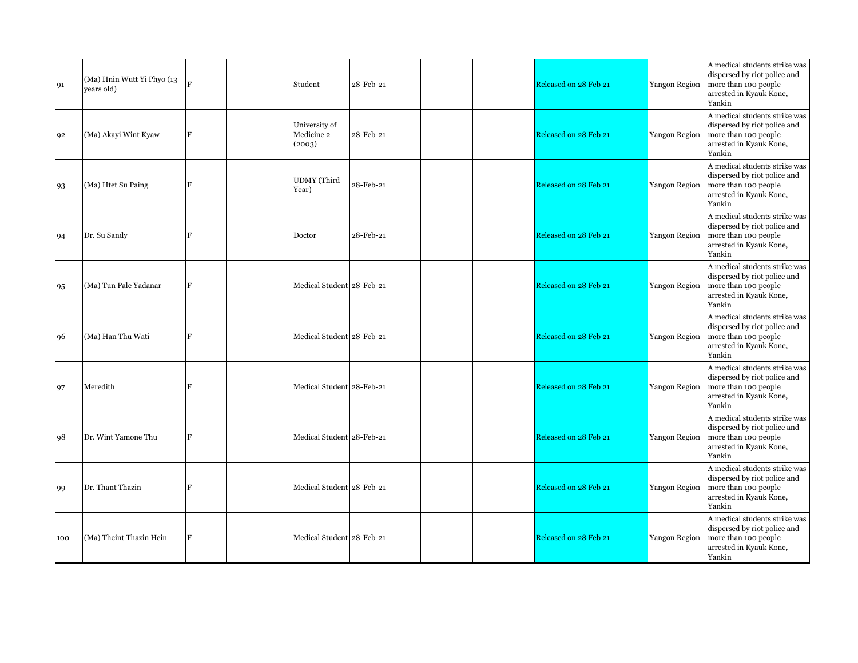| 91  | (Ma) Hnin Wutt Yi Phyo (13<br>vears old) | R            | Student                               | 28-Feb-21 |  | Released on 28 Feb 21 | <b>Yangon Region</b> | A medical students strike was<br>dispersed by riot police and<br>more than 100 people<br>arrested in Kyauk Kone,<br>Yankin |
|-----|------------------------------------------|--------------|---------------------------------------|-----------|--|-----------------------|----------------------|----------------------------------------------------------------------------------------------------------------------------|
| 92  | (Ma) Akayi Wint Kyaw                     | $_{\rm F}$   | University of<br>Medicine 2<br>(2003) | 28-Feb-21 |  | Released on 28 Feb 21 | <b>Yangon Region</b> | A medical students strike was<br>dispersed by riot police and<br>more than 100 people<br>arrested in Kyauk Kone,<br>Yankin |
| 93  | (Ma) Htet Su Paing                       | $\mathbf F$  | <b>UDMY</b> (Third<br>Year)           | 28-Feb-21 |  | Released on 28 Feb 21 | <b>Yangon Region</b> | A medical students strike was<br>dispersed by riot police and<br>more than 100 people<br>arrested in Kyauk Kone,<br>Yankin |
| 94  | Dr. Su Sandy                             | F            | Doctor                                | 28-Feb-21 |  | Released on 28 Feb 21 | Yangon Region        | A medical students strike was<br>dispersed by riot police and<br>more than 100 people<br>arrested in Kyauk Kone,<br>Yankin |
| 95  | (Ma) Tun Pale Yadanar                    | $\mathbf{F}$ | Medical Student 28-Feb-21             |           |  | Released on 28 Feb 21 | Yangon Region        | A medical students strike was<br>dispersed by riot police and<br>more than 100 people<br>arrested in Kyauk Kone,<br>Yankin |
| 96  | (Ma) Han Thu Wati                        | $\mathbf F$  | Medical Student 28-Feb-21             |           |  | Released on 28 Feb 21 | Yangon Region        | A medical students strike was<br>dispersed by riot police and<br>more than 100 people<br>arrested in Kyauk Kone,<br>Yankin |
| 97  | Meredith                                 | F            | Medical Student 28-Feb-21             |           |  | Released on 28 Feb 21 | Yangon Region        | A medical students strike was<br>dispersed by riot police and<br>more than 100 people<br>arrested in Kyauk Kone,<br>Yankin |
| 98  | Dr. Wint Yamone Thu                      | F            | Medical Student 28-Feb-21             |           |  | Released on 28 Feb 21 | Yangon Region        | A medical students strike was<br>dispersed by riot police and<br>more than 100 people<br>arrested in Kyauk Kone,<br>Yankin |
| 99  | Dr. Thant Thazin                         | F            | Medical Student 28-Feb-21             |           |  | Released on 28 Feb 21 | Yangon Region        | A medical students strike was<br>dispersed by riot police and<br>more than 100 people<br>arrested in Kyauk Kone,<br>Yankin |
| 100 | (Ma) Theint Thazin Hein                  | $\mathbf{F}$ | Medical Student 28-Feb-21             |           |  | Released on 28 Feb 21 | Yangon Region        | A medical students strike was<br>dispersed by riot police and<br>more than 100 people<br>arrested in Kyauk Kone,<br>Yankin |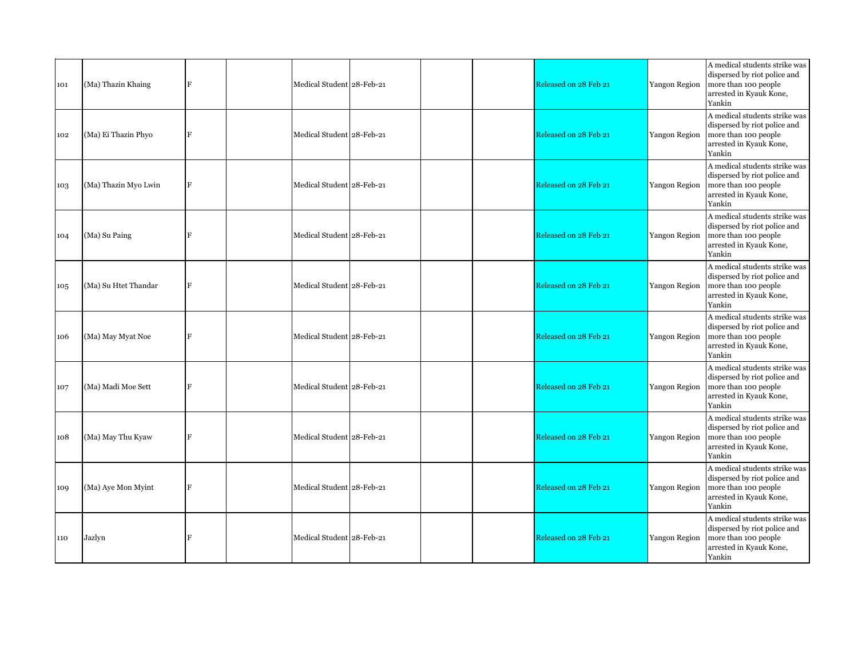| 101 | (Ma) Thazin Khaing   | F            | Medical Student 28-Feb-21 |  | Released on 28 Feb 21 | Yangon Region        | A medical students strike was<br>dispersed by riot police and<br>more than 100 people<br>arrested in Kyauk Kone,<br>Yankin |
|-----|----------------------|--------------|---------------------------|--|-----------------------|----------------------|----------------------------------------------------------------------------------------------------------------------------|
| 102 | (Ma) Ei Thazin Phyo  | F            | Medical Student 28-Feb-21 |  | Released on 28 Feb 21 | <b>Yangon Region</b> | A medical students strike was<br>dispersed by riot police and<br>more than 100 people<br>arrested in Kyauk Kone,<br>Yankin |
| 103 | (Ma) Thazin Myo Lwin | F            | Medical Student 28-Feb-21 |  | Released on 28 Feb 21 | <b>Yangon Region</b> | A medical students strike was<br>dispersed by riot police and<br>more than 100 people<br>arrested in Kyauk Kone,<br>Yankin |
| 104 | (Ma) Su Paing        | $_{\rm F}$   | Medical Student 28-Feb-21 |  | Released on 28 Feb 21 | <b>Yangon Region</b> | A medical students strike was<br>dispersed by riot police and<br>more than 100 people<br>arrested in Kyauk Kone,<br>Yankin |
| 105 | (Ma) Su Htet Thandar | $\mathbf F$  | Medical Student 28-Feb-21 |  | Released on 28 Feb 21 | <b>Yangon Region</b> | A medical students strike was<br>dispersed by riot police and<br>more than 100 people<br>arrested in Kyauk Kone,<br>Yankin |
| 106 | (Ma) May Myat Noe    | F            | Medical Student 28-Feb-21 |  | Released on 28 Feb 21 | <b>Yangon Region</b> | A medical students strike was<br>dispersed by riot police and<br>more than 100 people<br>arrested in Kyauk Kone,<br>Yankin |
| 107 | (Ma) Madi Moe Sett   | $\mathbf{F}$ | Medical Student 28-Feb-21 |  | Released on 28 Feb 21 | <b>Yangon Region</b> | A medical students strike was<br>dispersed by riot police and<br>more than 100 people<br>arrested in Kyauk Kone,<br>Yankin |
| 108 | (Ma) May Thu Kyaw    | F            | Medical Student 28-Feb-21 |  | Released on 28 Feb 21 | <b>Yangon Region</b> | A medical students strike was<br>dispersed by riot police and<br>more than 100 people<br>arrested in Kyauk Kone,<br>Yankin |
| 109 | (Ma) Aye Mon Myint   | F            | Medical Student 28-Feb-21 |  | Released on 28 Feb 21 | <b>Yangon Region</b> | A medical students strike was<br>dispersed by riot police and<br>more than 100 people<br>arrested in Kyauk Kone,<br>Yankin |
| 110 | Jazlyn               | F            | Medical Student 28-Feb-21 |  | Released on 28 Feb 21 | <b>Yangon Region</b> | A medical students strike was<br>dispersed by riot police and<br>more than 100 people<br>arrested in Kyauk Kone,<br>Yankin |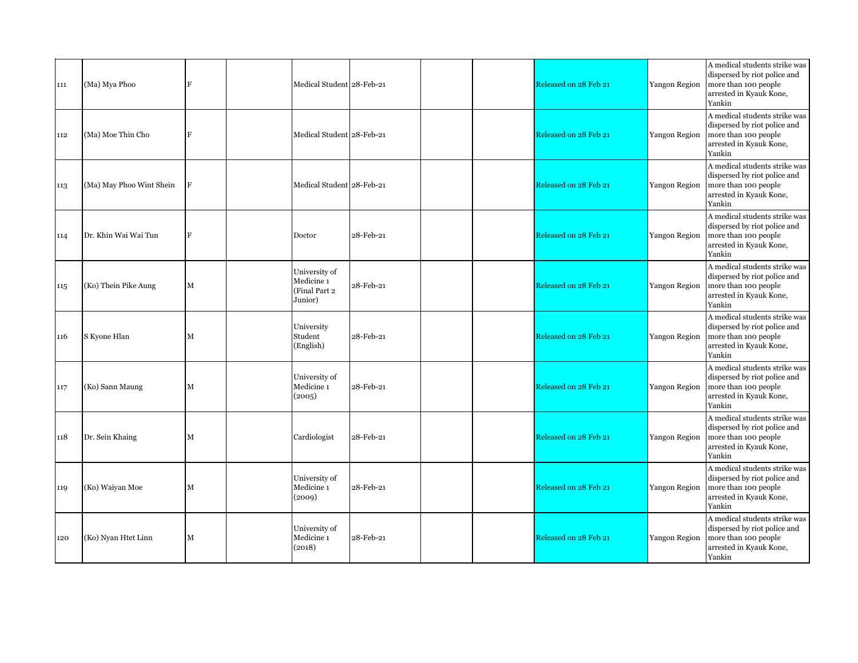| 111 | (Ma) Mya Phoo            | $\mathbf{F}$ | Medical Student 28-Feb-21                               |           |  | Released on 28 Feb 21 | Yangon Region        | A medical students strike was<br>dispersed by riot police and<br>more than 100 people<br>arrested in Kyauk Kone,<br>Yankin |
|-----|--------------------------|--------------|---------------------------------------------------------|-----------|--|-----------------------|----------------------|----------------------------------------------------------------------------------------------------------------------------|
| 112 | (Ma) Moe Thin Cho        | $\mathbf F$  | Medical Student 28-Feb-21                               |           |  | Released on 28 Feb 21 | <b>Yangon Region</b> | A medical students strike was<br>dispersed by riot police and<br>more than 100 people<br>arrested in Kyauk Kone,<br>Yankin |
| 113 | (Ma) May Phoo Wint Shein | F            | Medical Student 28-Feb-21                               |           |  | Released on 28 Feb 21 | Yangon Region        | A medical students strike was<br>dispersed by riot police and<br>more than 100 people<br>arrested in Kyauk Kone,<br>Yankin |
| 114 | Dr. Khin Wai Wai Tun     | F            | Doctor                                                  | 28-Feb-21 |  | Released on 28 Feb 21 | Yangon Region        | A medical students strike was<br>dispersed by riot police and<br>more than 100 people<br>arrested in Kyauk Kone,<br>Yankin |
| 115 | (Ko) Thein Pike Aung     | M            | University of<br>Medicine 1<br>(Final Part 2<br>Junior) | 28-Feb-21 |  | Released on 28 Feb 21 | <b>Yangon Region</b> | A medical students strike was<br>dispersed by riot police and<br>more than 100 people<br>arrested in Kyauk Kone,<br>Yankin |
| 116 | S Kyone Hlan             | M            | University<br>Student<br>(English)                      | 28-Feb-21 |  | Released on 28 Feb 21 | <b>Yangon Region</b> | A medical students strike was<br>dispersed by riot police and<br>more than 100 people<br>arrested in Kyauk Kone,<br>Yankin |
| 117 | (Ko) Sann Maung          | $\mathbf M$  | University of<br>Medicine 1<br>(2005)                   | 28-Feb-21 |  | Released on 28 Feb 21 | Yangon Region        | A medical students strike was<br>dispersed by riot police and<br>more than 100 people<br>arrested in Kyauk Kone,<br>Yankin |
| 118 | Dr. Sein Khaing          | M            | Cardiologist                                            | 28-Feb-21 |  | Released on 28 Feb 21 | Yangon Region        | A medical students strike was<br>dispersed by riot police and<br>more than 100 people<br>arrested in Kyauk Kone,<br>Yankin |
| 119 | (Ko) Waiyan Moe          | $\mathbf{M}$ | University of<br>Medicine 1<br>(2009)                   | 28-Feb-21 |  | Released on 28 Feb 21 | Yangon Region        | A medical students strike was<br>dispersed by riot police and<br>more than 100 people<br>arrested in Kyauk Kone,<br>Yankin |
| 120 | (Ko) Nyan Htet Linn      | $\mathbf M$  | University of<br>Medicine 1<br>(2018)                   | 28-Feb-21 |  | Released on 28 Feb 21 | Yangon Region        | A medical students strike was<br>dispersed by riot police and<br>more than 100 people<br>arrested in Kyauk Kone,<br>Yankin |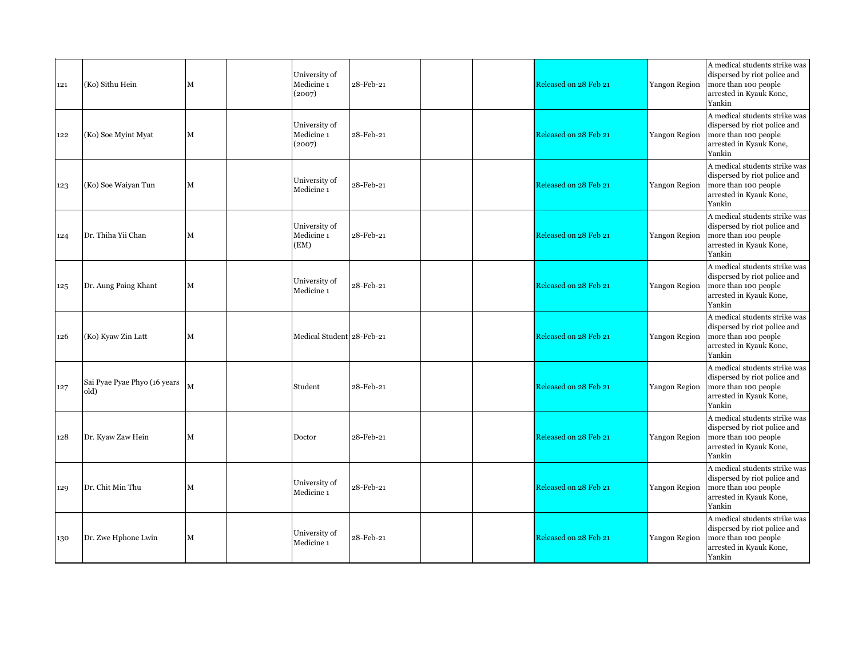| 121 | (Ko) Sithu Hein                      | M            | University of<br>Medicine 1<br>(2007) | 28-Feb-21 |  | Released on 28 Feb 21 | <b>Yangon Region</b> | A medical students strike was<br>dispersed by riot police and<br>more than 100 people<br>arrested in Kyauk Kone,<br>Yankin |
|-----|--------------------------------------|--------------|---------------------------------------|-----------|--|-----------------------|----------------------|----------------------------------------------------------------------------------------------------------------------------|
| 122 | (Ko) Soe Myint Myat                  | M            | University of<br>Medicine 1<br>(2007) | 28-Feb-21 |  | Released on 28 Feb 21 | <b>Yangon Region</b> | A medical students strike was<br>dispersed by riot police and<br>more than 100 people<br>arrested in Kyauk Kone,<br>Yankin |
| 123 | (Ko) Soe Waiyan Tun                  | $\mathbf{M}$ | University of<br>Medicine 1           | 28-Feb-21 |  | Released on 28 Feb 21 | Yangon Region        | A medical students strike was<br>dispersed by riot police and<br>more than 100 people<br>arrested in Kyauk Kone,<br>Yankin |
| 124 | Dr. Thiha Yii Chan                   | $\mathbf M$  | University of<br>Medicine 1<br>(EM)   | 28-Feb-21 |  | Released on 28 Feb 21 | Yangon Region        | A medical students strike was<br>dispersed by riot police and<br>more than 100 people<br>arrested in Kyauk Kone,<br>Yankin |
| 125 | Dr. Aung Paing Khant                 | M            | University of<br>Medicine 1           | 28-Feb-21 |  | Released on 28 Feb 21 | <b>Yangon Region</b> | A medical students strike was<br>dispersed by riot police and<br>more than 100 people<br>arrested in Kyauk Kone,<br>Yankin |
| 126 | (Ko) Kyaw Zin Latt                   | M            | Medical Student 28-Feb-21             |           |  | Released on 28 Feb 21 | <b>Yangon Region</b> | A medical students strike was<br>dispersed by riot police and<br>more than 100 people<br>arrested in Kyauk Kone,<br>Yankin |
| 127 | Sai Pyae Pyae Phyo (16 years<br>old) | M            | Student                               | 28-Feb-21 |  | Released on 28 Feb 21 | Yangon Region        | A medical students strike was<br>dispersed by riot police and<br>more than 100 people<br>arrested in Kyauk Kone,<br>Yankin |
| 128 | Dr. Kyaw Zaw Hein                    | $\mathbf M$  | Doctor                                | 28-Feb-21 |  | Released on 28 Feb 21 | Yangon Region        | A medical students strike was<br>dispersed by riot police and<br>more than 100 people<br>arrested in Kyauk Kone,<br>Yankin |
| 129 | Dr. Chit Min Thu                     | $\mathbf{M}$ | University of<br>Medicine 1           | 28-Feb-21 |  | Released on 28 Feb 21 | Yangon Region        | A medical students strike was<br>dispersed by riot police and<br>more than 100 people<br>arrested in Kyauk Kone,<br>Yankin |
| 130 | Dr. Zwe Hphone Lwin                  | $\mathbf M$  | University of<br>Medicine 1           | 28-Feb-21 |  | Released on 28 Feb 21 | <b>Yangon Region</b> | A medical students strike was<br>dispersed by riot police and<br>more than 100 people<br>arrested in Kyauk Kone,<br>Yankin |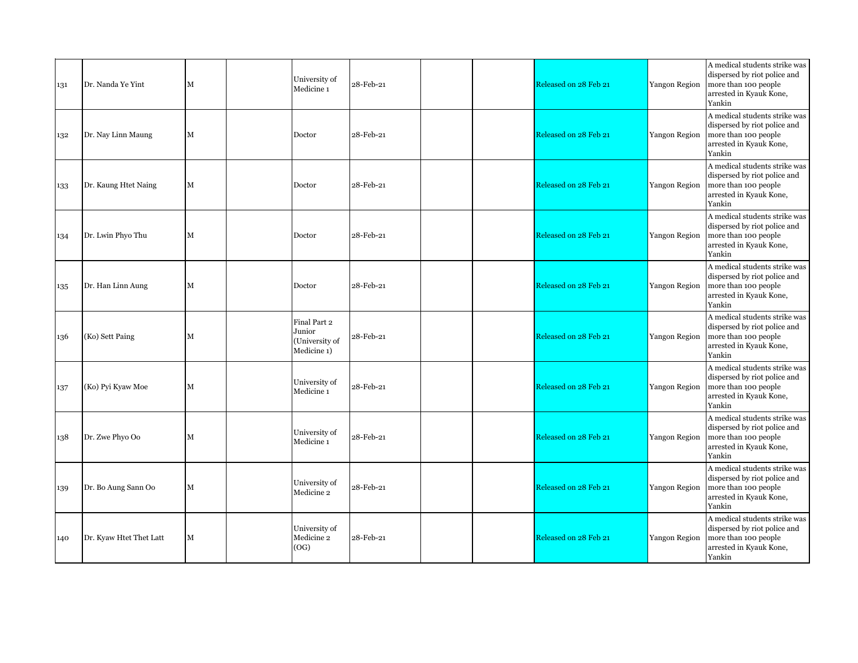| 131 | Dr. Nanda Ye Yint       | M            | University of<br>Medicine 1                             | 28-Feb-21 |  | Released on 28 Feb 21 | <b>Yangon Region</b> | A medical students strike was<br>dispersed by riot police and<br>more than 100 people<br>arrested in Kyauk Kone,<br>Yankin |
|-----|-------------------------|--------------|---------------------------------------------------------|-----------|--|-----------------------|----------------------|----------------------------------------------------------------------------------------------------------------------------|
| 132 | Dr. Nay Linn Maung      | M            | Doctor                                                  | 28-Feb-21 |  | Released on 28 Feb 21 | <b>Yangon Region</b> | A medical students strike was<br>dispersed by riot police and<br>more than 100 people<br>arrested in Kyauk Kone,<br>Yankin |
| 133 | Dr. Kaung Htet Naing    | $\mathbf{M}$ | Doctor                                                  | 28-Feb-21 |  | Released on 28 Feb 21 | Yangon Region        | A medical students strike was<br>dispersed by riot police and<br>more than 100 people<br>arrested in Kyauk Kone,<br>Yankin |
| 134 | Dr. Lwin Phyo Thu       | $\mathbf M$  | Doctor                                                  | 28-Feb-21 |  | Released on 28 Feb 21 | Yangon Region        | A medical students strike was<br>dispersed by riot police and<br>more than 100 people<br>arrested in Kyauk Kone,<br>Yankin |
| 135 | Dr. Han Linn Aung       | M            | Doctor                                                  | 28-Feb-21 |  | Released on 28 Feb 21 | <b>Yangon Region</b> | A medical students strike was<br>dispersed by riot police and<br>more than 100 people<br>arrested in Kyauk Kone,<br>Yankin |
| 136 | (Ko) Sett Paing         | M            | Final Part 2<br>Junior<br>(University of<br>Medicine 1) | 28-Feb-21 |  | Released on 28 Feb 21 | <b>Yangon Region</b> | A medical students strike was<br>dispersed by riot police and<br>more than 100 people<br>arrested in Kyauk Kone,<br>Yankin |
| 137 | (Ko) Pyi Kyaw Moe       | $\mathbf M$  | University of<br>Medicine 1                             | 28-Feb-21 |  | Released on 28 Feb 21 | Yangon Region        | A medical students strike was<br>dispersed by riot police and<br>more than 100 people<br>arrested in Kyauk Kone,<br>Yankin |
| 138 | Dr. Zwe Phyo Oo         | M            | University of<br>Medicine 1                             | 28-Feb-21 |  | Released on 28 Feb 21 | Yangon Region        | A medical students strike was<br>dispersed by riot police and<br>more than 100 people<br>arrested in Kyauk Kone,<br>Yankin |
| 139 | Dr. Bo Aung Sann Oo     | $\mathbf{M}$ | University of<br>Medicine 2                             | 28-Feb-21 |  | Released on 28 Feb 21 | Yangon Region        | A medical students strike was<br>dispersed by riot police and<br>more than 100 people<br>arrested in Kyauk Kone,<br>Yankin |
| 140 | Dr. Kyaw Htet Thet Latt | $\mathbf M$  | University of<br>Medicine 2<br>(OG)                     | 28-Feb-21 |  | Released on 28 Feb 21 | <b>Yangon Region</b> | A medical students strike was<br>dispersed by riot police and<br>more than 100 people<br>arrested in Kyauk Kone,<br>Yankin |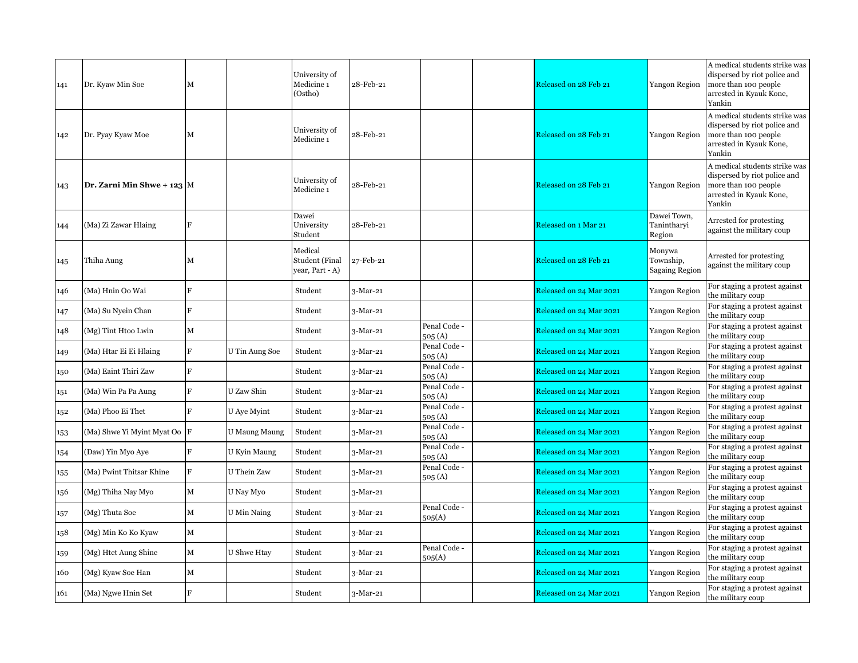| 141 | Dr. Kyaw Min Soe             | $\mathbf M$             |                      | University of<br>Medicine 1<br>(Ostho)       | 28-Feb-21  |                         | Released on 28 Feb 21   | <b>Yangon Region</b>                         | A medical students strike was<br>dispersed by riot police and<br>more than 100 people<br>arrested in Kyauk Kone,<br>Yankin |
|-----|------------------------------|-------------------------|----------------------|----------------------------------------------|------------|-------------------------|-------------------------|----------------------------------------------|----------------------------------------------------------------------------------------------------------------------------|
| 142 | Dr. Pyay Kyaw Moe            | $\mathbf M$             |                      | University of<br>Medicine 1                  | 28-Feb-21  |                         | Released on 28 Feb 21   | <b>Yangon Region</b>                         | A medical students strike was<br>dispersed by riot police and<br>more than 100 people<br>arrested in Kyauk Kone,<br>Yankin |
| 143 | Dr. Zarni Min Shwe + $123$ M |                         |                      | University of<br>Medicine 1                  | 28-Feb-21  |                         | Released on 28 Feb 21   | <b>Yangon Region</b>                         | A medical students strike was<br>dispersed by riot police and<br>more than 100 people<br>arrested in Kyauk Kone,<br>Yankin |
| 144 | (Ma) Zi Zawar Hlaing         | F                       |                      | Dawei<br>University<br>Student               | 28-Feb-21  |                         | Released on 1 Mar 21    | Dawei Town,<br>Tanintharyi<br>Region         | Arrested for protesting<br>against the military coup                                                                       |
| 145 | Thiha Aung                   | $\mathbf M$             |                      | Medical<br>Student (Final<br>year, Part - A) | 27-Feb-21  |                         | Released on 28 Feb 21   | Monywa<br>Township,<br><b>Sagaing Region</b> | Arrested for protesting<br>against the military coup                                                                       |
| 146 | (Ma) Hnin Oo Wai             | F                       |                      | Student                                      | $3-Mar-21$ |                         | Released on 24 Mar 2021 | <b>Yangon Region</b>                         | For staging a protest against<br>the military coup                                                                         |
| 147 | (Ma) Su Nyein Chan           | $\overline{\mathrm{F}}$ |                      | Student                                      | $3-Mar-21$ |                         | Released on 24 Mar 2021 | Yangon Region                                | For staging a protest against<br>the military coup                                                                         |
| 148 | (Mg) Tint Htoo Lwin          | $\mathbf M$             |                      | Student                                      | $3-Mar-21$ | Penal Code -<br>505 (A) | Released on 24 Mar 2021 | Yangon Region                                | For staging a protest against<br>the military coup                                                                         |
| 149 | (Ma) Htar Ei Ei Hlaing       | F                       | U Tin Aung Soe       | Student                                      | 3-Mar-21   | Penal Code -<br>505 (A) | Released on 24 Mar 2021 | Yangon Region                                | For staging a protest against<br>the military coup                                                                         |
| 150 | (Ma) Eaint Thiri Zaw         | F                       |                      | Student                                      | 3-Mar-21   | Penal Code -<br>505 (A) | Released on 24 Mar 2021 | <b>Yangon Region</b>                         | For staging a protest against<br>the military coup                                                                         |
| 151 | (Ma) Win Pa Pa Aung          | F                       | U Zaw Shin           | Student                                      | 3-Mar-21   | Penal Code -<br>505 (A) | Released on 24 Mar 2021 | <b>Yangon Region</b>                         | For staging a protest against<br>the military coup                                                                         |
| 152 | (Ma) Phoo Ei Thet            | F                       | U Aye Myint          | Student                                      | 3-Mar-21   | Penal Code -<br>505(A)  | Released on 24 Mar 2021 | <b>Yangon Region</b>                         | For staging a protest against<br>the military coup                                                                         |
| 153 | (Ma) Shwe Yi Myint Myat Oo F |                         | <b>U Maung Maung</b> | Student                                      | 3-Mar-21   | Penal Code -<br>505 (A) | Released on 24 Mar 2021 | <b>Yangon Region</b>                         | For staging a protest against<br>the military coup                                                                         |
| 154 | (Daw) Yin Myo Aye            | F                       | U Kyin Maung         | Student                                      | 3-Mar-21   | Penal Code -<br>505(A)  | Released on 24 Mar 2021 | Yangon Region                                | For staging a protest against<br>the military coup                                                                         |
| 155 | (Ma) Pwint Thitsar Khine     | F                       | U Thein Zaw          | Student                                      | 3-Mar-21   | Penal Code -<br>505(A)  | Released on 24 Mar 2021 | <b>Yangon Region</b>                         | For staging a protest against<br>the military coup                                                                         |
| 156 | (Mg) Thiha Nay Myo           | $\mathbf M$             | U Nay Myo            | Student                                      | $3-Mar-21$ |                         | Released on 24 Mar 2021 | <b>Yangon Region</b>                         | For staging a protest against<br>the military coup                                                                         |
| 157 | (Mg) Thuta Soe               | $\mathbf M$             | U Min Naing          | Student                                      | $3-Mar-21$ | Penal Code -<br>505(A)  | Released on 24 Mar 2021 | Yangon Region                                | For staging a protest against<br>the military coup                                                                         |
| 158 | (Mg) Min Ko Ko Kyaw          | М                       |                      | Student                                      | $3-Mar-21$ |                         | Released on 24 Mar 2021 | Yangon Region                                | For staging a protest against<br>the military coup                                                                         |
| 159 | (Mg) Htet Aung Shine         | $\mathbf M$             | <b>U</b> Shwe Htay   | Student                                      | 3-Mar-21   | Penal Code -<br>505(A)  | Released on 24 Mar 2021 | Yangon Region                                | For staging a protest against<br>the military coup                                                                         |
| 160 | (Mg) Kyaw Soe Han            | $\mathbf M$             |                      | Student                                      | 3-Mar-21   |                         | Released on 24 Mar 2021 | Yangon Region                                | For staging a protest against<br>the military coup                                                                         |
| 161 | (Ma) Ngwe Hnin Set           | $\mathbf F$             |                      | Student                                      | $3-Mar-21$ |                         | Released on 24 Mar 2021 | Yangon Region                                | For staging a protest against<br>the military coup                                                                         |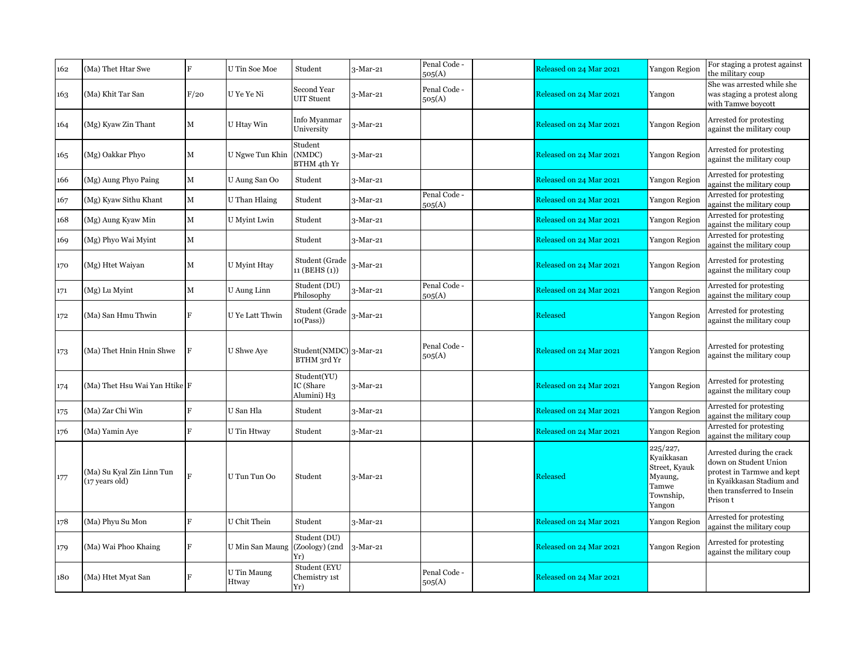| 162 | (Ma) Thet Htar Swe                                    | $\mathbf F$  | U Tin Soe Moe        | Student                                 | 3-Mar-21   | Penal Code -<br>505(A) | Released on 24 Mar 2021 | <b>Yangon Region</b>                                                               | For staging a protest against<br>the military coup                                                                                                      |
|-----|-------------------------------------------------------|--------------|----------------------|-----------------------------------------|------------|------------------------|-------------------------|------------------------------------------------------------------------------------|---------------------------------------------------------------------------------------------------------------------------------------------------------|
| 163 | (Ma) Khit Tar San                                     | F/20         | U Ye Ye Ni           | Second Year<br><b>UIT Stuent</b>        | 3-Mar-21   | Penal Code -<br>505(A) | Released on 24 Mar 2021 | Yangon                                                                             | She was arrested while she<br>was staging a protest along<br>with Tamwe boycott                                                                         |
| 164 | (Mg) Kyaw Zin Thant                                   | M            | U Htay Win           | Info Myanmar<br>University              | 3-Mar-21   |                        | Released on 24 Mar 2021 | <b>Yangon Region</b>                                                               | Arrested for protesting<br>against the military coup                                                                                                    |
| 165 | (Mg) Oakkar Phyo                                      | M            | U Ngwe Tun Khin      | Student<br>(NMDC)<br>BTHM 4th Yr        | $3-Mar-21$ |                        | Released on 24 Mar 2021 | <b>Yangon Region</b>                                                               | Arrested for protesting<br>against the military coup                                                                                                    |
| 166 | (Mg) Aung Phyo Paing                                  | $\mathbf M$  | U Aung San Oo        | Student                                 | 3-Mar-21   |                        | Released on 24 Mar 2021 | Yangon Region                                                                      | Arrested for protesting<br>against the military coup                                                                                                    |
| 167 | (Mg) Kyaw Sithu Khant                                 | $\mathbf M$  | U Than Hlaing        | Student                                 | $3-Mar-21$ | Penal Code -<br>505(A) | Released on 24 Mar 2021 | <b>Yangon Region</b>                                                               | Arrested for protesting<br>against the military coup                                                                                                    |
| 168 | (Mg) Aung Kyaw Min                                    | $\mathbf M$  | U Myint Lwin         | Student                                 | $3-Mar-21$ |                        | Released on 24 Mar 2021 | <b>Yangon Region</b>                                                               | Arrested for protesting<br>against the military coup                                                                                                    |
| 169 | (Mg) Phyo Wai Myint                                   | $\mathbf M$  |                      | Student                                 | 3-Mar-21   |                        | Released on 24 Mar 2021 | <b>Yangon Region</b>                                                               | Arrested for protesting<br>against the military coup                                                                                                    |
| 170 | (Mg) Htet Waiyan                                      | M            | U Myint Htay         | Student (Grade<br>11(BEHS(1))           | 3-Mar-21   |                        | Released on 24 Mar 2021 | <b>Yangon Region</b>                                                               | Arrested for protesting<br>against the military coup                                                                                                    |
| 171 | (Mg) Lu Myint                                         | $\mathbf M$  | U Aung Linn          | Student (DU)<br>Philosophy              | 3-Mar-21   | Penal Code -<br>505(A) | Released on 24 Mar 2021 | Yangon Region                                                                      | Arrested for protesting<br>against the military coup                                                                                                    |
| 172 | (Ma) San Hmu Thwin                                    | $\mathbf F$  | U Ye Latt Thwin      | Student (Grade<br>10(Pass)              | 3-Mar-21   |                        | Released                | <b>Yangon Region</b>                                                               | Arrested for protesting<br>against the military coup                                                                                                    |
| 173 | (Ma) Thet Hnin Hnin Shwe                              | F            | U Shwe Aye           | Student(NMDC) 3-Mar-21<br>BTHM 3rd Yr   |            | Penal Code -<br>505(A) | Released on 24 Mar 2021 | <b>Yangon Region</b>                                                               | Arrested for protesting<br>against the military coup                                                                                                    |
| 174 | (Ma) Thet Hsu Wai Yan Htike F                         |              |                      | Student(YU)<br>IC (Share<br>Alumini) H3 | 3-Mar-21   |                        | Released on 24 Mar 2021 | <b>Yangon Region</b>                                                               | Arrested for protesting<br>against the military coup                                                                                                    |
| 175 | (Ma) Zar Chi Win                                      | $\mathbf F$  | U San Hla            | Student                                 | $3-Mar-21$ |                        | Released on 24 Mar 2021 | <b>Yangon Region</b>                                                               | Arrested for protesting<br>against the military coup                                                                                                    |
| 176 | (Ma) Yamin Aye                                        | $\mathbf F$  | U Tin Htway          | Student                                 | 3-Mar-21   |                        | Released on 24 Mar 2021 | <b>Yangon Region</b>                                                               | Arrested for protesting<br>against the military coup                                                                                                    |
| 177 | (Ma) Su Kyal Zin Linn Tun<br>$(17 \text{ years old})$ | F            | U Tun Tun Oo         | Student                                 | $3-Mar-21$ |                        | Released                | 225/227,<br>Kyaikkasan<br>Street, Kyauk<br>Myaung,<br>Tamwe<br>Township,<br>Yangon | Arrested during the crack<br>down on Student Union<br>protest in Tarmwe and kept<br>in Kyaikkasan Stadium and<br>then transferred to Insein<br>Prison t |
| 178 | (Ma) Phyu Su Mon                                      | $\mathbf{F}$ | U Chit Thein         | Student                                 | $3-Mar-21$ |                        | Released on 24 Mar 2021 | <b>Yangon Region</b>                                                               | Arrested for protesting<br>against the military coup                                                                                                    |
| 179 | (Ma) Wai Phoo Khaing                                  | F            | U Min San Maung      | Student (DU)<br>(Zoology) (2nd<br>Yr)   | 3-Mar-21   |                        | Released on 24 Mar 2021 | <b>Yangon Region</b>                                                               | Arrested for protesting<br>against the military coup                                                                                                    |
| 180 | (Ma) Htet Myat San                                    | F            | U Tin Maung<br>Htway | Student (EYU<br>Chemistry 1st<br>Yr)    |            | Penal Code -<br>505(A) | Released on 24 Mar 2021 |                                                                                    |                                                                                                                                                         |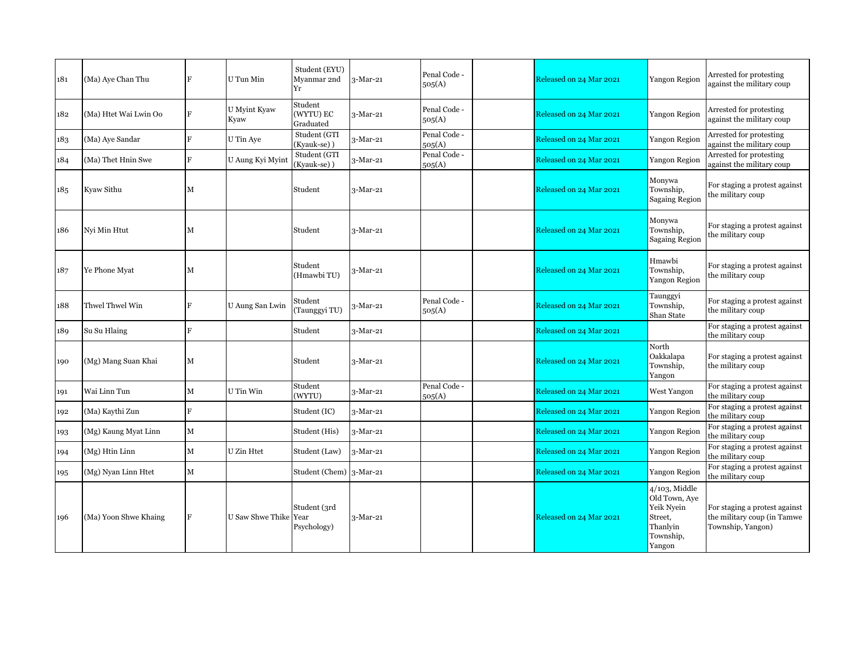| 181 | (Ma) Aye Chan Thu     | $\mathbf F$  | U Tun Min                   | Student (EYU)<br>Myanmar 2nd<br>Yг  | $3-Mar-21$ | Penal Code -<br>505(A) | Released on 24 Mar 2021 | <b>Yangon Region</b>                                                                       | Arrested for protesting<br>against the military coup                              |
|-----|-----------------------|--------------|-----------------------------|-------------------------------------|------------|------------------------|-------------------------|--------------------------------------------------------------------------------------------|-----------------------------------------------------------------------------------|
| 182 | (Ma) Htet Wai Lwin Oo | F            | <b>U</b> Myint Kyaw<br>Kyaw | Student<br>(WYTU) EC<br>Graduated   | 3-Mar-21   | Penal Code -<br>505(A) | Released on 24 Mar 2021 | Yangon Region                                                                              | Arrested for protesting<br>against the military coup                              |
| 183 | (Ma) Aye Sandar       | F            | U Tin Aye                   | Student (GTI<br>(Kyauk-se))         | 3-Mar-21   | Penal Code -<br>505(A) | Released on 24 Mar 2021 | <b>Yangon Region</b>                                                                       | Arrested for protesting<br>against the military coup                              |
| 184 | (Ma) Thet Hnin Swe    | F            | U Aung Kyi Myint            | Student (GTI<br>(Kyauk-se))         | 3-Mar-21   | Penal Code -<br>505(A) | Released on 24 Mar 2021 | <b>Yangon Region</b>                                                                       | Arrested for protesting<br>against the military coup                              |
| 185 | Kyaw Sithu            | M            |                             | Student                             | $3-Mar-21$ |                        | Released on 24 Mar 2021 | Monywa<br>Township,<br><b>Sagaing Region</b>                                               | For staging a protest against<br>the military coup                                |
| 186 | Nyi Min Htut          | $\mathbf M$  |                             | Student                             | $3-Mar-21$ |                        | Released on 24 Mar 2021 | Monywa<br>Township,<br><b>Sagaing Region</b>                                               | For staging a protest against<br>the military coup                                |
| 187 | Ye Phone Myat         | М            |                             | Student<br>(Hmawbi TU)              | 3-Mar-21   |                        | Released on 24 Mar 2021 | Hmawbi<br>Township,<br><b>Yangon Region</b>                                                | For staging a protest against<br>the military coup                                |
| 188 | Thwel Thwel Win       | $\mathbf{F}$ | U Aung San Lwin             | Student<br>(Taunggyi TU)            | 3-Mar-21   | Penal Code -<br>505(A) | Released on 24 Mar 2021 | Taunggyi<br>Township,<br>Shan State                                                        | For staging a protest against<br>the military coup                                |
| 189 | Su Su Hlaing          | F            |                             | Student                             | $3-Mar-21$ |                        | Released on 24 Mar 2021 |                                                                                            | For staging a protest against<br>the military coup                                |
| 190 | (Mg) Mang Suan Khai   | $\mathbf M$  |                             | Student                             | $3-Mar-21$ |                        | Released on 24 Mar 2021 | North<br>Oakkalapa<br>Township,<br>Yangon                                                  | For staging a protest against<br>the military coup                                |
| 191 | Wai Linn Tun          | $\mathbf M$  | U Tin Win                   | Student<br>(WYTU)                   | 3-Mar-21   | Penal Code -<br>505(A) | Released on 24 Mar 2021 | West Yangon                                                                                | For staging a protest against<br>the military coup                                |
| 192 | (Ma) Kaythi Zun       | $\mathbf{F}$ |                             | Student (IC)                        | $3-Mar-21$ |                        | Released on 24 Mar 2021 | <b>Yangon Region</b>                                                                       | For staging a protest against<br>the military coup                                |
| 193 | (Mg) Kaung Myat Linn  | M            |                             | Student (His)                       | 3-Mar-21   |                        | Released on 24 Mar 2021 | Yangon Region                                                                              | For staging a protest against<br>the military coup                                |
| 194 | (Mg) Htin Linn        | $\mathbf{M}$ | U Zin Htet                  | Student (Law)                       | $3-Mar-21$ |                        | Released on 24 Mar 2021 | <b>Yangon Region</b>                                                                       | For staging a protest against<br>the military coup                                |
| 195 | (Mg) Nyan Linn Htet   | $\mathbf M$  |                             | Student (Chem)                      | $3-Mar-21$ |                        | Released on 24 Mar 2021 | <b>Yangon Region</b>                                                                       | For staging a protest against<br>the military coup                                |
| 196 | (Ma) Yoon Shwe Khaing | F            | U Saw Shwe Thike            | Student (3rd<br>Year<br>Psychology) | $3-Mar-21$ |                        | Released on 24 Mar 2021 | 4/103, Middle<br>Old Town, Aye<br>Yeik Nyein<br>Street,<br>Thanlyin<br>Township,<br>Yangon | For staging a protest against<br>the military coup (in Tamwe<br>Township, Yangon) |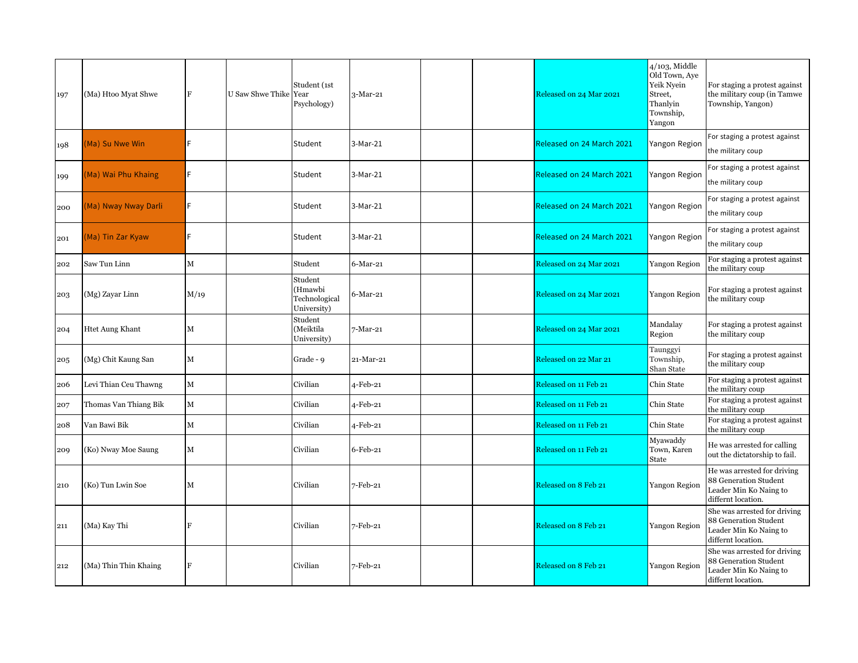| 197 | (Ma) Htoo Myat Shwe    | F            | U Saw Shwe Thike Year | Student (1st<br>Psychology)                        | $3-Mar-21$  | Released on 24 Mar 2021   | $4/103$ , Middle<br>Old Town, Aye<br>Yeik Nyein<br>Street,<br>Thanlyin<br>Township,<br>Yangon | For staging a protest against<br>the military coup (in Tamwe<br>Township, Yangon)                     |
|-----|------------------------|--------------|-----------------------|----------------------------------------------------|-------------|---------------------------|-----------------------------------------------------------------------------------------------|-------------------------------------------------------------------------------------------------------|
| 198 | (Ma) Su Nwe Win        | F            |                       | Student                                            | 3-Mar-21    | Released on 24 March 2021 | Yangon Region                                                                                 | For staging a protest against<br>the military coup                                                    |
| 199 | (Ma) Wai Phu Khaing    | F            |                       | Student                                            | 3-Mar-21    | Released on 24 March 2021 | Yangon Region                                                                                 | For staging a protest against<br>the military coup                                                    |
| 200 | (Ma) Nway Nway Darli   | F.           |                       | Student                                            | 3-Mar-21    | Released on 24 March 2021 | Yangon Region                                                                                 | For staging a protest against<br>the military coup                                                    |
| 201 | (Ma) Tin Zar Kyaw      | F.           |                       | Student                                            | 3-Mar-21    | Released on 24 March 2021 | Yangon Region                                                                                 | For staging a protest against<br>the military coup                                                    |
| 202 | Saw Tun Linn           | $\mathbf{M}$ |                       | Student                                            | $6-Mar-21$  | Released on 24 Mar 2021   | <b>Yangon Region</b>                                                                          | For staging a protest against<br>the military coup                                                    |
| 203 | (Mg) Zayar Linn        | M/19         |                       | Student<br>(Hmawbi<br>Technological<br>University) | 6-Mar-21    | Released on 24 Mar 2021   | <b>Yangon Region</b>                                                                          | For staging a protest against<br>the military coup                                                    |
| 204 | <b>Htet Aung Khant</b> | M            |                       | Student<br>(Meiktila<br>University)                | 7-Mar-21    | Released on 24 Mar 2021   | Mandalay<br>Region                                                                            | For staging a protest against<br>the military coup                                                    |
| 205 | (Mg) Chit Kaung San    | M            |                       | Grade - 9                                          | 21-Mar-21   | Released on 22 Mar 21     | Taunggyi<br>Township,<br>Shan State                                                           | For staging a protest against<br>the military coup                                                    |
| 206 | Levi Thian Ceu Thawng  | $\mathbf{M}$ |                       | Civilian                                           | 4-Feb-21    | Released on 11 Feb 21     | Chin State                                                                                    | For staging a protest against<br>the military coup                                                    |
| 207 | Thomas Van Thiang Bik  | M            |                       | Civilian                                           | 4-Feb-21    | Released on 11 Feb 21     | Chin State                                                                                    | For staging a protest against<br>the military coup                                                    |
| 208 | Van Bawi Bik           | $\mathbf{M}$ |                       | Civilian                                           | 4-Feb-21    | Released on 11 Feb 21     | Chin State                                                                                    | For staging a protest against<br>the military coup                                                    |
| 209 | (Ko) Nway Moe Saung    | M            |                       | Civilian                                           | $6$ -Feb-21 | Released on 11 Feb 21     | Myawaddy<br>Town, Karen<br><b>State</b>                                                       | He was arrested for calling<br>out the dictatorship to fail.                                          |
| 210 | (Ko) Tun Lwin Soe      | M            |                       | Civilian                                           | 7-Feb-21    | Released on 8 Feb 21      | <b>Yangon Region</b>                                                                          | He was arrested for driving<br>88 Generation Student<br>Leader Min Ko Naing to<br>differnt location.  |
| 211 | (Ma) Kay Thi           | F            |                       | Civilian                                           | 7-Feb-21    | Released on 8 Feb 21      | <b>Yangon Region</b>                                                                          | She was arrested for driving<br>88 Generation Student<br>Leader Min Ko Naing to<br>differnt location. |
| 212 | (Ma) Thin Thin Khaing  | F            |                       | Civilian                                           | 7-Feb-21    | Released on 8 Feb 21      | <b>Yangon Region</b>                                                                          | She was arrested for driving<br>88 Generation Student<br>Leader Min Ko Naing to<br>differnt location. |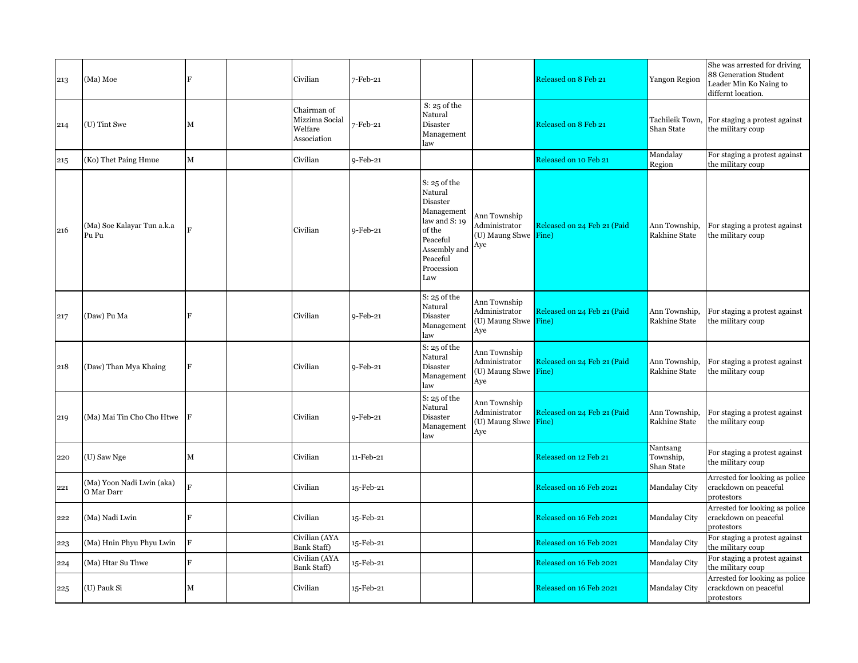| 213 | (Ma) Moe                                | $\rm F$                 | Civilian                                                | 7-Feb-21    |                                                                                                                                             |                                                              | Released on 8 Feb 21        | <b>Yangon Region</b>                | She was arrested for driving<br>88 Generation Student<br>Leader Min Ko Naing to<br>differnt location. |
|-----|-----------------------------------------|-------------------------|---------------------------------------------------------|-------------|---------------------------------------------------------------------------------------------------------------------------------------------|--------------------------------------------------------------|-----------------------------|-------------------------------------|-------------------------------------------------------------------------------------------------------|
| 214 | (U) Tint Swe                            | M                       | Chairman of<br>Mizzima Social<br>Welfare<br>Association | 7-Feb-21    | $S: 25$ of the<br>Natural<br>Disaster<br>Management<br>law                                                                                  |                                                              | Released on 8 Feb 21        | Shan State                          | Tachileik Town, For staging a protest against<br>the military coup                                    |
| 215 | (Ko) Thet Paing Hmue                    | M                       | Civilian                                                | $9$ -Feb-21 |                                                                                                                                             |                                                              | Released on 10 Feb 21       | Mandalay<br>Region                  | For staging a protest against<br>the military coup                                                    |
| 216 | (Ma) Soe Kalayar Tun a.k.a<br>Pu Pu     |                         | Civilian                                                | $9$ -Feb-21 | $S: 25$ of the<br>Natural<br>Disaster<br>Management<br>law and S: 19<br>of the<br>Peaceful<br>Assembly and<br>Peaceful<br>Procession<br>Law | Ann Township<br>Administrator<br>(U) Maung Shwe Fine)<br>Aye | Released on 24 Feb 21 (Paid | Ann Township,<br>Rakhine State      | For staging a protest against<br>the military coup                                                    |
| 217 | (Daw) Pu Ma                             | F                       | Civilian                                                | $9$ -Feb-21 | $S: 25$ of the<br>Natural<br><b>Disaster</b><br>Management<br>law                                                                           | Ann Township<br>Administrator<br>(U) Maung Shwe Fine)<br>Aye | Released on 24 Feb 21 (Paid | Ann Township,<br>Rakhine State      | For staging a protest against<br>the military coup                                                    |
| 218 | (Daw) Than Mya Khaing                   | $\rm F$                 | Civilian                                                | 9-Feb-21    | S: 25 of the<br>Natural<br>Disaster<br>Management<br>law                                                                                    | Ann Township<br>Administrator<br>(U) Maung Shwe Fine)<br>Aye | Released on 24 Feb 21 (Paid | Ann Township,<br>Rakhine State      | For staging a protest against<br>the military coup                                                    |
| 219 | (Ma) Mai Tin Cho Cho Htwe               | F                       | Civilian                                                | 9-Feb-21    | S: 25 of the<br>Natural<br>Disaster<br>Management<br>law                                                                                    | Ann Township<br>Administrator<br>(U) Maung Shwe Fine)<br>Aye | Released on 24 Feb 21 (Paid | Ann Township,<br>Rakhine State      | For staging a protest against<br>the military coup                                                    |
| 220 | (U) Saw Nge                             | M                       | Civilian                                                | 11-Feb-21   |                                                                                                                                             |                                                              | Released on 12 Feb 21       | Nantsang<br>Township,<br>Shan State | For staging a protest against<br>the military coup                                                    |
| 221 | (Ma) Yoon Nadi Lwin (aka)<br>O Mar Darr | $\overline{\mathbf{F}}$ | Civilian                                                | 15-Feb-21   |                                                                                                                                             |                                                              | Released on 16 Feb 2021     | Mandalay City                       | Arrested for looking as police<br>crackdown on peaceful<br>protestors                                 |
| 222 | (Ma) Nadi Lwin                          | F                       | Civilian                                                | 15-Feb-21   |                                                                                                                                             |                                                              | Released on 16 Feb 2021     | Mandalay City                       | Arrested for looking as police<br>crackdown on peaceful<br>protestors                                 |
| 223 | (Ma) Hnin Phyu Phyu Lwin                | $\mathbf{F}$            | Civilian (AYA<br>Bank Staff)                            | 15-Feb-21   |                                                                                                                                             |                                                              | Released on 16 Feb 2021     | Mandalay City                       | For staging a protest against<br>the military coup                                                    |
| 224 | (Ma) Htar Su Thwe                       | $\mathbf{F}$            | Civilian (AYA<br>Bank Staff)                            | 15-Feb-21   |                                                                                                                                             |                                                              | Released on 16 Feb 2021     | Mandalay City                       | For staging a protest against<br>the military coup                                                    |
| 225 | (U) Pauk Si                             | M                       | Civilian                                                | 15-Feb-21   |                                                                                                                                             |                                                              | Released on 16 Feb 2021     | Mandalay City                       | Arrested for looking as police<br>crackdown on peaceful<br>protestors                                 |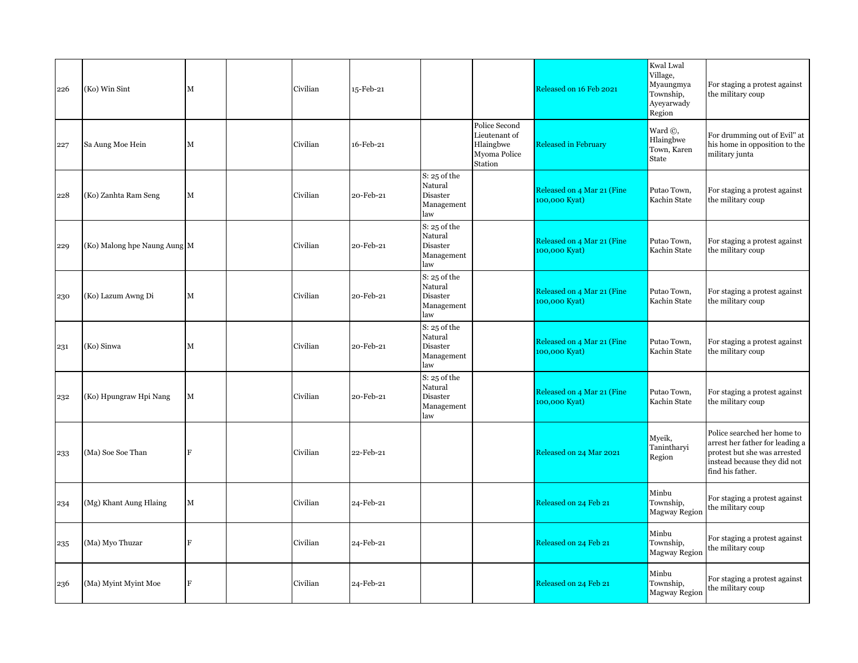| 226 | (Ko) Win Sint                | $\mathbf M$ | Civilian | 15-Feb-21 |                                                            |                                                                        | Released on 16 Feb 2021                     | Kwal Lwal<br>Village,<br>Myaungmya<br>Township,<br>Ayeyarwady<br>Region | For staging a protest against<br>the military coup                                                                                                 |
|-----|------------------------------|-------------|----------|-----------|------------------------------------------------------------|------------------------------------------------------------------------|---------------------------------------------|-------------------------------------------------------------------------|----------------------------------------------------------------------------------------------------------------------------------------------------|
| 227 | Sa Aung Moe Hein             | $\mathbf M$ | Civilian | 16-Feb-21 |                                                            | Police Second<br>Lieutenant of<br>Hlaingbwe<br>Myoma Police<br>Station | <b>Released in February</b>                 | Ward ©,<br>Hlaingbwe<br>Town, Karen<br>State                            | For drumming out of Evil" at<br>his home in opposition to the<br>military junta                                                                    |
| 228 | (Ko) Zanhta Ram Seng         | $\mathbf M$ | Civilian | 20-Feb-21 | S: 25 of the<br>Natural<br>Disaster<br>Management<br>law   |                                                                        | Released on 4 Mar 21 (Fine<br>100,000 Kyat) | Putao Town,<br>Kachin State                                             | For staging a protest against<br>the military coup                                                                                                 |
| 229 | (Ko) Malong hpe Naung Aung M |             | Civilian | 20-Feb-21 | $S: 25$ of the<br>Natural<br>Disaster<br>Management<br>law |                                                                        | Released on 4 Mar 21 (Fine<br>100,000 Kyat) | Putao Town,<br>Kachin State                                             | For staging a protest against<br>the military coup                                                                                                 |
| 230 | (Ko) Lazum Awng Di           | M           | Civilian | 20-Feb-21 | S: 25 of the<br>Natural<br>Disaster<br>Management<br>law   |                                                                        | Released on 4 Mar 21 (Fine<br>100,000 Kyat) | Putao Town,<br>Kachin State                                             | For staging a protest against<br>the military coup                                                                                                 |
| 231 | (Ko) Sinwa                   | $\mathbf M$ | Civilian | 20-Feb-21 | S: 25 of the<br>Natural<br>Disaster<br>Management<br>law   |                                                                        | Released on 4 Mar 21 (Fine<br>100,000 Kyat) | Putao Town,<br>Kachin State                                             | For staging a protest against<br>the military coup                                                                                                 |
| 232 | (Ko) Hpungraw Hpi Nang       | М           | Civilian | 20-Feb-21 | $S: 25$ of the<br>Natural<br>Disaster<br>Management<br>law |                                                                        | Released on 4 Mar 21 (Fine<br>100,000 Kyat) | Putao Town,<br>Kachin State                                             | For staging a protest against<br>the military coup                                                                                                 |
| 233 | (Ma) Soe Soe Than            | $\mathbf F$ | Civilian | 22-Feb-21 |                                                            |                                                                        | Released on 24 Mar 2021                     | Myeik,<br>Tanintharyi<br>Region                                         | Police searched her home to<br>arrest her father for leading a<br>protest but she was arrested<br>instead because they did not<br>find his father. |
| 234 | (Mg) Khant Aung Hlaing       | $\mathbf M$ | Civilian | 24-Feb-21 |                                                            |                                                                        | Released on 24 Feb 21                       | Minbu<br>Township,<br><b>Magway Region</b>                              | For staging a protest against<br>the military coup                                                                                                 |
| 235 | (Ma) Myo Thuzar              | $\mathbf F$ | Civilian | 24-Feb-21 |                                                            |                                                                        | Released on 24 Feb 21                       | Minbu<br>Township,<br><b>Magway Region</b>                              | For staging a protest against<br>the military coup                                                                                                 |
| 236 | (Ma) Myint Myint Moe         | F           | Civilian | 24-Feb-21 |                                                            |                                                                        | Released on 24 Feb 21                       | Minbu<br>Township,<br><b>Magway Region</b>                              | For staging a protest against<br>the military coup                                                                                                 |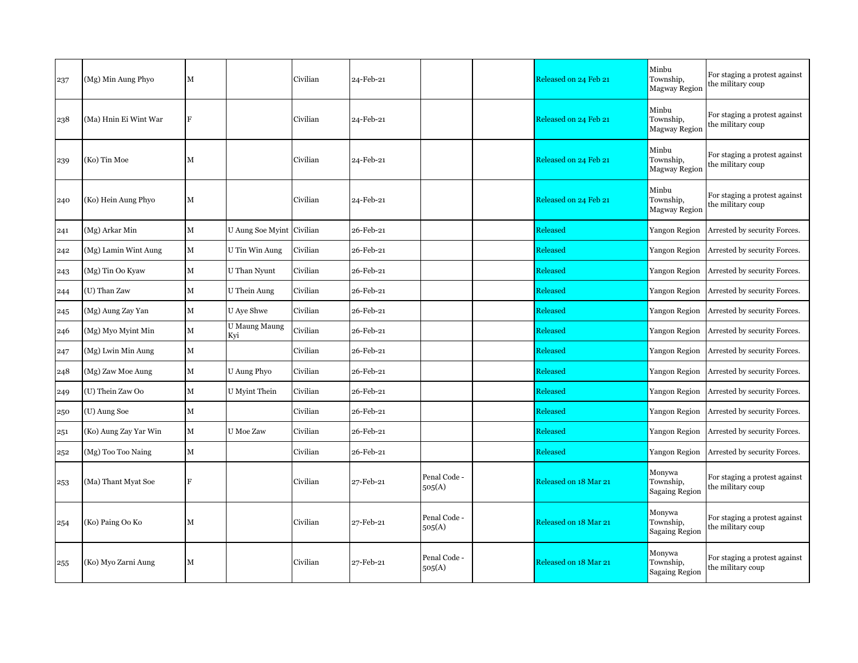| 237 | (Mg) Min Aung Phyo    | M           |                             | Civilian | 24-Feb-21 |                        | Released on 24 Feb 21 | Minbu<br>Township,<br><b>Magway Region</b>   | For staging a protest against<br>the military coup |
|-----|-----------------------|-------------|-----------------------------|----------|-----------|------------------------|-----------------------|----------------------------------------------|----------------------------------------------------|
| 238 | (Ma) Hnin Ei Wint War | F           |                             | Civilian | 24-Feb-21 |                        | Released on 24 Feb 21 | Minbu<br>Township,<br><b>Magway Region</b>   | For staging a protest against<br>the military coup |
| 239 | (Ko) Tin Moe          | M           |                             | Civilian | 24-Feb-21 |                        | Released on 24 Feb 21 | Minbu<br>Township,<br><b>Magway Region</b>   | For staging a protest against<br>the military coup |
| 240 | (Ko) Hein Aung Phyo   | M           |                             | Civilian | 24-Feb-21 |                        | Released on 24 Feb 21 | Minbu<br>Township,<br><b>Magway Region</b>   | For staging a protest against<br>the military coup |
| 241 | (Mg) Arkar Min        | $\mathbf M$ | U Aung Soe Myint Civilian   |          | 26-Feb-21 |                        | Released              | <b>Yangon Region</b>                         | Arrested by security Forces.                       |
| 242 | (Mg) Lamin Wint Aung  | $\mathbf M$ | U Tin Win Aung              | Civilian | 26-Feb-21 |                        | <b>Released</b>       | <b>Yangon Region</b>                         | Arrested by security Forces.                       |
| 243 | (Mg) Tin Oo Kyaw      | M           | U Than Nyunt                | Civilian | 26-Feb-21 |                        | Released              | <b>Yangon Region</b>                         | Arrested by security Forces.                       |
| 244 | (U) Than Zaw          | M           | U Thein Aung                | Civilian | 26-Feb-21 |                        | Released              | <b>Yangon Region</b>                         | Arrested by security Forces.                       |
| 245 | (Mg) Aung Zay Yan     | $\mathbf M$ | U Aye Shwe                  | Civilian | 26-Feb-21 |                        | Released              | <b>Yangon Region</b>                         | Arrested by security Forces.                       |
| 246 | (Mg) Myo Myint Min    | $\mathbf M$ | <b>U Maung Maung</b><br>Kvi | Civilian | 26-Feb-21 |                        | Released              | <b>Yangon Region</b>                         | Arrested by security Forces.                       |
| 247 | (Mg) Lwin Min Aung    | $\mathbf M$ |                             | Civilian | 26-Feb-21 |                        | Released              | <b>Yangon Region</b>                         | Arrested by security Forces.                       |
| 248 | (Mg) Zaw Moe Aung     | $\mathbf M$ | U Aung Phyo                 | Civilian | 26-Feb-21 |                        | Released              | <b>Yangon Region</b>                         | Arrested by security Forces.                       |
| 249 | (U) Thein Zaw Oo      | $\mathbf M$ | <b>U</b> Myint Thein        | Civilian | 26-Feb-21 |                        | Released              | <b>Yangon Region</b>                         | Arrested by security Forces.                       |
| 250 | (U) Aung Soe          | $\mathbf M$ |                             | Civilian | 26-Feb-21 |                        | Released              | <b>Yangon Region</b>                         | Arrested by security Forces.                       |
| 251 | (Ko) Aung Zay Yar Win | $\mathbf M$ | U Moe Zaw                   | Civilian | 26-Feb-21 |                        | Released              | Yangon Region                                | Arrested by security Forces.                       |
| 252 | (Mg) Too Too Naing    | M           |                             | Civilian | 26-Feb-21 |                        | Released              | <b>Yangon Region</b>                         | Arrested by security Forces.                       |
| 253 | (Ma) Thant Myat Soe   | F           |                             | Civilian | 27-Feb-21 | Penal Code -<br>505(A) | Released on 18 Mar 21 | Monywa<br>Township,<br><b>Sagaing Region</b> | For staging a protest against<br>the military coup |
| 254 | (Ko) Paing Oo Ko      | M           |                             | Civilian | 27-Feb-21 | Penal Code -<br>505(A) | Released on 18 Mar 21 | Monywa<br>Township,<br><b>Sagaing Region</b> | For staging a protest against<br>the military coup |
| 255 | (Ko) Myo Zarni Aung   | M           |                             | Civilian | 27-Feb-21 | Penal Code -<br>505(A) | Released on 18 Mar 21 | Monywa<br>Township,<br><b>Sagaing Region</b> | For staging a protest against<br>the military coup |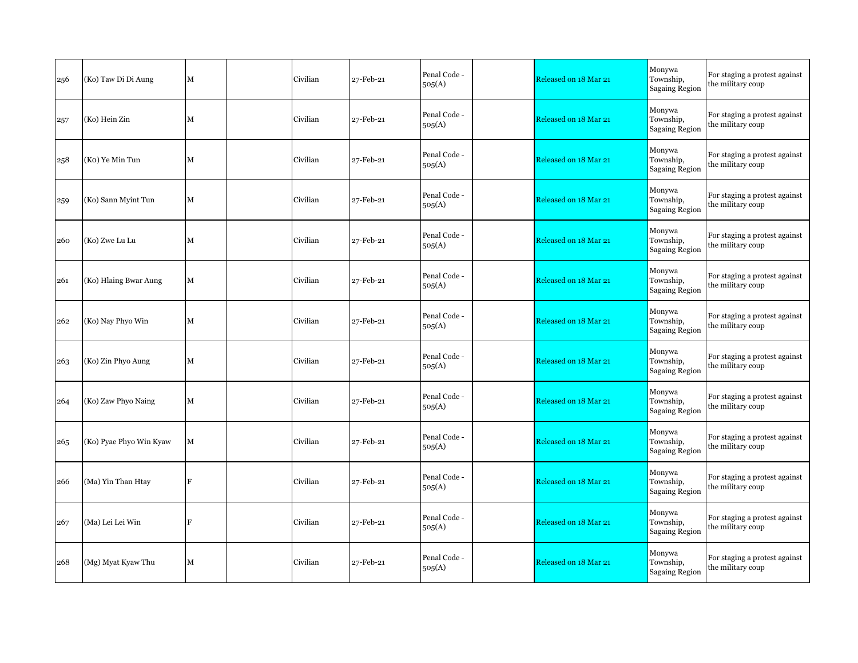| 256 | (Ko) Taw Di Di Aung     | M            | Civilian | 27-Feb-21 | Penal Code -<br>505(A) | Released on 18 Mar 21 | Monywa<br>Township,<br><b>Sagaing Region</b> | For staging a protest against<br>the military coup |
|-----|-------------------------|--------------|----------|-----------|------------------------|-----------------------|----------------------------------------------|----------------------------------------------------|
| 257 | (Ko) Hein Zin           | M            | Civilian | 27-Feb-21 | Penal Code -<br>505(A) | Released on 18 Mar 21 | Monywa<br>Township,<br><b>Sagaing Region</b> | For staging a protest against<br>the military coup |
| 258 | (Ko) Ye Min Tun         | M            | Civilian | 27-Feb-21 | Penal Code -<br>505(A) | Released on 18 Mar 21 | Monywa<br>Township,<br><b>Sagaing Region</b> | For staging a protest against<br>the military coup |
| 259 | (Ko) Sann Myint Tun     | М            | Civilian | 27-Feb-21 | Penal Code -<br>505(A) | Released on 18 Mar 21 | Monywa<br>Township,<br><b>Sagaing Region</b> | For staging a protest against<br>the military coup |
| 260 | (Ko) Zwe Lu Lu          | $\mathbf M$  | Civilian | 27-Feb-21 | Penal Code -<br>505(A) | Released on 18 Mar 21 | Monywa<br>Township,<br><b>Sagaing Region</b> | For staging a protest against<br>the military coup |
| 261 | (Ko) Hlaing Bwar Aung   | $\mathbf{M}$ | Civilian | 27-Feb-21 | Penal Code -<br>505(A) | Released on 18 Mar 21 | Monywa<br>Township,<br><b>Sagaing Region</b> | For staging a protest against<br>the military coup |
| 262 | (Ko) Nay Phyo Win       | $\mathbf M$  | Civilian | 27-Feb-21 | Penal Code -<br>505(A) | Released on 18 Mar 21 | Monywa<br>Township,<br><b>Sagaing Region</b> | For staging a protest against<br>the military coup |
| 263 | (Ko) Zin Phyo Aung      | М            | Civilian | 27-Feb-21 | Penal Code -<br>505(A) | Released on 18 Mar 21 | Monywa<br>Township,<br><b>Sagaing Region</b> | For staging a protest against<br>the military coup |
| 264 | (Ko) Zaw Phyo Naing     | M            | Civilian | 27-Feb-21 | Penal Code -<br>505(A) | Released on 18 Mar 21 | Monywa<br>Township,<br><b>Sagaing Region</b> | For staging a protest against<br>the military coup |
| 265 | (Ko) Pyae Phyo Win Kyaw | $\mathbf M$  | Civilian | 27-Feb-21 | Penal Code -<br>505(A) | Released on 18 Mar 21 | Monywa<br>Township,<br><b>Sagaing Region</b> | For staging a protest against<br>the military coup |
| 266 | (Ma) Yin Than Htay      | F            | Civilian | 27-Feb-21 | Penal Code -<br>505(A) | Released on 18 Mar 21 | Monywa<br>Township,<br><b>Sagaing Region</b> | For staging a protest against<br>the military coup |
| 267 | (Ma) Lei Lei Win        | F            | Civilian | 27-Feb-21 | Penal Code -<br>505(A) | Released on 18 Mar 21 | Monywa<br>Township,<br><b>Sagaing Region</b> | For staging a protest against<br>the military coup |
| 268 | (Mg) Myat Kyaw Thu      | M            | Civilian | 27-Feb-21 | Penal Code -<br>505(A) | Released on 18 Mar 21 | Monywa<br>Township,<br><b>Sagaing Region</b> | For staging a protest against<br>the military coup |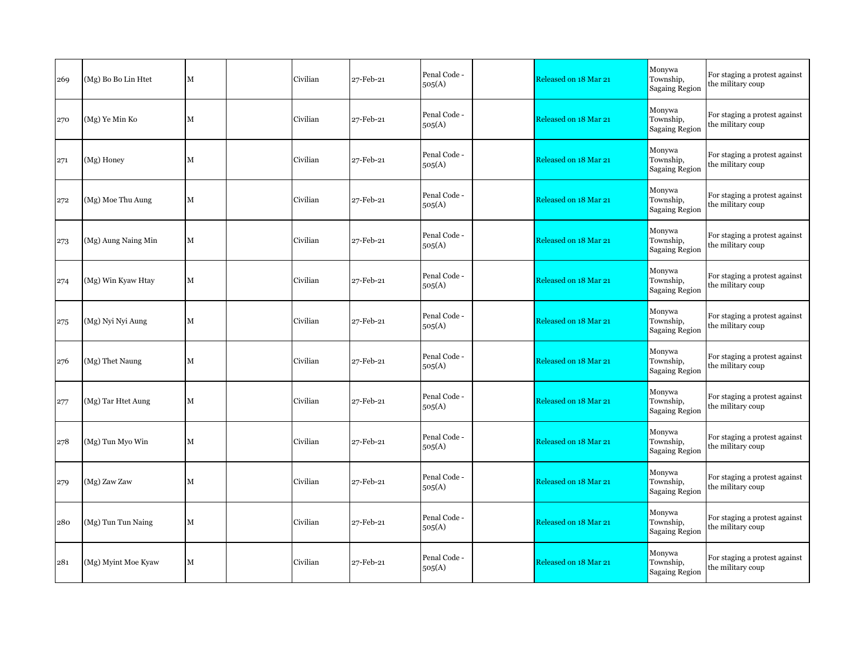| 269 | (Mg) Bo Bo Lin Htet | M | Civilian | 27-Feb-21 | Penal Code -<br>505(A) | Released on 18 Mar 21 | Monywa<br>Township,<br><b>Sagaing Region</b> | For staging a protest against<br>the military coup |
|-----|---------------------|---|----------|-----------|------------------------|-----------------------|----------------------------------------------|----------------------------------------------------|
| 270 | (Mg) Ye Min Ko      | M | Civilian | 27-Feb-21 | Penal Code -<br>505(A) | Released on 18 Mar 21 | Monywa<br>Township,<br><b>Sagaing Region</b> | For staging a protest against<br>the military coup |
| 271 | (Mg) Honey          | M | Civilian | 27-Feb-21 | Penal Code -<br>505(A) | Released on 18 Mar 21 | Monywa<br>Township,<br><b>Sagaing Region</b> | For staging a protest against<br>the military coup |
| 272 | (Mg) Moe Thu Aung   | М | Civilian | 27-Feb-21 | Penal Code -<br>505(A) | Released on 18 Mar 21 | Monywa<br>Township,<br><b>Sagaing Region</b> | For staging a protest against<br>the military coup |
| 273 | (Mg) Aung Naing Min | M | Civilian | 27-Feb-21 | Penal Code -<br>505(A) | Released on 18 Mar 21 | Monywa<br>Township,<br><b>Sagaing Region</b> | For staging a protest against<br>the military coup |
| 274 | (Mg) Win Kyaw Htay  | M | Civilian | 27-Feb-21 | Penal Code -<br>505(A) | Released on 18 Mar 21 | Monywa<br>Township,<br><b>Sagaing Region</b> | For staging a protest against<br>the military coup |
| 275 | (Mg) Nyi Nyi Aung   | M | Civilian | 27-Feb-21 | Penal Code -<br>505(A) | Released on 18 Mar 21 | Monywa<br>Township,<br><b>Sagaing Region</b> | For staging a protest against<br>the military coup |
| 276 | (Mg) Thet Naung     | M | Civilian | 27-Feb-21 | Penal Code -<br>505(A) | Released on 18 Mar 21 | Monywa<br>Township,<br><b>Sagaing Region</b> | For staging a protest against<br>the military coup |
| 277 | (Mg) Tar Htet Aung  | M | Civilian | 27-Feb-21 | Penal Code -<br>505(A) | Released on 18 Mar 21 | Monywa<br>Township,<br><b>Sagaing Region</b> | For staging a protest against<br>the military coup |
| 278 | (Mg) Tun Myo Win    | M | Civilian | 27-Feb-21 | Penal Code -<br>505(A) | Released on 18 Mar 21 | Monywa<br>Township,<br><b>Sagaing Region</b> | For staging a protest against<br>the military coup |
| 279 | (Mg) Zaw Zaw        | M | Civilian | 27-Feb-21 | Penal Code -<br>505(A) | Released on 18 Mar 21 | Monywa<br>Township,<br><b>Sagaing Region</b> | For staging a protest against<br>the military coup |
| 280 | (Mg) Tun Tun Naing  | M | Civilian | 27-Feb-21 | Penal Code -<br>505(A) | Released on 18 Mar 21 | Monywa<br>Township,<br><b>Sagaing Region</b> | For staging a protest against<br>the military coup |
| 281 | (Mg) Myint Moe Kyaw | M | Civilian | 27-Feb-21 | Penal Code -<br>505(A) | Released on 18 Mar 21 | Monywa<br>Township,<br><b>Sagaing Region</b> | For staging a protest against<br>the military coup |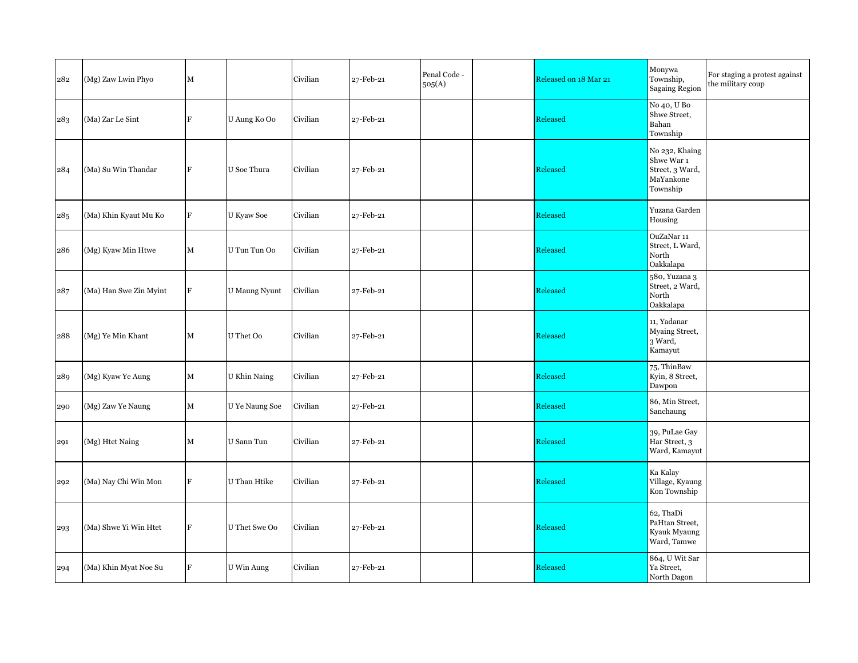| 282 | (Mg) Zaw Lwin Phyo     | $\mathbf M$ |                      | Civilian | 27-Feb-21 | Penal Code -<br>505(A) | Released on 18 Mar 21 | Monywa<br>Township,<br><b>Sagaing Region</b>                             | For staging a protest against<br>the military coup |
|-----|------------------------|-------------|----------------------|----------|-----------|------------------------|-----------------------|--------------------------------------------------------------------------|----------------------------------------------------|
| 283 | (Ma) Zar Le Sint       | $\mathbf F$ | U Aung Ko Oo         | Civilian | 27-Feb-21 |                        | Released              | No 40, U Bo<br>Shwe Street,<br>Bahan<br>Township                         |                                                    |
| 284 | (Ma) Su Win Thandar    | F           | U Soe Thura          | Civilian | 27-Feb-21 |                        | Released              | No 232, Khaing<br>Shwe War 1<br>Street, 3 Ward,<br>MaYankone<br>Township |                                                    |
| 285 | (Ma) Khin Kyaut Mu Ko  | $\mathbf F$ | U Kyaw Soe           | Civilian | 27-Feb-21 |                        | Released              | Yuzana Garden<br>Housing                                                 |                                                    |
| 286 | (Mg) Kyaw Min Htwe     | $\mathbf M$ | U Tun Tun Oo         | Civilian | 27-Feb-21 |                        | Released              | OuZaNar 11<br>Street, L Ward,<br>North<br>Oakkalapa                      |                                                    |
| 287 | (Ma) Han Swe Zin Myint | $\mathbf F$ | <b>U</b> Maung Nyunt | Civilian | 27-Feb-21 |                        | Released              | 580, Yuzana 3<br>Street, 2 Ward,<br>North<br>Oakkalapa                   |                                                    |
| 288 | (Mg) Ye Min Khant      | M           | U Thet Oo            | Civilian | 27-Feb-21 |                        | Released              | 11, Yadanar<br>Myaing Street,<br>3 Ward,<br>Kamayut                      |                                                    |
| 289 | (Mg) Kyaw Ye Aung      | $\mathbf M$ | U Khin Naing         | Civilian | 27-Feb-21 |                        | Released              | 75, ThinBaw<br>Kyin, 8 Street,<br>Dawpon                                 |                                                    |
| 290 | (Mg) Zaw Ye Naung      | $\mathbf M$ | U Ye Naung Soe       | Civilian | 27-Feb-21 |                        | Released              | 86, Min Street,<br>Sanchaung                                             |                                                    |
| 291 | (Mg) Htet Naing        | $\mathbf M$ | U Sann Tun           | Civilian | 27-Feb-21 |                        | Released              | 39, PuLae Gay<br>Har Street, 3<br>Ward, Kamayut                          |                                                    |
| 292 | (Ma) Nay Chi Win Mon   | F           | U Than Htike         | Civilian | 27-Feb-21 |                        | Released              | Ka Kalay<br>Village, Kyaung<br>Kon Township                              |                                                    |
| 293 | (Ma) Shwe Yi Win Htet  | F           | U Thet Swe Oo        | Civilian | 27-Feb-21 |                        | Released              | 62, ThaDi<br>PaHtan Street,<br>Kyauk Myaung<br>Ward, Tamwe               |                                                    |
| 294 | (Ma) Khin Myat Noe Su  | F           | U Win Aung           | Civilian | 27-Feb-21 |                        | Released              | 864, U Wit Sar<br>Ya Street,<br>North Dagon                              |                                                    |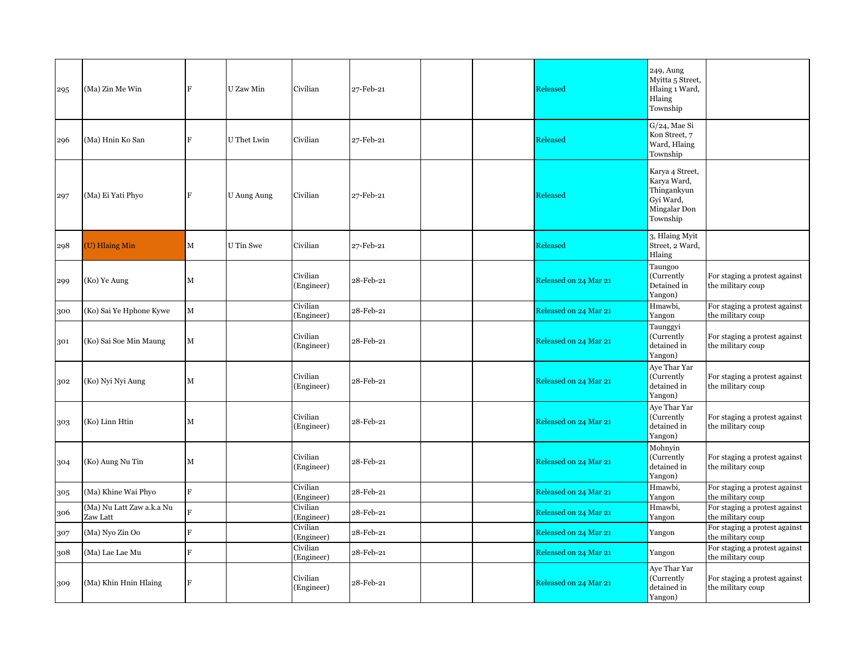| 295 | (Ma) Zin Me Win                       | F           | U Zaw Min          | Civilian               | 27-Feb-21 |  | Released              | 249, Aung<br>Myitta 5 Street,<br>Hlaing 1 Ward,<br>Hlaing<br>Township                  |                                                    |
|-----|---------------------------------------|-------------|--------------------|------------------------|-----------|--|-----------------------|----------------------------------------------------------------------------------------|----------------------------------------------------|
| 296 | (Ma) Hnin Ko San                      | F           | U Thet Lwin        | Civilian               | 27-Feb-21 |  | Released              | $G/24$ , Mae Si<br>Kon Street, 7<br>Ward, Hlaing<br>Township                           |                                                    |
| 297 | (Ma) Ei Yati Phyo                     | F           | <b>U Aung Aung</b> | Civilian               | 27-Feb-21 |  | Released              | Karya 4 Street,<br>Karya Ward,<br>Thingankyun<br>Gvi Ward,<br>Mingalar Don<br>Township |                                                    |
| 298 | $(U)$ Hlaing Min                      | M           | U Tin Swe          | Civilian               | 27-Feb-21 |  | Released              | 3, Hlaing Myit<br>Street, 2 Ward,<br>Hlaing                                            |                                                    |
| 299 | (Ko) Ye Aung                          | $\mathbf M$ |                    | Civilian<br>(Engineer) | 28-Feb-21 |  | Released on 24 Mar 21 | Taungoo<br>(Currently<br>Detained in<br>Yangon)                                        | For staging a protest against<br>the military coup |
| 300 | (Ko) Sai Ye Hphone Kywe               | $\mathbf M$ |                    | Civilian<br>(Engineer) | 28-Feb-21 |  | Released on 24 Mar 21 | Hmawbi,<br>Yangon                                                                      | For staging a protest against<br>the military coup |
| 301 | (Ko) Sai Soe Min Maung                | $\mathbf M$ |                    | Civilian<br>(Engineer) | 28-Feb-21 |  | Released on 24 Mar 21 | Taunggyi<br>(Currently<br>detained in<br>Yangon)                                       | For staging a protest against<br>the military coup |
| 302 | (Ko) Nyi Nyi Aung                     | M           |                    | Civilian<br>(Engineer) | 28-Feb-21 |  | Released on 24 Mar 21 | Aye Thar Yar<br>(Currently<br>detained in<br>Yangon)                                   | For staging a protest against<br>the military coup |
| 303 | (Ko) Linn Htin                        | M           |                    | Civilian<br>(Engineer) | 28-Feb-21 |  | Released on 24 Mar 21 | Aye Thar Yar<br>(Currently<br>detained in<br>Yangon)                                   | For staging a protest against<br>the military coup |
| 304 | (Ko) Aung Nu Tin                      | M           |                    | Civilian<br>(Engineer) | 28-Feb-21 |  | Released on 24 Mar 21 | Mohnyin<br>(Currently<br>detained in<br>Yangon)                                        | For staging a protest against<br>the military coup |
| 305 | (Ma) Khine Wai Phyo                   | F           |                    | Civilian<br>(Engineer) | 28-Feb-21 |  | Released on 24 Mar 21 | Hmawbi,<br>Yangon                                                                      | For staging a protest against<br>the military coup |
| 306 | (Ma) Nu Latt Zaw a.k.a Nu<br>Zaw Latt | F           |                    | Civilian<br>(Engineer) | 28-Feb-21 |  | Released on 24 Mar 21 | Hmawbi,<br>Yangon                                                                      | For staging a protest against<br>the military coup |
| 307 | (Ma) Nyo Zin Oo                       | F           |                    | Civilian<br>(Engineer) | 28-Feb-21 |  | Released on 24 Mar 21 | Yangon                                                                                 | For staging a protest against<br>the military coup |
| 308 | (Ma) Lae Lae Mu                       | F           |                    | Civilian<br>(Engineer) | 28-Feb-21 |  | Released on 24 Mar 21 | Yangon                                                                                 | For staging a protest against<br>the military coup |
| 309 | (Ma) Khin Hnin Hlaing                 | F           |                    | Civilian<br>(Engineer) | 28-Feb-21 |  | Released on 24 Mar 21 | Aye Thar Yar<br>(Currently<br>detained in<br>Yangon)                                   | For staging a protest against<br>the military coup |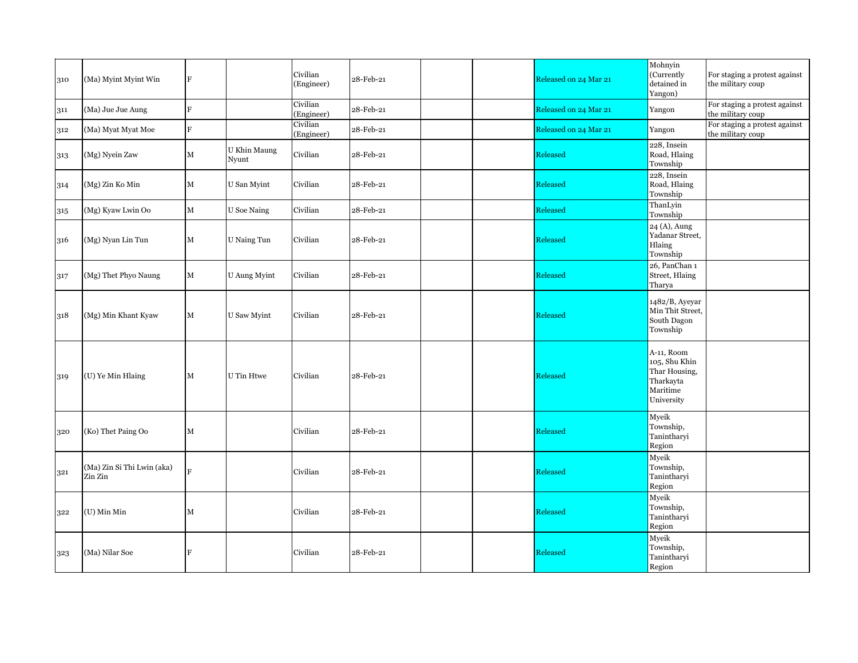| 310 | (Ma) Myint Myint Win                  | $\mathbf F$  |                       | Civilian<br>(Engineer) | 28-Feb-21 | Released on 24 Mar 21 | Mohnyin<br>(Currently<br>detained in<br>Yangon)                                     | For staging a protest against<br>the military coup |
|-----|---------------------------------------|--------------|-----------------------|------------------------|-----------|-----------------------|-------------------------------------------------------------------------------------|----------------------------------------------------|
| 311 | (Ma) Jue Jue Aung                     | $\mathbf F$  |                       | Civilian<br>(Engineer) | 28-Feb-21 | Released on 24 Mar 21 | Yangon                                                                              | For staging a protest against<br>the military coup |
| 312 | (Ma) Myat Myat Moe                    | $\mathbf F$  |                       | Civilian<br>(Engineer) | 28-Feb-21 | Released on 24 Mar 21 | Yangon                                                                              | For staging a protest against<br>the military coup |
| 313 | (Mg) Nyein Zaw                        | $\mathbf M$  | U Khin Maung<br>Nyunt | Civilian               | 28-Feb-21 | Released              | 228, Insein<br>Road, Hlaing<br>Township                                             |                                                    |
| 314 | (Mg) Zin Ko Min                       | $\mathbf M$  | U San Myint           | Civilian               | 28-Feb-21 | Released              | 228, Insein<br>Road, Hlaing<br>Township                                             |                                                    |
| 315 | (Mg) Kyaw Lwin Oo                     | $\mathbf{M}$ | U Soe Naing           | Civilian               | 28-Feb-21 | Released              | ThanLyin<br>Township                                                                |                                                    |
| 316 | (Mg) Nyan Lin Tun                     | $\mathbf M$  | U Naing Tun           | Civilian               | 28-Feb-21 | Released              | 24 (A), Aung<br>Yadanar Street,<br>Hlaing<br>Township                               |                                                    |
| 317 | (Mg) Thet Phyo Naung                  | $\mathbf M$  | <b>U</b> Aung Myint   | Civilian               | 28-Feb-21 | Released              | 26, PanChan 1<br>Street, Hlaing<br>Tharya                                           |                                                    |
| 318 | (Mg) Min Khant Kyaw                   | $\mathbf M$  | U Saw Myint           | Civilian               | 28-Feb-21 | Released              | 1482/B, Ayeyar<br>Min Thit Street,<br>South Dagon<br>Township                       |                                                    |
| 319 | (U) Ye Min Hlaing                     | M            | U Tin Htwe            | Civilian               | 28-Feb-21 | Released              | A-11, Room<br>105, Shu Khin<br>Thar Housing,<br>Tharkayta<br>Maritime<br>University |                                                    |
| 320 | (Ko) Thet Paing Oo                    | $\mathbf M$  |                       | Civilian               | 28-Feb-21 | Released              | Myeik<br>Township,<br>Tanintharyi<br>Region                                         |                                                    |
| 321 | (Ma) Zin Si Thi Lwin (aka)<br>Zin Zin | F            |                       | Civilian               | 28-Feb-21 | Released              | Myeik<br>Township,<br>Tanintharyi<br>Region                                         |                                                    |
| 322 | (U) Min Min                           | M            |                       | Civilian               | 28-Feb-21 | Released              | Myeik<br>Township,<br>Tanintharyi<br>Region                                         |                                                    |
| 323 | (Ma) Nilar Soe                        | $\rm F$      |                       | Civilian               | 28-Feb-21 | Released              | Myeik<br>Township,<br>Tanintharyi<br>Region                                         |                                                    |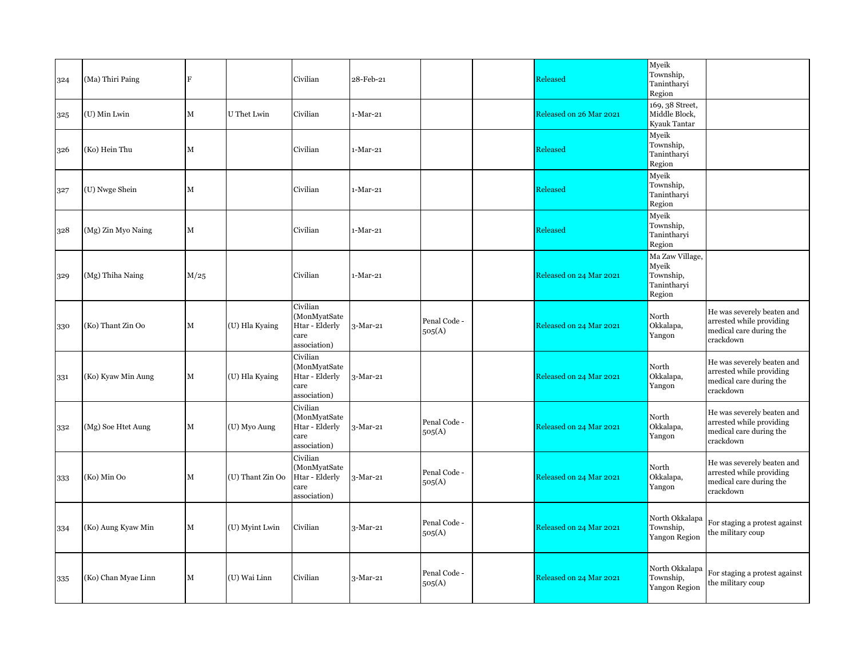| 324 | (Ma) Thiri Paing    | F           |                  | Civilian                                                           | 28-Feb-21  |                        | Released                | Myeik<br>Township,<br>Tanintharyi<br>Region                    |                                                                                                |
|-----|---------------------|-------------|------------------|--------------------------------------------------------------------|------------|------------------------|-------------------------|----------------------------------------------------------------|------------------------------------------------------------------------------------------------|
| 325 | (U) Min Lwin        | $\mathbf M$ | U Thet Lwin      | Civilian                                                           | $1-Mar-21$ |                        | Released on 26 Mar 2021 | 169, 38 Street,<br>Middle Block,<br>Kyauk Tantar               |                                                                                                |
| 326 | (Ko) Hein Thu       | M           |                  | Civilian                                                           | $1-Mar-21$ |                        | Released                | Myeik<br>Township,<br>Tanintharyi<br>Region                    |                                                                                                |
| 327 | (U) Nwge Shein      | $\mathbf M$ |                  | Civilian                                                           | $1-Mar-21$ |                        | Released                | Myeik<br>Township,<br>Tanintharyi<br>Region                    |                                                                                                |
| 328 | (Mg) Zin Myo Naing  | М           |                  | Civilian                                                           | $1-Mar-21$ |                        | Released                | Myeik<br>Township,<br>Tanintharyi<br>Region                    |                                                                                                |
| 329 | (Mg) Thiha Naing    | M/25        |                  | Civilian                                                           | $1-Mar-21$ |                        | Released on 24 Mar 2021 | Ma Zaw Village,<br>Myeik<br>Township,<br>Tanintharyi<br>Region |                                                                                                |
| 330 | (Ko) Thant Zin Oo   | M           | (U) Hla Kyaing   | Civilian<br>(MonMyatSate<br>Htar - Elderly<br>care<br>association) | $3-Mar-21$ | Penal Code -<br>505(A) | Released on 24 Mar 2021 | North<br>Okkalapa,<br>Yangon                                   | He was severely beaten and<br>arrested while providing<br>medical care during the<br>crackdown |
| 331 | (Ko) Kyaw Min Aung  | $\mathbf M$ | (U) Hla Kyaing   | Civilian<br>(MonMyatSate<br>Htar - Elderly<br>care<br>association) | 3-Mar-21   |                        | Released on 24 Mar 2021 | North<br>Okkalapa,<br>Yangon                                   | He was severely beaten and<br>arrested while providing<br>medical care during the<br>crackdown |
| 332 | (Mg) Soe Htet Aung  | $\mathbf M$ | (U) Myo Aung     | Civilian<br>(MonMyatSate<br>Htar - Elderly<br>care<br>association) | 3-Mar-21   | Penal Code -<br>505(A) | Released on 24 Mar 2021 | North<br>Okkalapa,<br>Yangon                                   | He was severely beaten and<br>arrested while providing<br>medical care during the<br>crackdown |
| 333 | (Ko) Min Oo         | M           | (U) Thant Zin Oo | Civilian<br>(MonMyatSate<br>Htar - Elderly<br>care<br>association) | 3-Mar-21   | Penal Code -<br>505(A) | Released on 24 Mar 2021 | North<br>Okkalapa,<br>Yangon                                   | He was severely beaten and<br>arrested while providing<br>medical care during the<br>crackdown |
| 334 | (Ko) Aung Kyaw Min  | M           | (U) Myint Lwin   | Civilian                                                           | 3-Mar-21   | Penal Code -<br>505(A) | Released on 24 Mar 2021 | North Okkalapa<br>Township,<br><b>Yangon Region</b>            | For staging a protest against<br>the military coup                                             |
| 335 | (Ko) Chan Myae Linn | $\mathbf M$ | (U) Wai Linn     | Civilian                                                           | 3-Mar-21   | Penal Code -<br>505(A) | Released on 24 Mar 2021 | North Okkalapa<br>Township,<br>Yangon Region                   | For staging a protest against<br>the military coup                                             |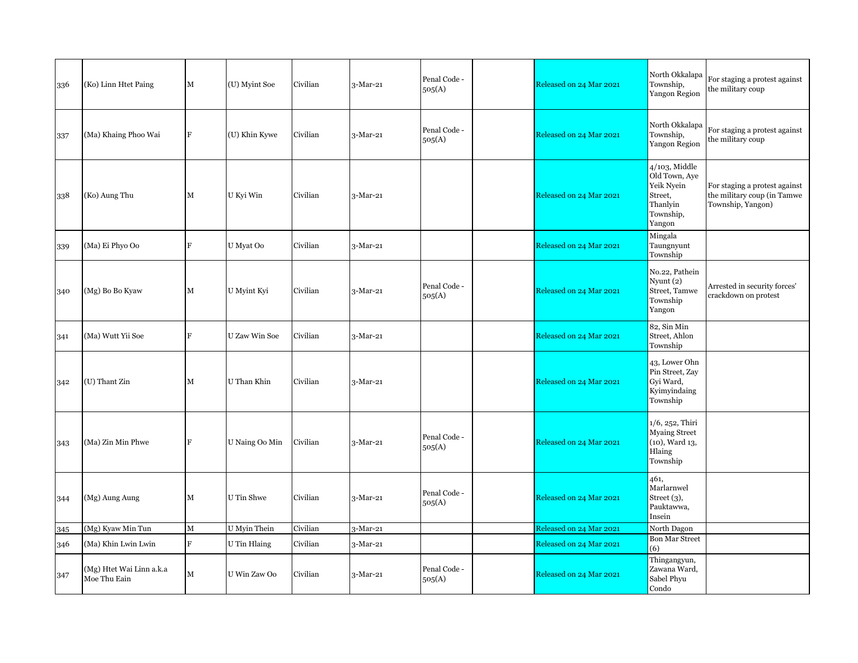| 336 | (Ko) Linn Htet Paing                     | M            | (U) Myint Soe  | Civilian | $3-Mar-21$ | Penal Code -<br>505(A) | Released on 24 Mar 2021 | North Okkalapa<br>Township,<br>Yangon Region                                               | For staging a protest against<br>the military coup                                |
|-----|------------------------------------------|--------------|----------------|----------|------------|------------------------|-------------------------|--------------------------------------------------------------------------------------------|-----------------------------------------------------------------------------------|
| 337 | (Ma) Khaing Phoo Wai                     | F            | (U) Khin Kywe  | Civilian | 3-Mar-21   | Penal Code -<br>505(A) | Released on 24 Mar 2021 | North Okkalapa<br>Township,<br>Yangon Region                                               | For staging a protest against<br>the military coup                                |
| 338 | (Ko) Aung Thu                            | M            | U Kyi Win      | Civilian | 3-Mar-21   |                        | Released on 24 Mar 2021 | 4/103, Middle<br>Old Town, Aye<br>Yeik Nyein<br>Street,<br>Thanlyin<br>Township,<br>Yangon | For staging a protest against<br>the military coup (in Tamwe<br>Township, Yangon) |
| 339 | (Ma) Ei Phyo Oo                          | F            | U Myat Oo      | Civilian | 3-Mar-21   |                        | Released on 24 Mar 2021 | Mingala<br>Taungnyunt<br>Township                                                          |                                                                                   |
| 340 | (Mg) Bo Bo Kyaw                          | $\mathbf M$  | U Myint Kyi    | Civilian | 3-Mar-21   | Penal Code -<br>505(A) | Released on 24 Mar 2021 | No.22, Pathein<br>Nyunt (2)<br>Street, Tamwe<br>Township<br>Yangon                         | Arrested in security forces'<br>crackdown on protest                              |
| 341 | (Ma) Wutt Yii Soe                        | $\mathbf{F}$ | U Zaw Win Soe  | Civilian | $3-Mar-21$ |                        | Released on 24 Mar 2021 | 82, Sin Min<br>Street, Ahlon<br>Township                                                   |                                                                                   |
| 342 | (U) Thant Zin                            | м            | U Than Khin    | Civilian | 3-Mar-21   |                        | Released on 24 Mar 2021 | 43, Lower Ohn<br>Pin Street, Zay<br>Gyi Ward,<br>Kyimyindaing<br>Township                  |                                                                                   |
| 343 | (Ma) Zin Min Phwe                        | F            | U Naing Oo Min | Civilian | $3-Mar-21$ | Penal Code -<br>505(A) | Released on 24 Mar 2021 | 1/6, 252, Thiri<br><b>Myaing Street</b><br>(10), Ward 13,<br>Hlaing<br>Township            |                                                                                   |
| 344 | (Mg) Aung Aung                           | M            | U Tin Shwe     | Civilian | 3-Mar-21   | Penal Code -<br>505(A) | Released on 24 Mar 2021 | 461,<br>Marlarnwel<br>Street $(3)$ ,<br>Pauktawwa,<br>Insein                               |                                                                                   |
| 345 | (Mg) Kyaw Min Tun                        | M            | U Myin Thein   | Civilian | 3-Mar-21   |                        | Released on 24 Mar 2021 | North Dagon                                                                                |                                                                                   |
| 346 | (Ma) Khin Lwin Lwin                      | $\mathbf{F}$ | U Tin Hlaing   | Civilian | 3-Mar-21   |                        | Released on 24 Mar 2021 | <b>Bon Mar Street</b><br>(6)                                                               |                                                                                   |
| 347 | (Mg) Htet Wai Linn a.k.a<br>Moe Thu Eain | $\mathbf M$  | U Win Zaw Oo   | Civilian | 3-Mar-21   | Penal Code -<br>505(A) | Released on 24 Mar 2021 | Thingangyun,<br>Zawana Ward,<br>Sabel Phyu<br>Condo                                        |                                                                                   |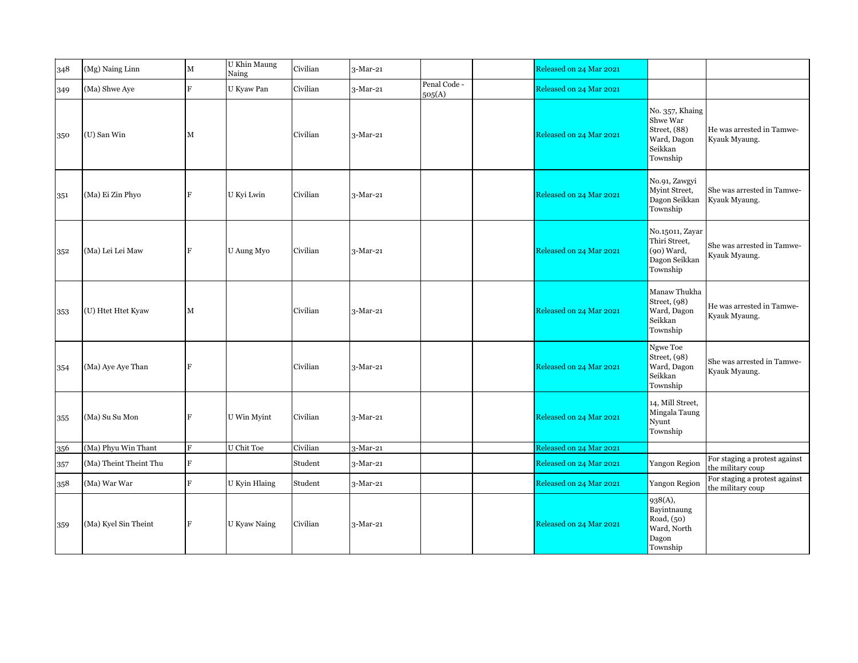| 348 | (Mg) Naing Linn        | $\mathbf M$    | U Khin Maung<br>Naing | Civilian | 3-Mar-21   |                        | Released on 24 Mar 2021 |                                                                                   |                                                    |
|-----|------------------------|----------------|-----------------------|----------|------------|------------------------|-------------------------|-----------------------------------------------------------------------------------|----------------------------------------------------|
| 349 | (Ma) Shwe Aye          | $\mathbf F$    | U Kyaw Pan            | Civilian | 3-Mar-21   | Penal Code -<br>505(A) | Released on 24 Mar 2021 |                                                                                   |                                                    |
| 350 | (U) San Win            | М              |                       | Civilian | 3-Mar-21   |                        | Released on 24 Mar 2021 | No. 357, Khaing<br>Shwe War<br>Street, (88)<br>Ward, Dagon<br>Seikkan<br>Township | He was arrested in Tamwe-<br>Kyauk Myaung.         |
| 351 | (Ma) Ei Zin Phyo       | $\mathbf{F}$   | U Kyi Lwin            | Civilian | 3-Mar-21   |                        | Released on 24 Mar 2021 | No.91, Zawgyi<br>Myint Street,<br>Dagon Seikkan<br>Township                       | She was arrested in Tamwe-<br>Kyauk Myaung.        |
| 352 | (Ma) Lei Lei Maw       | F              | U Aung Myo            | Civilian | 3-Mar-21   |                        | Released on 24 Mar 2021 | No.15011, Zayar<br>Thiri Street,<br>(90) Ward,<br>Dagon Seikkan<br>Township       | She was arrested in Tamwe-<br>Kyauk Myaung.        |
| 353 | (U) Htet Htet Kyaw     | M              |                       | Civilian | 3-Mar-21   |                        | Released on 24 Mar 2021 | Manaw Thukha<br>Street, (98)<br>Ward, Dagon<br>Seikkan<br>Township                | He was arrested in Tamwe-<br>Kyauk Myaung.         |
| 354 | (Ma) Aye Aye Than      | $\rm F$        |                       | Civilian | 3-Mar-21   |                        | Released on 24 Mar 2021 | Ngwe Toe<br>Street, (98)<br>Ward, Dagon<br>Seikkan<br>Township                    | She was arrested in Tamwe-<br>Kyauk Myaung.        |
| 355 | (Ma) Su Su Mon         | F              | U Win Myint           | Civilian | 3-Mar-21   |                        | Released on 24 Mar 2021 | 14, Mill Street,<br>Mingala Taung<br>Nyunt<br>Township                            |                                                    |
| 356 | (Ma) Phyu Win Thant    | $\overline{F}$ | U Chit Toe            | Civilian | 3-Mar-21   |                        | Released on 24 Mar 2021 |                                                                                   |                                                    |
| 357 | (Ma) Theint Theint Thu | F              |                       | Student  | 3-Mar-21   |                        | Released on 24 Mar 2021 | <b>Yangon Region</b>                                                              | For staging a protest against<br>the military coup |
| 358 | (Ma) War War           | $\mathbf F$    | U Kyin Hlaing         | Student  | $3-Mar-21$ |                        | Released on 24 Mar 2021 | Yangon Region                                                                     | For staging a protest against<br>the military coup |
| 359 | (Ma) Kyel Sin Theint   | $\mathbf F$    | <b>U</b> Kyaw Naing   | Civilian | 3-Mar-21   |                        | Released on 24 Mar 2021 | 938(A),<br>Bayintnaung<br>Road, (50)<br>Ward, North<br>Dagon<br>Township          |                                                    |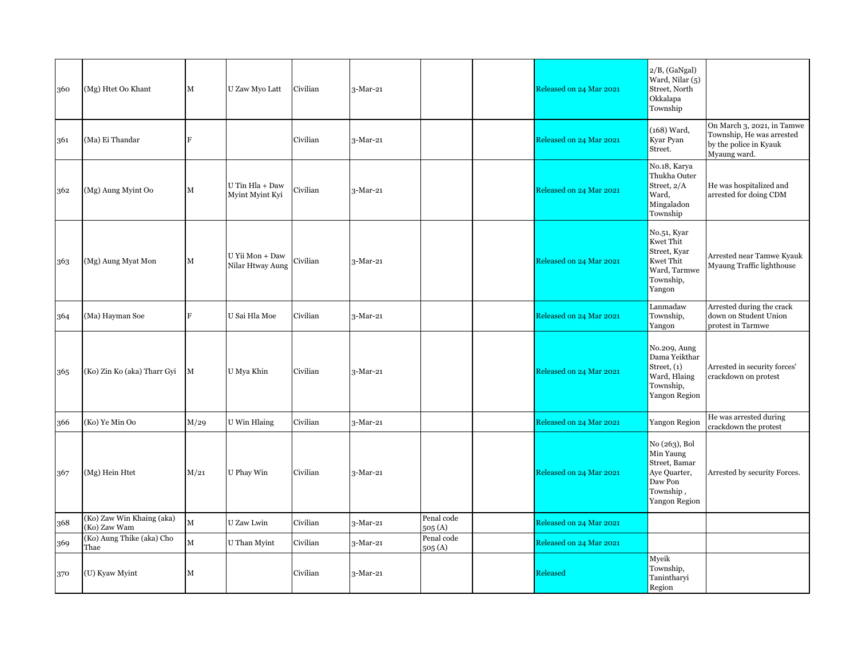| 360 | (Mg) Htet Oo Khant                        | М            | U Zaw Myo Latt                      | Civilian | 3-Mar-21   |                       | Released on 24 Mar 2021 | 2/B, (GaNgal)<br>Ward, Nilar (5)<br>Street, North<br>Okkalapa<br>Township                            |                                                                                                   |
|-----|-------------------------------------------|--------------|-------------------------------------|----------|------------|-----------------------|-------------------------|------------------------------------------------------------------------------------------------------|---------------------------------------------------------------------------------------------------|
| 361 | (Ma) Ei Thandar                           | $\mathbf{F}$ |                                     | Civilian | 3-Mar-21   |                       | Released on 24 Mar 2021 | (168) Ward,<br>Kyar Pyan<br>Street.                                                                  | On March 3, 2021, in Tamwe<br>Township, He was arrested<br>by the police in Kyauk<br>Myaung ward. |
| 362 | (Mg) Aung Myint Oo                        | М            | U Tin Hla + Daw<br>Myint Myint Kyi  | Civilian | 3-Mar-21   |                       | Released on 24 Mar 2021 | No.18, Karya<br>Thukha Outer<br>Street, 2/A<br>Ward,<br>Mingaladon<br>Township                       | He was hospitalized and<br>arrested for doing CDM                                                 |
| 363 | (Mg) Aung Myat Mon                        | м            | U Yii Mon + Daw<br>Nilar Htway Aung | Civilian | $3-Mar-21$ |                       | Released on 24 Mar 2021 | No.51, Kyar<br>Kwet Thit<br>Street, Kyar<br><b>Kwet Thit</b><br>Ward, Tarmwe<br>Township,<br>Yangon  | Arrested near Tamwe Kyauk<br>Myaung Traffic lighthouse                                            |
| 364 | (Ma) Hayman Soe                           | $\mathbf F$  | U Sai Hla Moe                       | Civilian | 3-Mar-21   |                       | Released on 24 Mar 2021 | Lanmadaw<br>Township,<br>Yangon                                                                      | Arrested during the crack<br>down on Student Union<br>protest in Tarmwe                           |
| 365 | (Ko) Zin Ko (aka) Tharr Gyi               | M            | U Mya Khin                          | Civilian | $3-Mar-21$ |                       | Released on 24 Mar 2021 | No.209, Aung<br>Dama Yeikthar<br>Street, (1)<br>Ward, Hlaing<br>Township,<br>Yangon Region           | Arrested in security forces'<br>crackdown on protest                                              |
| 366 | (Ko) Ye Min Oo                            | M/29         | U Win Hlaing                        | Civilian | 3-Mar-21   |                       | Released on 24 Mar 2021 | Yangon Region                                                                                        | He was arrested during<br>crackdown the protest                                                   |
| 367 | (Mg) Hein Htet                            | M/21         | U Phay Win                          | Civilian | 3-Mar-21   |                       | Released on 24 Mar 2021 | No (263), Bol<br>Min Yaung<br>Street, Bamar<br>Aye Quarter,<br>Daw Pon<br>Township,<br>Yangon Region | Arrested by security Forces.                                                                      |
| 368 | (Ko) Zaw Win Khaing (aka)<br>(Ko) Zaw Wam | М            | U Zaw Lwin                          | Civilian | 3-Mar-21   | Penal code<br>505(A)  | Released on 24 Mar 2021 |                                                                                                      |                                                                                                   |
| 369 | (Ko) Aung Thike (aka) Cho<br>Thae         | M            | U Than Myint                        | Civilian | 3-Mar-21   | Penal code<br>505 (A) | Released on 24 Mar 2021 |                                                                                                      |                                                                                                   |
| 370 | (U) Kyaw Myint                            | М            |                                     | Civilian | 3-Mar-21   |                       | Released                | Myeik<br>Township,<br>Tanintharyi<br>Region                                                          |                                                                                                   |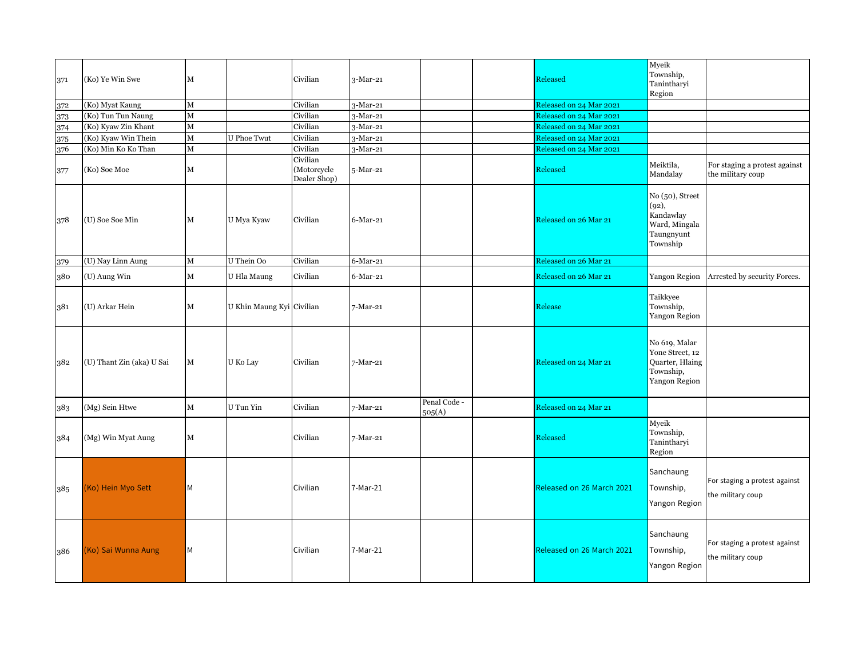| 371 | (Ko) Ye Win Swe           | М            |                           | Civilian                                | 3-Mar-21    |                        | Released                  | Myeik<br>Township,<br>Tanintharyi<br>Region                                       |                                                    |
|-----|---------------------------|--------------|---------------------------|-----------------------------------------|-------------|------------------------|---------------------------|-----------------------------------------------------------------------------------|----------------------------------------------------|
| 372 | (Ko) Myat Kaung           | M            |                           | Civilian                                | 3-Mar-21    |                        | Released on 24 Mar 2021   |                                                                                   |                                                    |
| 373 | (Ko) Tun Tun Naung        | M            |                           | Civilian                                | $3-Mar-21$  |                        | Released on 24 Mar 2021   |                                                                                   |                                                    |
| 374 | (Ko) Kyaw Zin Khant       | M            |                           | Civilian                                | 3-Mar-21    |                        | Released on 24 Mar 2021   |                                                                                   |                                                    |
| 375 | (Ko) Kyaw Win Thein       | $\mathbf M$  | <b>U</b> Phoe Twut        | Civilian                                | 3-Mar-21    |                        | Released on 24 Mar 2021   |                                                                                   |                                                    |
| 376 | (Ko) Min Ko Ko Than       | $\mathbf M$  |                           | Civilian                                | 3-Mar-21    |                        | Released on 24 Mar 2021   |                                                                                   |                                                    |
| 377 | (Ko) Soe Moe              | $\mathbf M$  |                           | Civilian<br>(Motorcycle<br>Dealer Shop) | 5-Mar-21    |                        | Released                  | Meiktila,<br>Mandalay                                                             | For staging a protest against<br>the military coup |
| 378 | (U) Soe Soe Min           | $\mathbf{M}$ | U Mya Kyaw                | Civilian                                | $6$ -Mar-21 |                        | Released on 26 Mar 21     | No (50), Street<br>(92),<br>Kandawlay<br>Ward, Mingala<br>Taungnyunt<br>Township  |                                                    |
| 379 | (U) Nay Linn Aung         | $\mathbf M$  | U Thein Oo                | Civilian                                | $6$ -Mar-21 |                        | Released on 26 Mar 21     |                                                                                   |                                                    |
| 380 | (U) Aung Win              | $\mathbf M$  | U Hla Maung               | Civilian                                | $6$ -Mar-21 |                        | Released on 26 Mar 21     | Yangon Region                                                                     | Arrested by security Forces.                       |
| 381 | (U) Arkar Hein            | $\mathbf M$  | U Khin Maung Kyi Civilian |                                         | 7-Mar-21    |                        | Release                   | Taikkyee<br>Township,<br><b>Yangon Region</b>                                     |                                                    |
| 382 | (U) Thant Zin (aka) U Sai | $\mathbf M$  | U Ko Lay                  | Civilian                                | 7-Mar-21    |                        | Released on 24 Mar 21     | No 619, Malar<br>Yone Street, 12<br>Quarter, Hlaing<br>Township,<br>Yangon Region |                                                    |
| 383 | (Mg) Sein Htwe            | $\mathbf M$  | U Tun Yin                 | Civilian                                | 7-Mar-21    | Penal Code -<br>505(A) | Released on 24 Mar 21     |                                                                                   |                                                    |
| 384 | (Mg) Win Myat Aung        | М            |                           | Civilian                                | 7-Mar-21    |                        | Released                  | Myeik<br>Township,<br>Tanintharyi<br>Region                                       |                                                    |
| 385 | (Ko) Hein Myo Sett        | М            |                           | Civilian                                | 7-Mar-21    |                        | Released on 26 March 2021 | Sanchaung<br>Township,<br>Yangon Region                                           | For staging a protest against<br>the military coup |
| 386 | (Ko) Sai Wunna Aung       | М            |                           | Civilian                                | 7-Mar-21    |                        | Released on 26 March 2021 | Sanchaung<br>Township,<br>Yangon Region                                           | For staging a protest against<br>the military coup |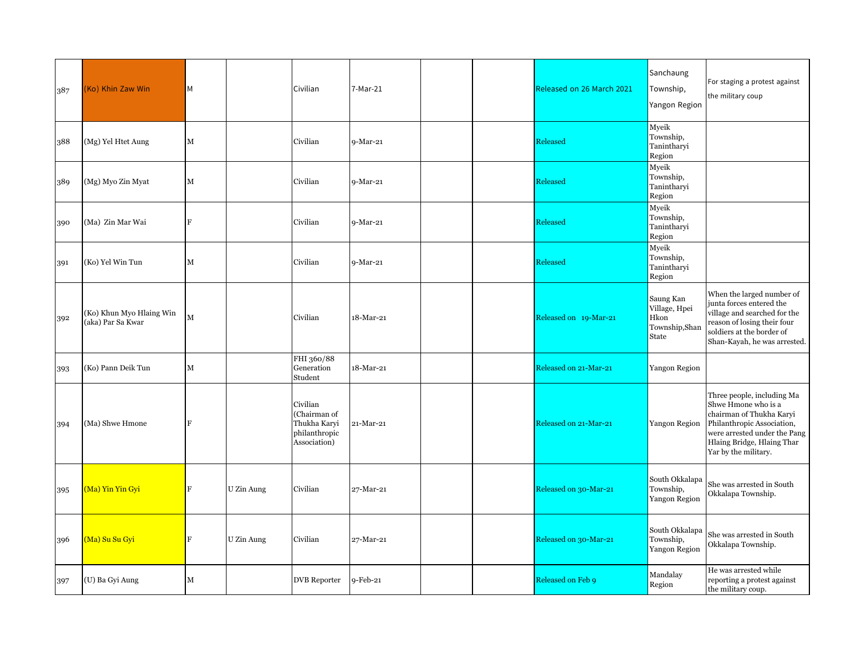| 387 | (Ko) Khin Zaw Win                             | M           |            | Civilian                                                                  | 7-Mar-21    |  | Released on 26 March 2021 | Sanchaung<br>Township,<br>Yangon Region                       | For staging a protest against<br>the military coup                                                                                                                                                |
|-----|-----------------------------------------------|-------------|------------|---------------------------------------------------------------------------|-------------|--|---------------------------|---------------------------------------------------------------|---------------------------------------------------------------------------------------------------------------------------------------------------------------------------------------------------|
| 388 | (Mg) Yel Htet Aung                            | $\mathbf M$ |            | Civilian                                                                  | $9-Mar-21$  |  | Released                  | Myeik<br>Township,<br>Tanintharyi<br>Region                   |                                                                                                                                                                                                   |
| 389 | (Mg) Myo Zin Myat                             | М           |            | Civilian                                                                  | $9-Mar-21$  |  | Released                  | Myeik<br>Township,<br>Tanintharyi<br>Region                   |                                                                                                                                                                                                   |
| 390 | (Ma) Zin Mar Wai                              | $\mathbf F$ |            | Civilian                                                                  | $9-Mar-21$  |  | Released                  | Myeik<br>Township,<br>Tanintharyi<br>Region                   |                                                                                                                                                                                                   |
| 391 | (Ko) Yel Win Tun                              | M           |            | Civilian                                                                  | 9-Mar-21    |  | Released                  | Myeik<br>Township,<br>Tanintharyi<br>Region                   |                                                                                                                                                                                                   |
| 392 | (Ko) Khun Myo Hlaing Win<br>(aka) Par Sa Kwar | M           |            | Civilian                                                                  | 18-Mar-21   |  | Released on 19-Mar-21     | Saung Kan<br>Village, Hpei<br>Hkon<br>Township, Shan<br>State | When the larged number of<br>junta forces entered the<br>village and searched for the<br>reason of losing their four<br>soldiers at the border of<br>Shan-Kayah, he was arrested.                 |
| 393 | (Ko) Pann Deik Tun                            | M           |            | FHI 360/88<br>Generation<br>Student                                       | 18-Mar-21   |  | Released on 21-Mar-21     | <b>Yangon Region</b>                                          |                                                                                                                                                                                                   |
| 394 | (Ma) Shwe Hmone                               | $\mathbf F$ |            | Civilian<br>(Chairman of<br>Thukha Karyi<br>philanthropic<br>Association) | 21-Mar-21   |  | Released on 21-Mar-21     | <b>Yangon Region</b>                                          | Three people, including Ma<br>Shwe Hmone who is a<br>chairman of Thukha Karyi<br>Philanthropic Association,<br>were arrested under the Pang<br>Hlaing Bridge, Hlaing Thar<br>Yar by the military. |
| 395 | (Ma) Yin Yin Gyi                              | $\mathbf F$ | U Zin Aung | Civilian                                                                  | 27-Mar-21   |  | Released on 30-Mar-21     | South Okkalapa<br>Township,<br>Yangon Region                  | She was arrested in South<br>Okkalapa Township.                                                                                                                                                   |
| 396 | (Ma) Su Su Gyi                                | $\mathbf F$ | U Zin Aung | Civilian                                                                  | 27-Mar-21   |  | Released on 30-Mar-21     | South Okkalapa<br>Township,<br><b>Yangon Region</b>           | She was arrested in South<br>Okkalapa Township.                                                                                                                                                   |
| 397 | (U) Ba Gyi Aung                               | M           |            | <b>DVB</b> Reporter                                                       | $9$ -Feb-21 |  | <b>Released on Feb 9</b>  | Mandalay<br>Region                                            | He was arrested while<br>reporting a protest against<br>the military coup.                                                                                                                        |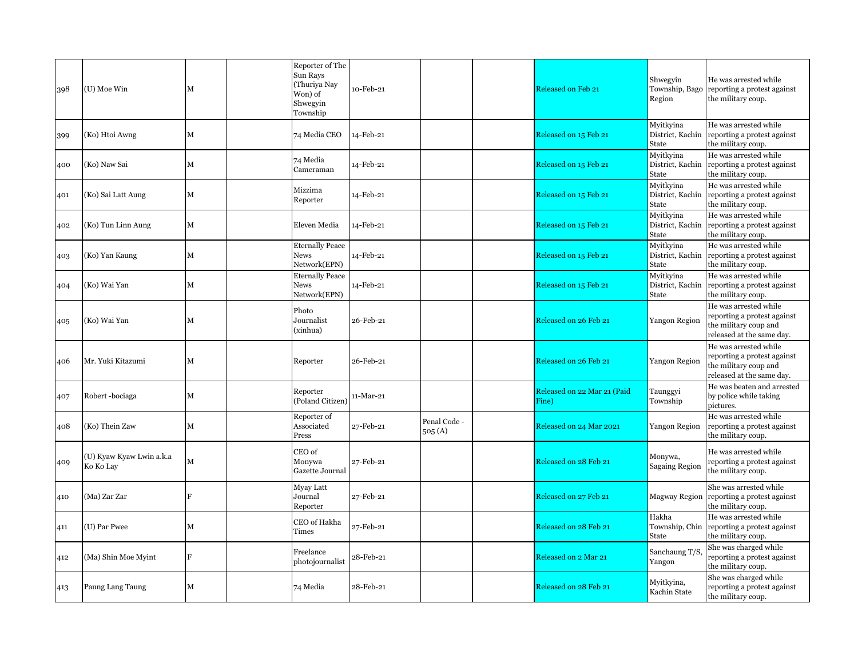| 398 | (U) Moe Win                           | М            | Reporter of The<br>Sun Rays<br>(Thuriya Nav<br>Won) of<br>Shwegyin<br>Township | 10-Feb-21 |                        | <b>Released on Feb 21</b>            | Shwegyin<br>Township, Bago<br>Region          | He was arrested while<br>reporting a protest against<br>the military coup.                                 |
|-----|---------------------------------------|--------------|--------------------------------------------------------------------------------|-----------|------------------------|--------------------------------------|-----------------------------------------------|------------------------------------------------------------------------------------------------------------|
| 399 | (Ko) Htoi Awng                        | $\mathbf{M}$ | 74 Media CEO                                                                   | 14-Feb-21 |                        | Released on 15 Feb 21                | Myitkyina<br>District, Kachin<br><b>State</b> | He was arrested while<br>reporting a protest against<br>the military coup.                                 |
| 400 | (Ko) Naw Sai                          | M            | 74 Media<br>Cameraman                                                          | 14-Feb-21 |                        | Released on 15 Feb 21                | Myitkyina<br>District, Kachin<br>State        | He was arrested while<br>reporting a protest against<br>the military coup.                                 |
| 401 | (Ko) Sai Latt Aung                    | $\mathbf M$  | Mizzima<br>Reporter                                                            | 14-Feb-21 |                        | Released on 15 Feb 21                | Myitkyina<br>District, Kachin<br>State        | He was arrested while<br>reporting a protest against<br>the military coup.                                 |
| 402 | (Ko) Tun Linn Aung                    | $\mathbf M$  | Eleven Media                                                                   | 14-Feb-21 |                        | Released on 15 Feb 21                | Mvitkvina<br>District, Kachin<br><b>State</b> | He was arrested while<br>reporting a protest against<br>the military coup.                                 |
| 403 | (Ko) Yan Kaung                        | M            | <b>Eternally Peace</b><br><b>News</b><br>Network(EPN)                          | 14-Feb-21 |                        | Released on 15 Feb 21                | Mvitkvina<br>District, Kachin<br>State        | He was arrested while<br>reporting a protest against<br>the military coup.                                 |
| 404 | (Ko) Wai Yan                          | M            | <b>Eternally Peace</b><br>News<br>Network(EPN)                                 | 14-Feb-21 |                        | Released on 15 Feb 21                | Myitkyina<br>District, Kachin<br><b>State</b> | He was arrested while<br>reporting a protest against<br>the military coup.                                 |
| 405 | (Ko) Wai Yan                          | M            | Photo<br>Journalist<br>(xinhua)                                                | 26-Feb-21 |                        | Released on 26 Feb 21                | Yangon Region                                 | He was arrested while<br>reporting a protest against<br>the military coup and<br>released at the same day. |
| 406 | Mr. Yuki Kitazumi                     | $\mathbf{M}$ | Reporter                                                                       | 26-Feb-21 |                        | Released on 26 Feb 21                | <b>Yangon Region</b>                          | He was arrested while<br>reporting a protest against<br>the military coup and<br>released at the same day. |
| 407 | Robert-bociaga                        | $\mathbf M$  | Reporter<br>(Poland Citizen)                                                   | 11-Mar-21 |                        | Released on 22 Mar 21 (Paid<br>Fine) | Taunggyi<br>Township                          | He was beaten and arrested<br>by police while taking<br>pictures.                                          |
| 408 | (Ko) Thein Zaw                        | $\mathbf M$  | Reporter of<br>Associated<br>Press                                             | 27-Feb-21 | Penal Code -<br>505(A) | Released on 24 Mar 2021              | Yangon Region                                 | He was arrested while<br>reporting a protest against<br>the military coup.                                 |
| 409 | (U) Kyaw Kyaw Lwin a.k.a<br>Ko Ko Lay | $\mathbf M$  | CEO of<br>Monywa<br>Gazette Journal                                            | 27-Feb-21 |                        | Released on 28 Feb 21                | Monywa,<br><b>Sagaing Region</b>              | He was arrested while<br>reporting a protest against<br>the military coup.                                 |
| 410 | (Ma) Zar Zar                          | F            | Myay Latt<br>Journal<br>Reporter                                               | 27-Feb-21 |                        | Released on 27 Feb 21                |                                               | She was arrested while<br>Magway Region reporting a protest against<br>the military coup.                  |
| 411 | (U) Par Pwee                          | $\mathbf M$  | CEO of Hakha<br>Times                                                          | 27-Feb-21 |                        | Released on 28 Feb 21                | Hakha<br>State                                | He was arrested while<br>Township, Chin reporting a protest against<br>the military coup.                  |
| 412 | (Ma) Shin Moe Myint                   | F            | Freelance<br>photojournalist                                                   | 28-Feb-21 |                        | Released on 2 Mar 21                 | Sanchaung T/S<br>Yangon                       | She was charged while<br>reporting a protest against<br>the military coup.                                 |
| 413 | Paung Lang Taung                      | M            | 74 Media                                                                       | 28-Feb-21 |                        | Released on 28 Feb 21                | Myitkyina,<br>Kachin State                    | She was charged while<br>reporting a protest against<br>the military coup.                                 |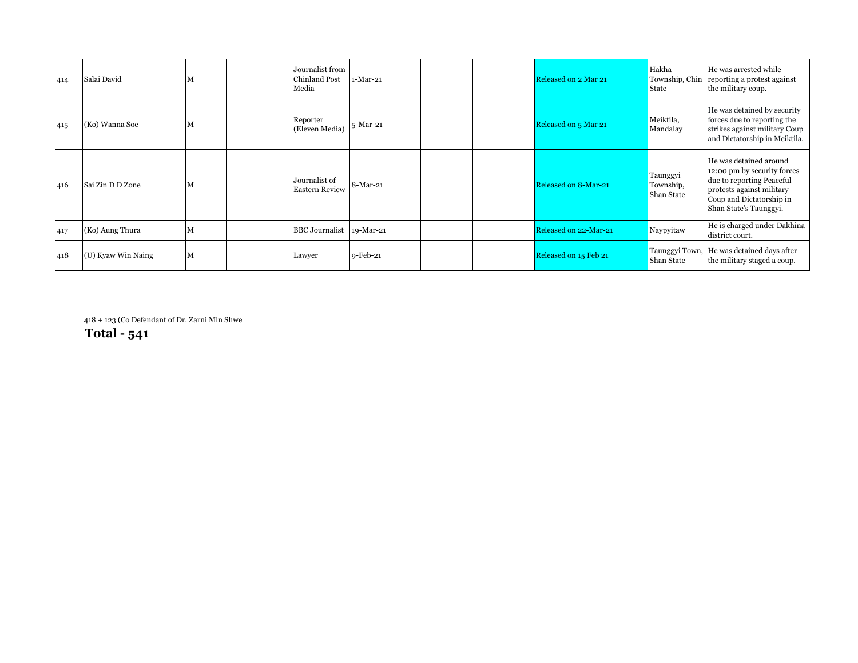| 414 | Salai David        | м | Journalist from<br><b>Chinland Post</b><br>Media | $1-Mar-21$  |  | Released on 2 Mar 21  | Hakha<br><b>State</b>               | He was arrested while<br>Township, Chin reporting a protest against<br>the military coup.                                                                             |
|-----|--------------------|---|--------------------------------------------------|-------------|--|-----------------------|-------------------------------------|-----------------------------------------------------------------------------------------------------------------------------------------------------------------------|
| 415 | (Ko) Wanna Soe     | м | Reporter<br>(Eleven Media)                       | 5-Mar-21    |  | Released on 5 Mar 21  | Meiktila,<br>Mandalay               | He was detained by security<br>forces due to reporting the<br>strikes against military Coup<br>and Dictatorship in Meiktila.                                          |
| 416 | Sai Zin D D Zone   | м | Journalist of<br><b>Eastern Review</b>           | 8-Mar-21    |  | Released on 8-Mar-21  | Taunggyi<br>Township,<br>Shan State | He was detained around<br>12:00 pm by security forces<br>due to reporting Peaceful<br>protests against military<br>Coup and Dictatorship in<br>Shan State's Taunggyi. |
| 417 | (Ko) Aung Thura    | M | BBC Journalist 19-Mar-21                         |             |  | Released on 22-Mar-21 | Naypyitaw                           | He is charged under Dakhina<br>district court.                                                                                                                        |
| 418 | (U) Kyaw Win Naing | M | Lawyer                                           | $9$ -Feb-21 |  | Released on 15 Feb 21 | Shan State                          | Taunggyi Town, He was detained days after<br>the military staged a coup.                                                                                              |

418 + 123 (Co Defendant of Dr. Zarni Min Shwe

**Total - 541**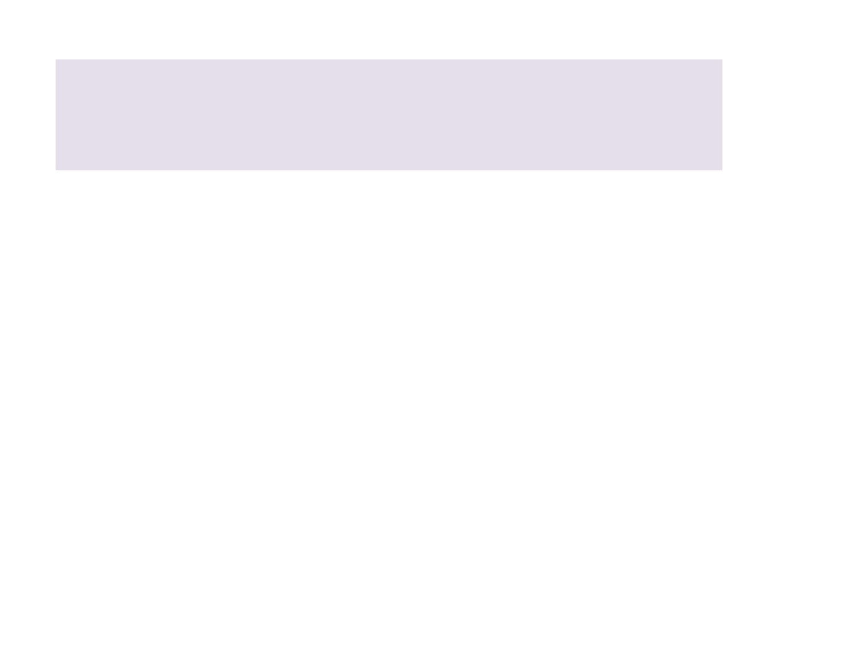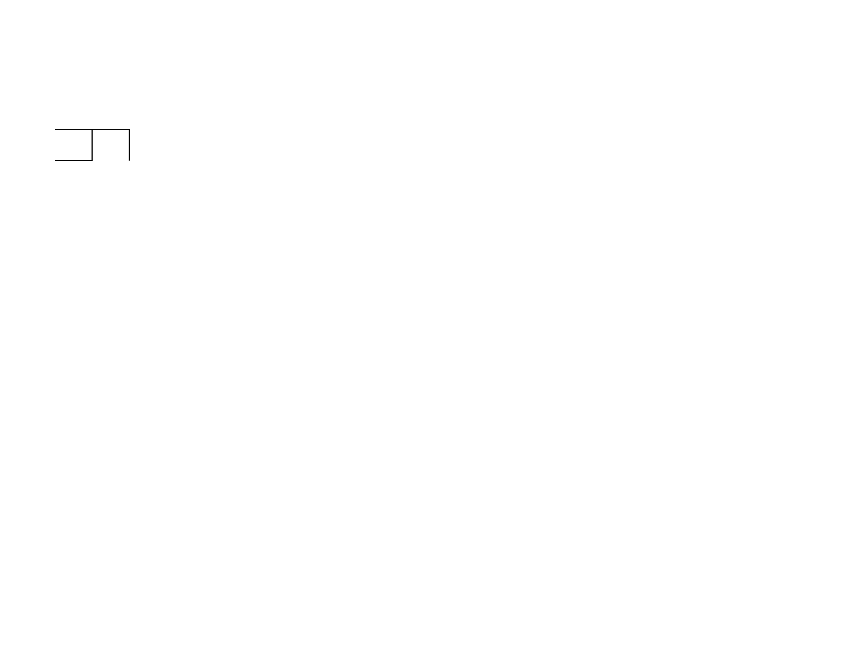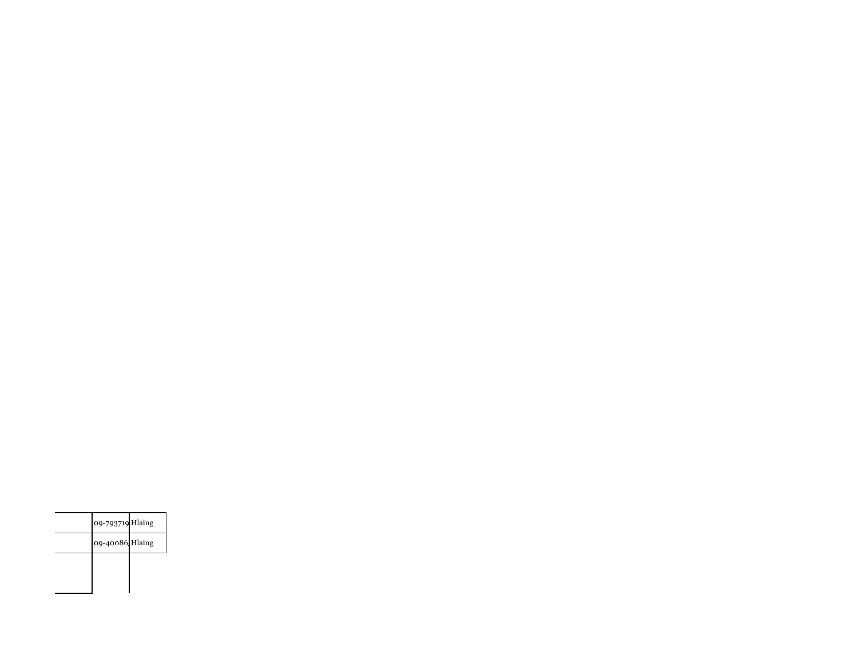| 09-793719 Hlaing |  |
|------------------|--|
| 09-40086 Hlaing  |  |
|                  |  |
|                  |  |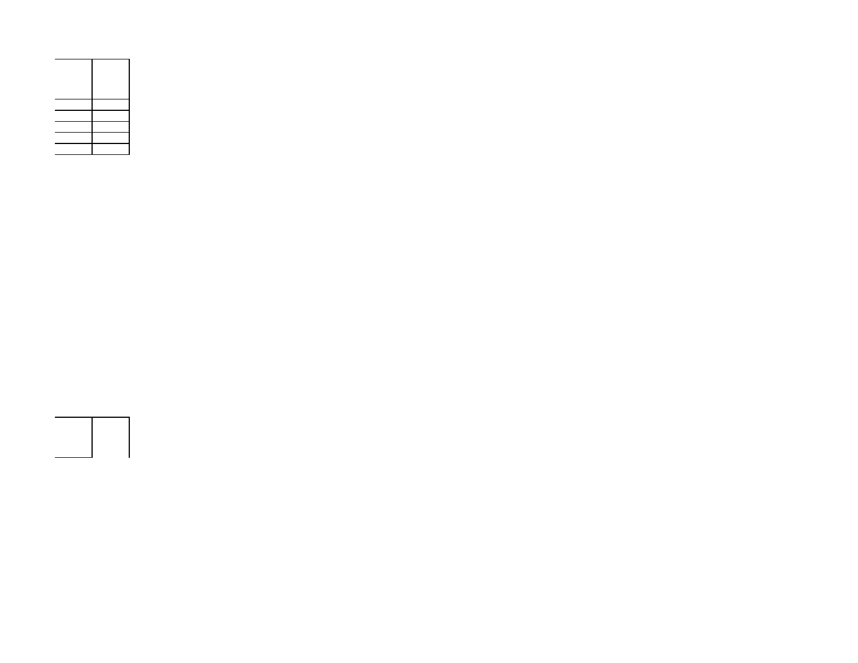$\begin{array}{c|c|c|c|c} \hline \quad \quad & \quad \quad & \quad \quad & \quad \quad \\ \hline \quad \quad & \quad \quad & \quad \quad & \quad \quad \\ \hline \end{array}$